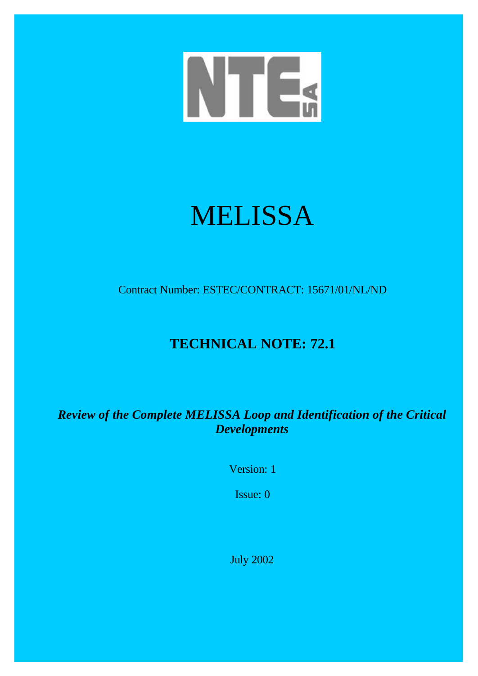

# MELISSA

Contract Number: ESTEC/CONTRACT: 15671/01/NL/ND

## **TECHNICAL NOTE: 72.1**

*Review of the Complete MELISSA Loop and Identification of the Critical Developments*

Version: 1

Issue: 0

July 2002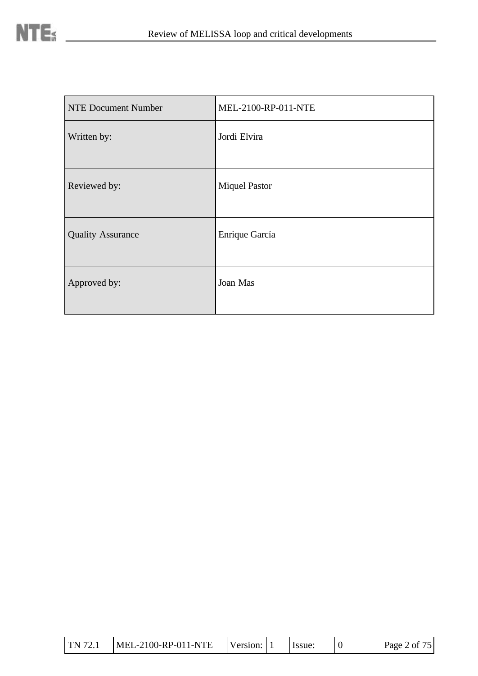| <b>NTE Document Number</b> | MEL-2100-RP-011-NTE  |
|----------------------------|----------------------|
| Written by:                | Jordi Elvira         |
| Reviewed by:               | <b>Miquel Pastor</b> |
| <b>Quality Assurance</b>   | Enrique García       |
| Approved by:               | Joan Mas             |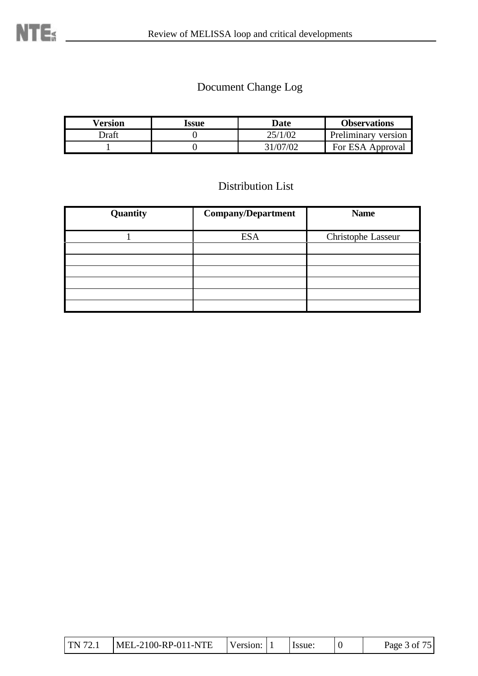## Document Change Log

| Version | Issue | Date    | <b>Observations</b> |
|---------|-------|---------|---------------------|
| Draft   |       | 25/1/02 | Preliminary version |
|         |       |         | For ESA Approval    |

## Distribution List

| Quantity | <b>Company/Department</b> | <b>Name</b>        |
|----------|---------------------------|--------------------|
|          | <b>ESA</b>                | Christophe Lasseur |
|          |                           |                    |
|          |                           |                    |
|          |                           |                    |
|          |                           |                    |
|          |                           |                    |
|          |                           |                    |

| TN 72.1 | MEL-2100-RP-011-NTE | Version: 1 |  | . Issue: |  | Page 3 of 75 |
|---------|---------------------|------------|--|----------|--|--------------|
|---------|---------------------|------------|--|----------|--|--------------|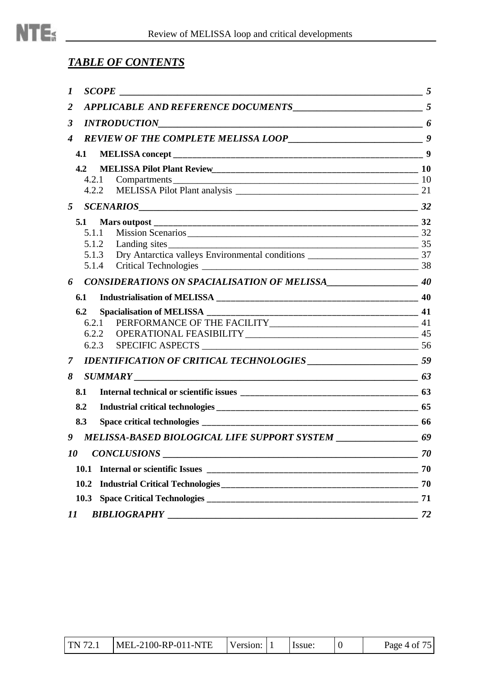

## *TABLE OF CONTENTS*

| 1                                                                          |    |
|----------------------------------------------------------------------------|----|
| $\boldsymbol{2}$                                                           |    |
| 3                                                                          |    |
| 4                                                                          |    |
| 4.1                                                                        |    |
| 4.2                                                                        |    |
| Compartments 10<br>4.2.1                                                   |    |
|                                                                            |    |
| 5                                                                          |    |
|                                                                            |    |
| Mission Scenarios 22<br>5.1.1                                              |    |
| 5.1.2                                                                      |    |
| 5.1.3                                                                      |    |
| 5.1.4                                                                      |    |
| 6                                                                          |    |
| 6.1                                                                        |    |
| 6.2                                                                        |    |
| 6.2.1                                                                      |    |
|                                                                            |    |
|                                                                            |    |
| $\overline{7}$                                                             |    |
| $\overline{\hspace{1cm}}$ 63<br>8<br><b>SUMMARY</b>                        |    |
| 8.1                                                                        |    |
| 8.2                                                                        |    |
| 8.3                                                                        |    |
| MELISSA-BASED BIOLOGICAL LIFE SUPPORT SYSTEM _____________________ 69<br>9 |    |
| <i>10</i><br><b>CONCLUSIONS</b>                                            | 70 |
| 10.1                                                                       | 70 |
| 10.2                                                                       | 70 |
|                                                                            | 71 |
|                                                                            |    |
| 11                                                                         | 72 |

| TN 72.1 | $MEL-2100-RP-011-NTE$ | Version: 11 |  | Issue: |  | Page 4 of 75 |
|---------|-----------------------|-------------|--|--------|--|--------------|
|---------|-----------------------|-------------|--|--------|--|--------------|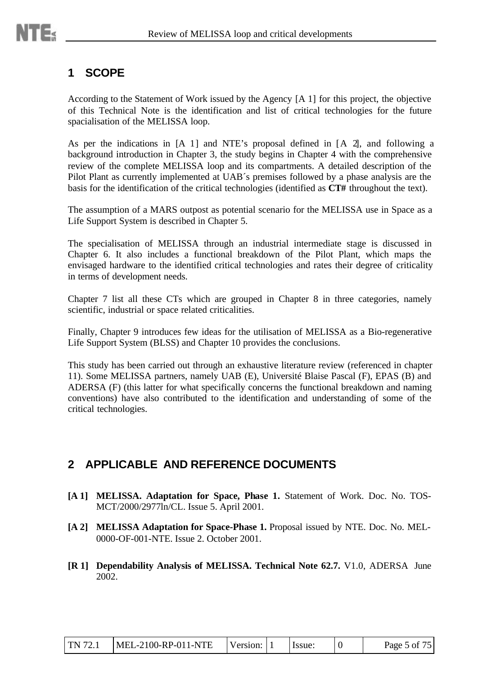## **1 SCOPE**

According to the Statement of Work issued by the Agency [A 1] for this project, the objective of this Technical Note is the identification and list of critical technologies for the future spacialisation of the MELISSA loop.

As per the indications in [A 1] and NTE's proposal defined in [A 2], and following a background introduction in Chapter 3, the study begins in Chapter 4 with the comprehensive review of the complete MELISSA loop and its compartments. A detailed description of the Pilot Plant as currently implemented at UAB´s premises followed by a phase analysis are the basis for the identification of the critical technologies (identified as **CT#** throughout the text).

The assumption of a MARS outpost as potential scenario for the MELISSA use in Space as a Life Support System is described in Chapter 5.

The specialisation of MELISSA through an industrial intermediate stage is discussed in Chapter 6. It also includes a functional breakdown of the Pilot Plant, which maps the envisaged hardware to the identified critical technologies and rates their degree of criticality in terms of development needs.

Chapter 7 list all these CTs which are grouped in Chapter 8 in three categories, namely scientific, industrial or space related criticalities.

Finally, Chapter 9 introduces few ideas for the utilisation of MELISSA as a Bio-regenerative Life Support System (BLSS) and Chapter 10 provides the conclusions.

This study has been carried out through an exhaustive literature review (referenced in chapter 11). Some MELISSA partners, namely UAB (E), Université Blaise Pascal (F), EPAS (B) and ADERSA (F) (this latter for what specifically concerns the functional breakdown and naming conventions) have also contributed to the identification and understanding of some of the critical technologies.

## **2 APPLICABLE AND REFERENCE DOCUMENTS**

- **[A 1] MELISSA. Adaptation for Space, Phase 1.** Statement of Work. Doc. No. TOS-MCT/2000/2977ln/CL. Issue 5. April 2001.
- **[A 2] MELISSA Adaptation for Space-Phase 1.** Proposal issued by NTE. Doc. No. MEL-0000-OF-001-NTE. Issue 2. October 2001.
- **[R 1] Dependability Analysis of MELISSA. Technical Note 62.7.** V1.0, ADERSAJune 2002.

| TN 72.1 | $MEL-2100-RP-011-NTE$ | Version: 1 |  | I Issue: |  | Page 5 of 75 |
|---------|-----------------------|------------|--|----------|--|--------------|
|---------|-----------------------|------------|--|----------|--|--------------|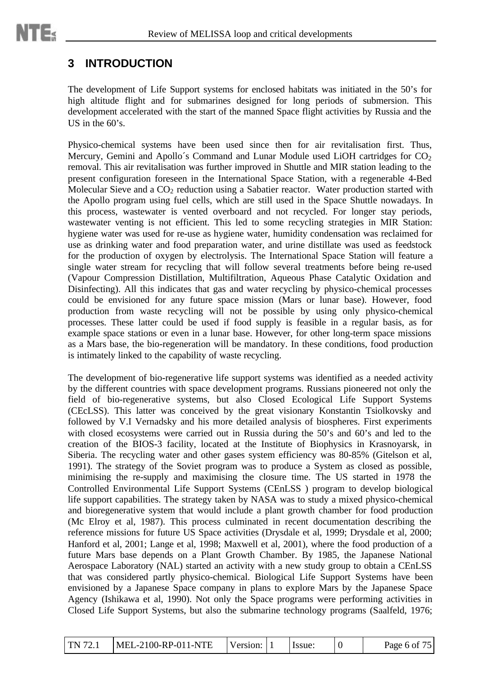## **3 INTRODUCTION**

The development of Life Support systems for enclosed habitats was initiated in the 50's for high altitude flight and for submarines designed for long periods of submersion. This development accelerated with the start of the manned Space flight activities by Russia and the US in the 60's.

Physico-chemical systems have been used since then for air revitalisation first. Thus, Mercury, Gemini and Apollo's Command and Lunar Module used LiOH cartridges for CO<sub>2</sub> removal. This air revitalisation was further improved in Shuttle and MIR station leading to the present configuration foreseen in the International Space Station, with a regenerable 4-Bed Molecular Sieve and a  $CO<sub>2</sub>$  reduction using a Sabatier reactor. Water production started with the Apollo program using fuel cells, which are still used in the Space Shuttle nowadays. In this process, wastewater is vented overboard and not recycled. For longer stay periods, wastewater venting is not efficient. This led to some recycling strategies in MIR Station: hygiene water was used for re-use as hygiene water, humidity condensation was reclaimed for use as drinking water and food preparation water, and urine distillate was used as feedstock for the production of oxygen by electrolysis. The International Space Station will feature a single water stream for recycling that will follow several treatments before being re-used (Vapour Compression Distillation, Multifiltration, Aqueous Phase Catalytic Oxidation and Disinfecting). All this indicates that gas and water recycling by physico-chemical processes could be envisioned for any future space mission (Mars or lunar base). However, food production from waste recycling will not be possible by using only physico-chemical processes. These latter could be used if food supply is feasible in a regular basis, as for example space stations or even in a lunar base. However, for other long-term space missions as a Mars base, the bio-regeneration will be mandatory. In these conditions, food production is intimately linked to the capability of waste recycling.

The development of bio-regenerative life support systems was identified as a needed activity by the different countries with space development programs. Russians pioneered not only the field of bio-regenerative systems, but also Closed Ecological Life Support Systems (CEcLSS). This latter was conceived by the great visionary Konstantin Tsiolkovsky and followed by V.I Vernadsky and his more detailed analysis of biospheres. First experiments with closed ecosystems were carried out in Russia during the 50's and 60's and led to the creation of the BIOS-3 facility, located at the Institute of Biophysics in Krasnoyarsk, in Siberia. The recycling water and other gases system efficiency was 80-85% (Gitelson et al, 1991). The strategy of the Soviet program was to produce a System as closed as possible, minimising the re-supply and maximising the closure time. The US started in 1978 the Controlled Environmental Life Support Systems (CEnLSS ) program to develop biological life support capabilities. The strategy taken by NASA was to study a mixed physico-chemical and bioregenerative system that would include a plant growth chamber for food production (Mc Elroy et al, 1987). This process culminated in recent documentation describing the reference missions for future US Space activities (Drysdale et al, 1999; Drysdale et al, 2000; Hanford et al, 2001; Lange et al, 1998; Maxwell et al, 2001), where the food production of a future Mars base depends on a Plant Growth Chamber. By 1985, the Japanese National Aerospace Laboratory (NAL) started an activity with a new study group to obtain a CEnLSS that was considered partly physico-chemical. Biological Life Support Systems have been envisioned by a Japanese Space company in plans to explore Mars by the Japanese Space Agency (Ishikawa et al, 1990). Not only the Space programs were performing activities in Closed Life Support Systems, but also the submarine technology programs (Saalfeld, 1976;

| TN 72.1 | MEL-2100-RP-011-NTE | Version: |  | lssue: |  | Page 6 of $75$ |
|---------|---------------------|----------|--|--------|--|----------------|
|---------|---------------------|----------|--|--------|--|----------------|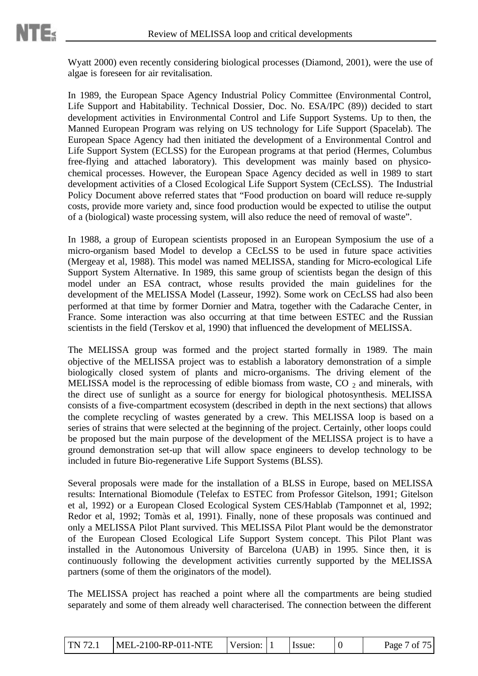Wyatt 2000) even recently considering biological processes (Diamond, 2001), were the use of algae is foreseen for air revitalisation.

In 1989, the European Space Agency Industrial Policy Committee (Environmental Control, Life Support and Habitability. Technical Dossier, Doc. No. ESA/IPC (89)) decided to start development activities in Environmental Control and Life Support Systems. Up to then, the Manned European Program was relying on US technology for Life Support (Spacelab). The European Space Agency had then initiated the development of a Environmental Control and Life Support System (ECLSS) for the European programs at that period (Hermes, Columbus free-flying and attached laboratory). This development was mainly based on physicochemical processes. However, the European Space Agency decided as well in 1989 to start development activities of a Closed Ecological Life Support System (CEcLSS). The Industrial Policy Document above referred states that "Food production on board will reduce re-supply costs, provide more variety and, since food production would be expected to utilise the output of a (biological) waste processing system, will also reduce the need of removal of waste".

In 1988, a group of European scientists proposed in an European Symposium the use of a micro-organism based Model to develop a CEcLSS to be used in future space activities (Mergeay et al, 1988). This model was named MELISSA, standing for Micro-ecological Life Support System Alternative. In 1989, this same group of scientists began the design of this model under an ESA contract, whose results provided the main guidelines for the development of the MELISSA Model (Lasseur, 1992). Some work on CEcLSS had also been performed at that time by former Dornier and Matra, together with the Cadarache Center, in France. Some interaction was also occurring at that time between ESTEC and the Russian scientists in the field (Terskov et al, 1990) that influenced the development of MELISSA.

The MELISSA group was formed and the project started formally in 1989. The main objective of the MELISSA project was to establish a laboratory demonstration of a simple biologically closed system of plants and micro-organisms. The driving element of the MELISSA model is the reprocessing of edible biomass from waste,  $CO_2$  and minerals, with the direct use of sunlight as a source for energy for biological photosynthesis. MELISSA consists of a five-compartment ecosystem (described in depth in the next sections) that allows the complete recycling of wastes generated by a crew. This MELISSA loop is based on a series of strains that were selected at the beginning of the project. Certainly, other loops could be proposed but the main purpose of the development of the MELISSA project is to have a ground demonstration set-up that will allow space engineers to develop technology to be included in future Bio-regenerative Life Support Systems (BLSS).

Several proposals were made for the installation of a BLSS in Europe, based on MELISSA results: International Biomodule (Telefax to ESTEC from Professor Gitelson, 1991; Gitelson et al, 1992) or a European Closed Ecological System CES/Hablab (Tamponnet et al, 1992; Redor et al, 1992; Tomàs et al, 1991). Finally, none of these proposals was continued and only a MELISSA Pilot Plant survived. This MELISSA Pilot Plant would be the demonstrator of the European Closed Ecological Life Support System concept. This Pilot Plant was installed in the Autonomous University of Barcelona (UAB) in 1995. Since then, it is continuously following the development activities currently supported by the MELISSA partners (some of them the originators of the model).

The MELISSA project has reached a point where all the compartments are being studied separately and some of them already well characterised. The connection between the different

| TN 72.1 | $MEL-2100-RP-011-NTE$ | Version: 1 |  | Issue: |  | Page 7 of 75 |
|---------|-----------------------|------------|--|--------|--|--------------|
|---------|-----------------------|------------|--|--------|--|--------------|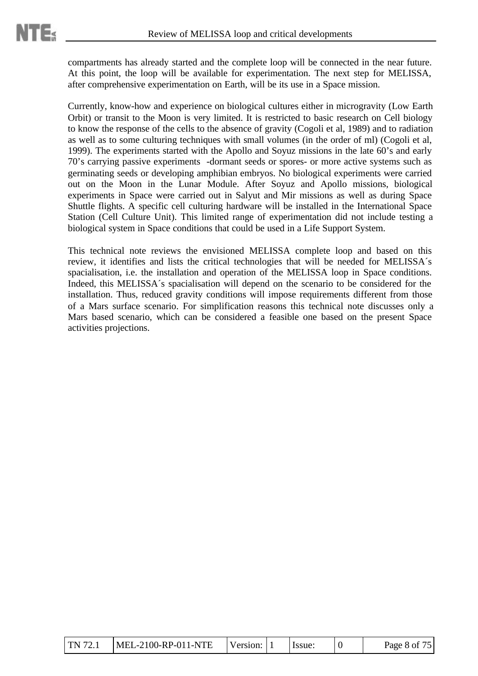compartments has already started and the complete loop will be connected in the near future. At this point, the loop will be available for experimentation. The next step for MELISSA, after comprehensive experimentation on Earth, will be its use in a Space mission.

Currently, know-how and experience on biological cultures either in microgravity (Low Earth Orbit) or transit to the Moon is very limited. It is restricted to basic research on Cell biology to know the response of the cells to the absence of gravity (Cogoli et al, 1989) and to radiation as well as to some culturing techniques with small volumes (in the order of ml) (Cogoli et al, 1999). The experiments started with the Apollo and Soyuz missions in the late 60's and early 70's carrying passive experiments -dormant seeds or spores- or more active systems such as germinating seeds or developing amphibian embryos. No biological experiments were carried out on the Moon in the Lunar Module. After Soyuz and Apollo missions, biological experiments in Space were carried out in Salyut and Mir missions as well as during Space Shuttle flights. A specific cell culturing hardware will be installed in the International Space Station (Cell Culture Unit). This limited range of experimentation did not include testing a biological system in Space conditions that could be used in a Life Support System.

This technical note reviews the envisioned MELISSA complete loop and based on this review, it identifies and lists the critical technologies that will be needed for MELISSA´s spacialisation, i.e. the installation and operation of the MELISSA loop in Space conditions. Indeed, this MELISSA´s spacialisation will depend on the scenario to be considered for the installation. Thus, reduced gravity conditions will impose requirements different from those of a Mars surface scenario. For simplification reasons this technical note discusses only a Mars based scenario, which can be considered a feasible one based on the present Space activities projections.

| <b>TN 72.1</b> | MEL-2100-RP-011-NTE | Version: $\vert \cdot \vert$ |  | lssue: |  | Page 8 of 75 |
|----------------|---------------------|------------------------------|--|--------|--|--------------|
|----------------|---------------------|------------------------------|--|--------|--|--------------|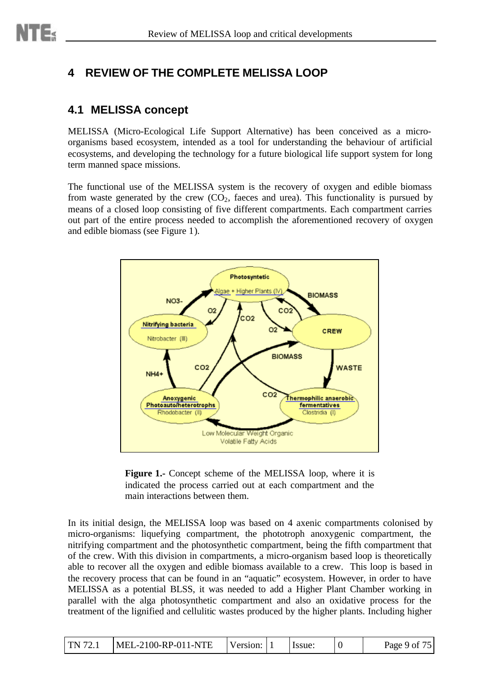## **4 REVIEW OF THE COMPLETE MELISSA LOOP**

## **4.1 MELISSA concept**

MELISSA (Micro-Ecological Life Support Alternative) has been conceived as a microorganisms based ecosystem, intended as a tool for understanding the behaviour of artificial ecosystems, and developing the technology for a future biological life support system for long term manned space missions.

The functional use of the MELISSA system is the recovery of oxygen and edible biomass from waste generated by the crew  $(CO<sub>2</sub>)$ , faeces and urea). This functionality is pursued by means of a closed loop consisting of five different compartments. Each compartment carries out part of the entire process needed to accomplish the aforementioned recovery of oxygen and edible biomass (see Figure 1).



Figure 1.- Concept scheme of the MELISSA loop, where it is indicated the process carried out at each compartment and the main interactions between them.

In its initial design, the MELISSA loop was based on 4 axenic compartments colonised by micro-organisms: liquefying compartment, the phototroph anoxygenic compartment, the nitrifying compartment and the photosynthetic compartment, being the fifth compartment that of the crew. With this division in compartments, a micro-organism based loop is theoretically able to recover all the oxygen and edible biomass available to a crew. This loop is based in the recovery process that can be found in an "aquatic" ecosystem. However, in order to have MELISSA as a potential BLSS, it was needed to add a Higher Plant Chamber working in parallel with the alga photosynthetic compartment and also an oxidative process for the treatment of the lignified and cellulitic wastes produced by the higher plants. Including higher

| <b>TN 72.1</b> | MEL-2100-RP-011-NTE | Version: |  | Issue: |  | Page 9 of 75 |
|----------------|---------------------|----------|--|--------|--|--------------|
|----------------|---------------------|----------|--|--------|--|--------------|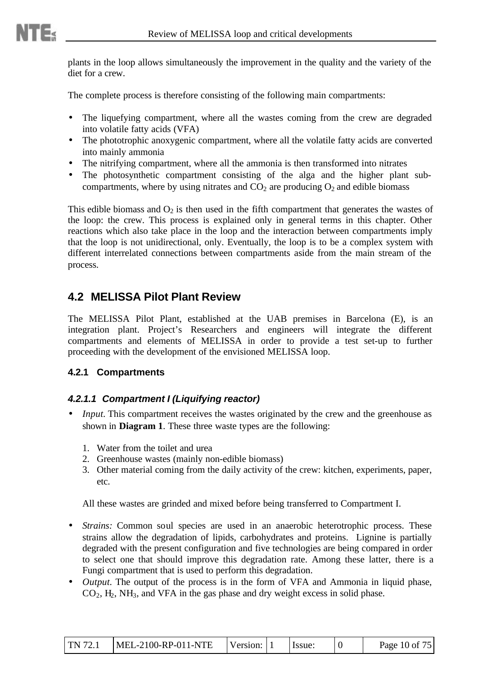plants in the loop allows simultaneously the improvement in the quality and the variety of the diet for a crew.

The complete process is therefore consisting of the following main compartments:

- The liquefying compartment, where all the wastes coming from the crew are degraded into volatile fatty acids (VFA)
- The phototrophic anoxygenic compartment, where all the volatile fatty acids are converted into mainly ammonia
- The nitrifying compartment, where all the ammonia is then transformed into nitrates
- The photosynthetic compartment consisting of the alga and the higher plant subcompartments, where by using nitrates and  $CO<sub>2</sub>$  are producing  $O<sub>2</sub>$  and edible biomass

This edible biomass and  $O_2$  is then used in the fifth compartment that generates the wastes of the loop: the crew. This process is explained only in general terms in this chapter. Other reactions which also take place in the loop and the interaction between compartments imply that the loop is not unidirectional, only. Eventually, the loop is to be a complex system with different interrelated connections between compartments aside from the main stream of the process.

## **4.2 MELISSA Pilot Plant Review**

The MELISSA Pilot Plant, established at the UAB premises in Barcelona (E), is an integration plant. Project's Researchers and engineers will integrate the different compartments and elements of MELISSA in order to provide a test set-up to further proceeding with the development of the envisioned MELISSA loop.

#### **4.2.1 Compartments**

#### *4.2.1.1 Compartment I (Liquifying reactor)*

- *Input.* This compartment receives the wastes originated by the crew and the greenhouse as shown in **Diagram 1**. These three waste types are the following:
	- 1. Water from the toilet and urea
	- 2. Greenhouse wastes (mainly non-edible biomass)
	- 3. Other material coming from the daily activity of the crew: kitchen, experiments, paper, etc.

All these wastes are grinded and mixed before being transferred to Compartment I.

- *Strains:* Common soul species are used in an anaerobic heterotrophic process. These strains allow the degradation of lipids, carbohydrates and proteins. Lignine is partially degraded with the present configuration and five technologies are being compared in order to select one that should improve this degradation rate. Among these latter, there is a Fungi compartment that is used to perform this degradation.
- *Output*. The output of the process is in the form of VFA and Ammonia in liquid phase,  $CO<sub>2</sub>$ , H<sub>2</sub>,  $NH<sub>3</sub>$ , and VFA in the gas phase and dry weight excess in solid phase.

| TN 72.1 | MEL-2100-RP-011-NTE | Version: |  | Issue: |  | Page 10 of 75 |
|---------|---------------------|----------|--|--------|--|---------------|
|---------|---------------------|----------|--|--------|--|---------------|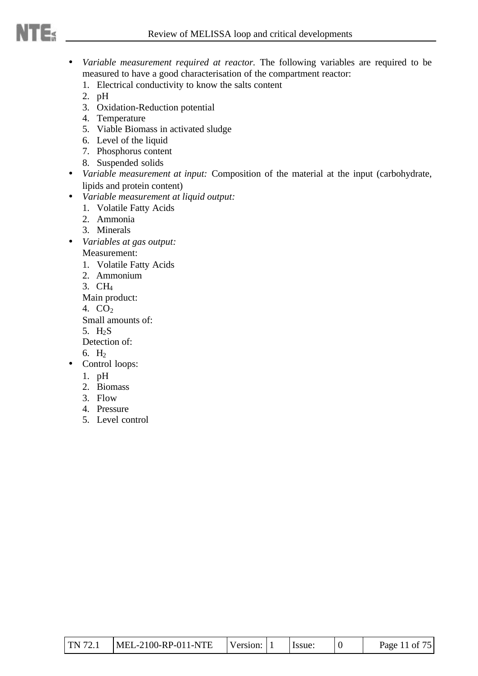- *Variable measurement required at reactor.* The following variables are required to be measured to have a good characterisation of the compartment reactor:
	- 1. Electrical conductivity to know the salts content
	- 2. pH
	- 3. Oxidation-Reduction potential
	- 4. Temperature
	- 5. Viable Biomass in activated sludge
	- 6. Level of the liquid
	- 7. Phosphorus content
	- 8. Suspended solids
- *Variable measurement at input:* Composition of the material at the input (carbohydrate, lipids and protein content)
- *Variable measurement at liquid output:*
	- 1. Volatile Fatty Acids
	- 2. Ammonia
	- 3. Minerals
- *Variables at gas output:*

Measurement:

- 1. Volatile Fatty Acids
- 2. Ammonium
- 3. CH<sup>4</sup>

Main product:

4. CO<sup>2</sup>

Small amounts of:

5.  $H<sub>2</sub>S$ 

Detection of:

- 6.  $H_2$
- Control loops:
	- 1. pH
	- 2. Biomass
	- 3. Flow
	- 4. Pressure
	- 5. Level control

| MEL-2100-RP-011-NTE<br><b>TN</b> 72.1 | Version: |  | Issue: |  | Page 11 of 75 |
|---------------------------------------|----------|--|--------|--|---------------|
|---------------------------------------|----------|--|--------|--|---------------|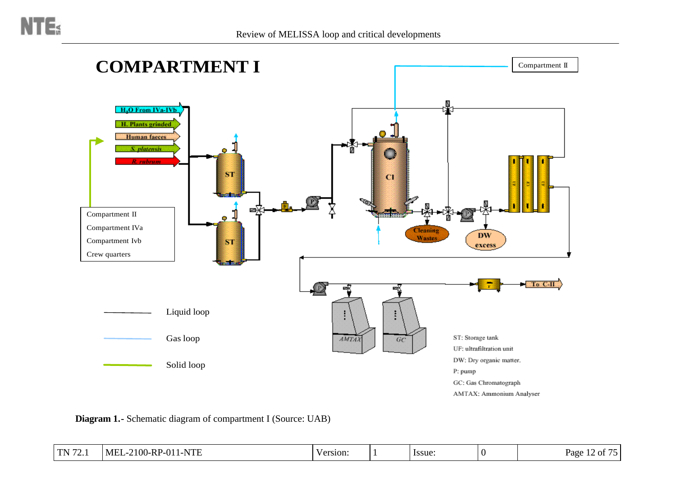

**Diagram 1.-** Schematic diagram of compartment I (Source: UAB)

| TM 72<br>.<br>. | $\mathbf{r}$<br>1-NTE<br>M F<br>1011ء<br>$-2100-RP$<br>, , ,<br>. | Version: |  | lssue: |  | $\sim$ $ \cdot$<br>. .<br>Page<br>$\cdot$ of $\prime$ :<br>. |
|-----------------|-------------------------------------------------------------------|----------|--|--------|--|--------------------------------------------------------------|
|-----------------|-------------------------------------------------------------------|----------|--|--------|--|--------------------------------------------------------------|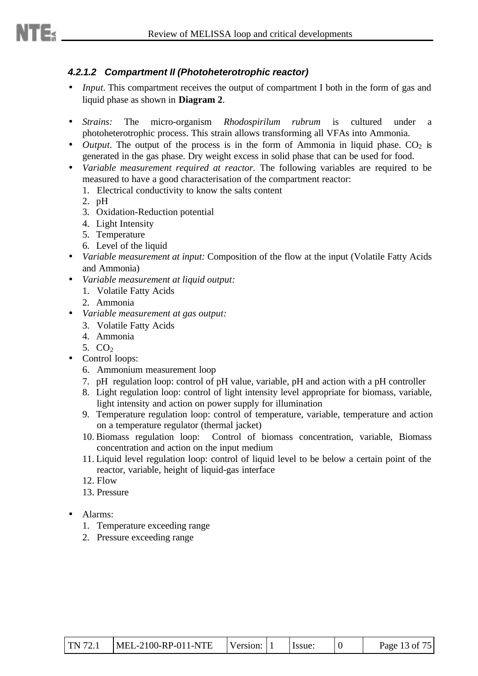#### *4.2.1.2 Compartment II (Photoheterotrophic reactor)*

- *Input.* This compartment receives the output of compartment I both in the form of gas and liquid phase as shown in **Diagram 2**.
- *Strains:* The micro-organism *Rhodospirilum rubrum* is cultured under a photoheterotrophic process. This strain allows transforming all VFAs into Ammonia.
- *Output*. The output of the process is in the form of Ammonia in liquid phase.  $CO<sub>2</sub>$  is generated in the gas phase. Dry weight excess in solid phase that can be used for food.
- *Variable measurement required at reactor.* The following variables are required to be measured to have a good characterisation of the compartment reactor:
	- 1. Electrical conductivity to know the salts content
	- 2. pH
	- 3. Oxidation-Reduction potential
	- 4. Light Intensity
	- 5. Temperature
	- 6. Level of the liquid
- *Variable measurement at input:* Composition of the flow at the input (Volatile Fatty Acids and Ammonia)
- *Variable measurement at liquid output:*
	- 1. Volatile Fatty Acids
	- 2. Ammonia
- *Variable measurement at gas output:*
	- 3. Volatile Fatty Acids
	- 4. Ammonia
	- 5.  $CO<sub>2</sub>$
- Control loops:
	- 6. Ammonium measurement loop
	- 7. pH regulation loop: control of pH value, variable, pH and action with a pH controller
	- 8. Light regulation loop: control of light intensity level appropriate for biomass, variable, light intensity and action on power supply for illumination
	- 9. Temperature regulation loop: control of temperature, variable, temperature and action on a temperature regulator (thermal jacket)
	- 10. Biomass regulation loop: Control of biomass concentration, variable, Biomass concentration and action on the input medium
	- 11. Liquid level regulation loop: control of liquid level to be below a certain point of the reactor, variable, height of liquid-gas interface
	- 12. Flow
	- 13. Pressure
- Alarms:
	- 1. Temperature exceeding range
	- 2. Pressure exceeding range

| $MEL-2100-RP-011-NTE$<br>$\text{TN } 72.1$ | Version: 1 | <b>Issue:</b> |  | Page 13 of 75 |
|--------------------------------------------|------------|---------------|--|---------------|
|--------------------------------------------|------------|---------------|--|---------------|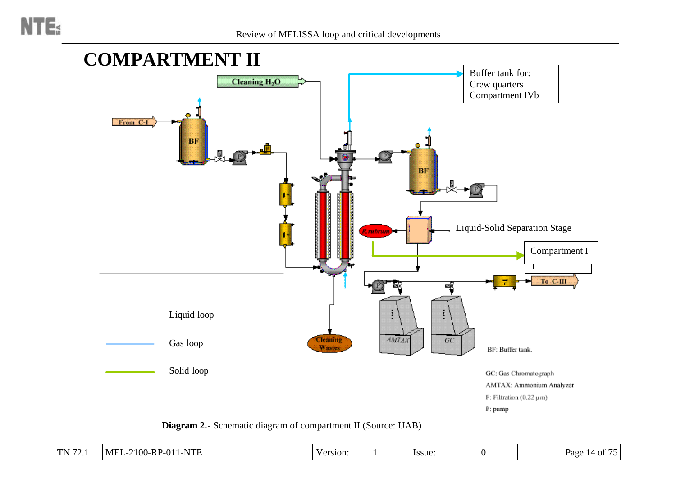

**Diagram 2.-** Schematic diagram of compartment II (Source: UAB)

| $\Gamma$ N 72<br>. ـ ـ | $-2100$ -RP-<br>1-NTE<br>$-MF^{\intercal}$<br>$\sqrt{011}$<br>ے تا" | Version. |  | Issue. |  | . <b>. .</b><br>Page<br>· OI<br>. . |
|------------------------|---------------------------------------------------------------------|----------|--|--------|--|-------------------------------------|
|------------------------|---------------------------------------------------------------------|----------|--|--------|--|-------------------------------------|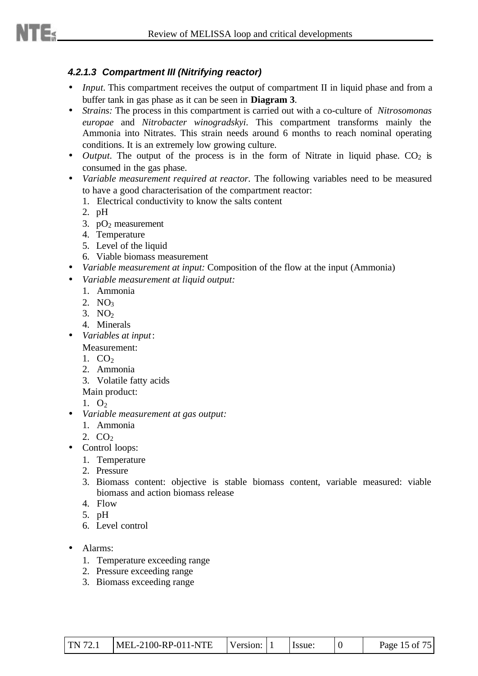#### *4.2.1.3 Compartment III (Nitrifying reactor)*

- *Input.* This compartment receives the output of compartment II in liquid phase and from a buffer tank in gas phase as it can be seen in **Diagram 3**.
- *Strains:* The process in this compartment is carried out with a co-culture of *Nitrosomonas europae* and *Nitrobacter winogradskyi*. This compartment transforms mainly the Ammonia into Nitrates. This strain needs around 6 months to reach nominal operating conditions. It is an extremely low growing culture.
- *Output*. The output of the process is in the form of Nitrate in liquid phase.  $CO<sub>2</sub>$  is consumed in the gas phase.
- *Variable measurement required at reactor.* The following variables need to be measured to have a good characterisation of the compartment reactor:
	- 1. Electrical conductivity to know the salts content
	- 2. pH
	- 3.  $pO_2$  measurement
	- 4. Temperature
	- 5. Level of the liquid
	- 6. Viable biomass measurement
- *Variable measurement at input:* Composition of the flow at the input (Ammonia)
- *Variable measurement at liquid output:*
	- 1. Ammonia
	- 2. NO<sub>3</sub>
	- $3. NO<sub>2</sub>$
	- 4. Minerals
- *Variables at input*:
	- Measurement:
	- 1.  $CO<sub>2</sub>$
	- 2. Ammonia
	- 3. Volatile fatty acids
	- Main product:
	- 1.  $O<sub>2</sub>$
- *Variable measurement at gas output:*
	- 1. Ammonia
	- 2.  $CO<sub>2</sub>$
- Control loops:
	- 1. Temperature
	- 2. Pressure
	- 3. Biomass content: objective is stable biomass content, variable measured: viable biomass and action biomass release
	- 4. Flow
	- 5. pH
	- 6. Level control
- Alarms:
	- 1. Temperature exceeding range
	- 2. Pressure exceeding range
	- 3. Biomass exceeding range

| $\text{TN } 72.1$ | MEL-2100-RP-011-NTE | Version: 1 |  | . Issue: |  | Page 15 of 75 |
|-------------------|---------------------|------------|--|----------|--|---------------|
|-------------------|---------------------|------------|--|----------|--|---------------|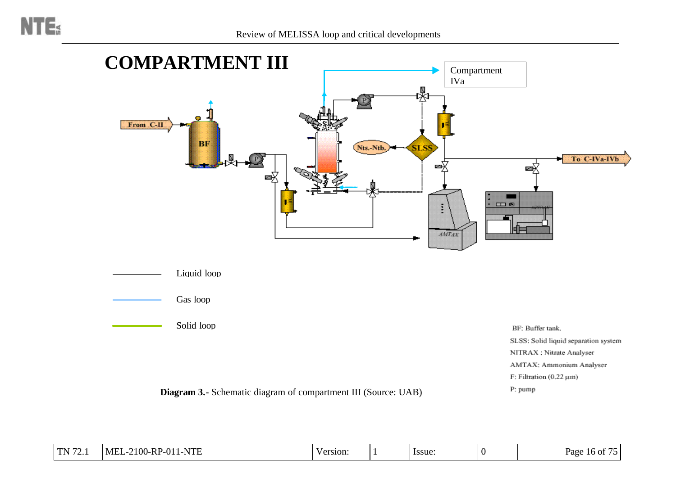

**Diagram 3.-** Schematic diagram of compartment III (Source: UAB)

| эгээ. эонд наам эсрагалон зумса |
|---------------------------------|
| NITRAX : Nitrate Analyser       |
| AMTAX: Ammonium Analyser        |
| : Filtration (0.22 µm)          |
| ): pump                         |

| TN $72$<br>$\cdot$ $\sim$ $\cdot$ $\cdot$<br>. | $-2100$ -RP<br>$\Omega$ 1<br>1-NTE<br><b>MEL</b><br>--v<br>$-$ | Version: |  | Issue: |  | $\cdots$<br>Page<br>-16<br>' OI |
|------------------------------------------------|----------------------------------------------------------------|----------|--|--------|--|---------------------------------|
|------------------------------------------------|----------------------------------------------------------------|----------|--|--------|--|---------------------------------|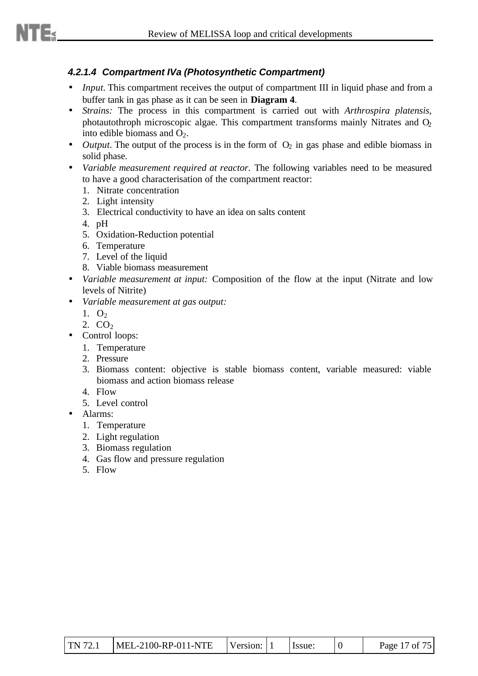#### *4.2.1.4 Compartment IVa (Photosynthetic Compartment)*

- *Input.* This compartment receives the output of compartment III in liquid phase and from a buffer tank in gas phase as it can be seen in **Diagram 4**.
- *Strains:* The process in this compartment is carried out with *Arthrospira platensis*, photautothroph microscopic algae. This compartment transforms mainly Nitrates and  $O<sub>2</sub>$ into edible biomass and  $O_2$ .
- *Output*. The output of the process is in the form of  $O_2$  in gas phase and edible biomass in solid phase.
- *Variable measurement required at reactor.* The following variables need to be measured to have a good characterisation of the compartment reactor:
	- 1. Nitrate concentration
	- 2. Light intensity
	- 3. Electrical conductivity to have an idea on salts content
	- 4. pH
	- 5. Oxidation-Reduction potential
	- 6. Temperature
	- 7. Level of the liquid
	- 8. Viable biomass measurement
- *Variable measurement at input:* Composition of the flow at the input (Nitrate and low levels of Nitrite)
- *Variable measurement at gas output:*
	- 1.  $O<sub>2</sub>$
	- 2.  $CO<sub>2</sub>$
	- Control loops:
		- 1. Temperature
		- 2. Pressure
		- 3. Biomass content: objective is stable biomass content, variable measured: viable biomass and action biomass release
		- 4. Flow
		- 5. Level control
- Alarms:
	- 1. Temperature
	- 2. Light regulation
	- 3. Biomass regulation
	- 4. Gas flow and pressure regulation
	- 5. Flow

| <b>TN</b> 72.1 | MEL-2100-RP-011-NTE | Version: |  | Issue: |  | Page 17 of 75 |
|----------------|---------------------|----------|--|--------|--|---------------|
|----------------|---------------------|----------|--|--------|--|---------------|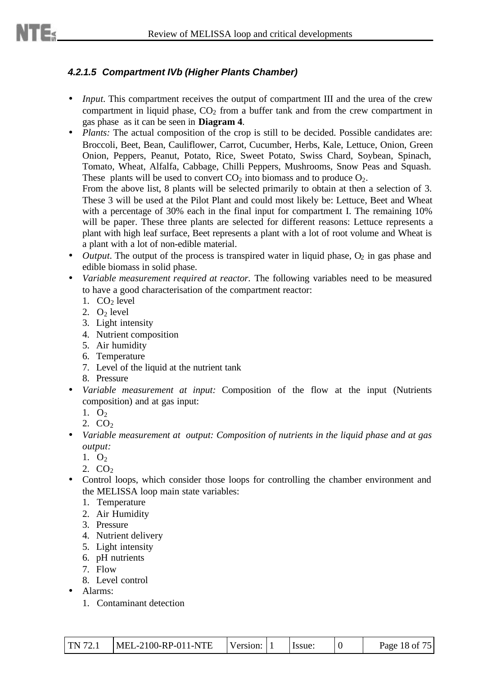#### *4.2.1.5 Compartment IVb (Higher Plants Chamber)*

- *Input*. This compartment receives the output of compartment III and the urea of the crew compartment in liquid phase,  $CO<sub>2</sub>$  from a buffer tank and from the crew compartment in gas phase as it can be seen in **Diagram 4**.
- *Plants:* The actual composition of the crop is still to be decided. Possible candidates are: Broccoli, Beet, Bean, Cauliflower, Carrot, Cucumber, Herbs, Kale, Lettuce, Onion, Green Onion, Peppers, Peanut, Potato, Rice, Sweet Potato, Swiss Chard, Soybean, Spinach, Tomato, Wheat, Alfalfa, Cabbage, Chilli Peppers, Mushrooms, Snow Peas and Squash. These plants will be used to convert  $CO<sub>2</sub>$  into biomass and to produce  $O<sub>2</sub>$ . From the above list, 8 plants will be selected primarily to obtain at then a selection of 3.

These 3 will be used at the Pilot Plant and could most likely be: Lettuce, Beet and Wheat with a percentage of 30% each in the final input for compartment I. The remaining 10% will be paper. These three plants are selected for different reasons: Lettuce represents a plant with high leaf surface, Beet represents a plant with a lot of root volume and Wheat is a plant with a lot of non-edible material.

- *Output*. The output of the process is transpired water in liquid phase,  $O_2$  in gas phase and edible biomass in solid phase.
- *Variable measurement required at reactor.* The following variables need to be measured to have a good characterisation of the compartment reactor:
	- 1.  $CO<sub>2</sub>$  level
	- 2.  $O<sub>2</sub>$  level
	- 3. Light intensity
	- 4. Nutrient composition
	- 5. Air humidity
	- 6. Temperature
	- 7. Level of the liquid at the nutrient tank
	- 8. Pressure
- *Variable measurement at input:* Composition of the flow at the input (Nutrients composition) and at gas input:
	- 1.  $O<sub>2</sub>$

2.  $CO<sub>2</sub>$ 

- *Variable measurement at output: Composition of nutrients in the liquid phase and at gas output:*
	- 1.  $O<sub>2</sub>$
	- 2.  $CO<sub>2</sub>$
- Control loops, which consider those loops for controlling the chamber environment and the MELISSA loop main state variables:
	- 1. Temperature
	- 2. Air Humidity
	- 3. Pressure
	- 4. Nutrient delivery
	- 5. Light intensity
	- 6. pH nutrients
	- 7. Flow
	- 8. Level control
- Alarms:
	- 1. Contaminant detection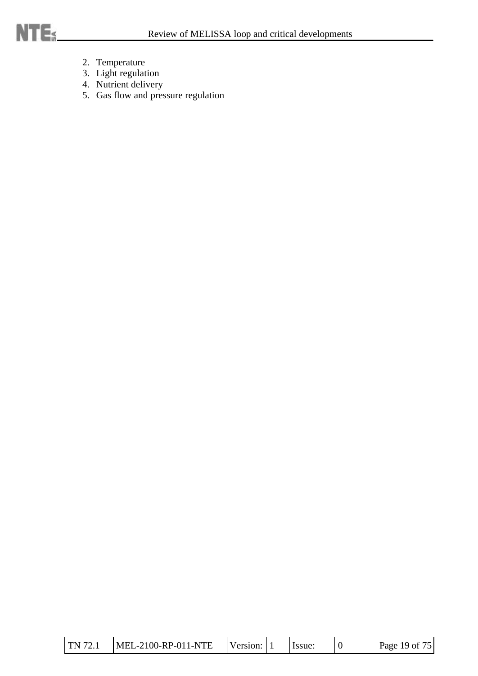- 2. Temperature
- 3. Light regulation
- 4. Nutrient delivery
- 5. Gas flow and pressure regulation

| <b>TN 72.1</b> | MEL-2100-RP-011-NTE | Version: |  | Issue: |  | Page 19 of 75 |
|----------------|---------------------|----------|--|--------|--|---------------|
|----------------|---------------------|----------|--|--------|--|---------------|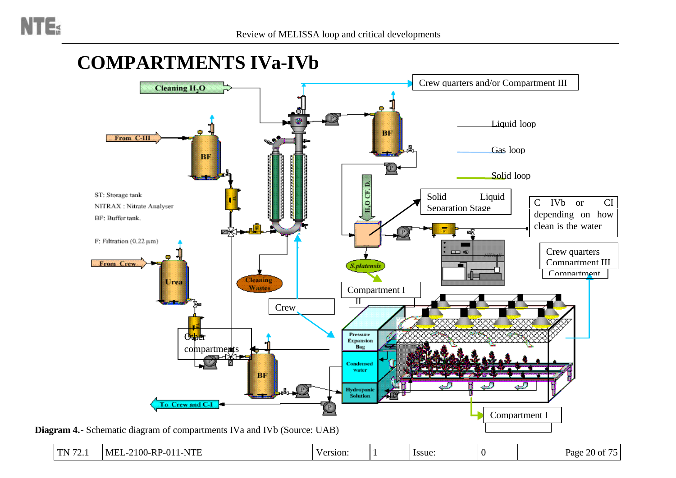## **COMPARTMENTS IVa-IVb**

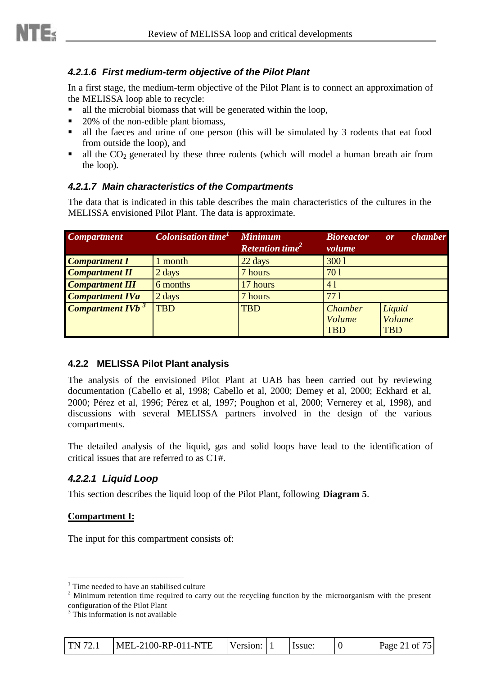#### *4.2.1.6 First medium-term objective of the Pilot Plant*

In a first stage, the medium-term objective of the Pilot Plant is to connect an approximation of the MELISSA loop able to recycle:

- $\blacksquare$  all the microbial biomass that will be generated within the loop,
- $\blacksquare$  20% of the non-edible plant biomass,
- If all the faeces and urine of one person (this will be simulated by 3 rodents that eat food from outside the loop), and
- all the  $CO<sub>2</sub>$  generated by these three rodents (which will model a human breath air from the loop).

#### *4.2.1.7 Main characteristics of the Compartments*

The data that is indicated in this table describes the main characteristics of the cultures in the MELISSA envisioned Pilot Plant. The data is approximate.

| <b>Compartment</b>                  | <b>Colonisation time</b> <sup>1</sup> | <b>Minimum</b><br><b>Retention time<sup>2</sup></b> | <b>Bioreactor</b><br>volume | chamber<br>or |
|-------------------------------------|---------------------------------------|-----------------------------------------------------|-----------------------------|---------------|
| <b>Compartment I</b>                | 1 month                               | 22 days                                             | 3001                        |               |
| <b>Compartment II</b>               | 2 days                                | 7 hours                                             | 701                         |               |
| <b>Compartment III</b>              | 6 months                              | 17 hours                                            | 41                          |               |
| <b>Compartment IVa</b>              | 2 days                                | 7 hours                                             | 771                         |               |
| <b>Compartment IVb</b> <sup>3</sup> | <b>TBD</b>                            | <b>TBD</b>                                          | <b>Chamber</b>              | Liquid        |
|                                     |                                       |                                                     | Volume                      | Volume        |
|                                     |                                       |                                                     | <b>TBD</b>                  | <b>TBD</b>    |

#### **4.2.2 MELISSA Pilot Plant analysis**

The analysis of the envisioned Pilot Plant at UAB has been carried out by reviewing documentation (Cabello et al, 1998; Cabello et al, 2000; Demey et al, 2000; Eckhard et al, 2000; Pérez et al, 1996; Pérez et al, 1997; Poughon et al, 2000; Vernerey et al, 1998), and discussions with several MELISSA partners involved in the design of the various compartments.

The detailed analysis of the liquid, gas and solid loops have lead to the identification of critical issues that are referred to as CT#.

#### *4.2.2.1 Liquid Loop*

This section describes the liquid loop of the Pilot Plant, following **Diagram 5**.

#### **Compartment I:**

l

The input for this compartment consists of:

<sup>&</sup>lt;sup>3</sup> This information is not available

| MEL-2100-RP-011-NTE<br><b>TN 72.1</b><br>Version: 1 |  | Issue: | Page 21 of 75 |
|-----------------------------------------------------|--|--------|---------------|
|-----------------------------------------------------|--|--------|---------------|

<sup>&</sup>lt;sup>1</sup> Time needed to have an stabilised culture

 $2$  Minimum retention time required to carry out the recycling function by the microorganism with the present configuration of the Pilot Plant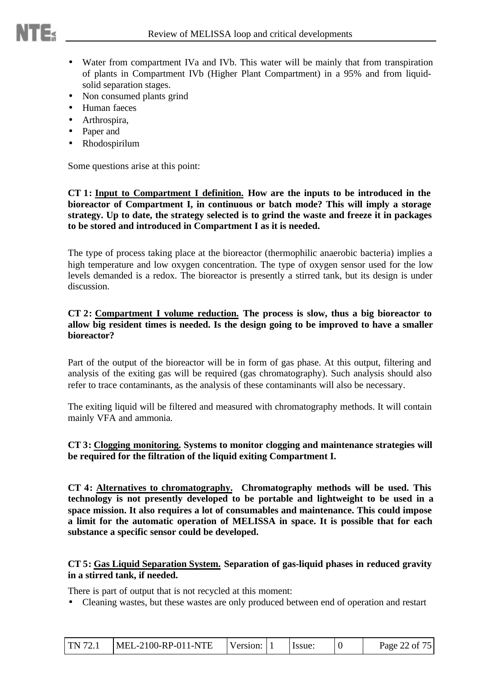

- Water from compartment IVa and IVb. This water will be mainly that from transpiration of plants in Compartment IVb (Higher Plant Compartment) in a 95% and from liquidsolid separation stages.
- Non consumed plants grind
- Human faeces
- Arthrospira,
- Paper and
- Rhodospirilum

Some questions arise at this point:

**CT 1: Input to Compartment I definition. How are the inputs to be introduced in the bioreactor of Compartment I, in continuous or batch mode? This will imply a storage strategy. Up to date, the strategy selected is to grind the waste and freeze it in packages to be stored and introduced in Compartment I as it is needed.**

The type of process taking place at the bioreactor (thermophilic anaerobic bacteria) implies a high temperature and low oxygen concentration. The type of oxygen sensor used for the low levels demanded is a redox. The bioreactor is presently a stirred tank, but its design is under discussion.

#### **CT 2: Compartment I volume reduction. The process is slow, thus a big bioreactor to allow big resident times is needed. Is the design going to be improved to have a smaller bioreactor?**

Part of the output of the bioreactor will be in form of gas phase. At this output, filtering and analysis of the exiting gas will be required (gas chromatography). Such analysis should also refer to trace contaminants, as the analysis of these contaminants will also be necessary.

The exiting liquid will be filtered and measured with chromatography methods. It will contain mainly VFA and ammonia.

#### **CT 3: Clogging monitoring. Systems to monitor clogging and maintenance strategies will be required for the filtration of the liquid exiting Compartment I.**

**CT 4: Alternatives to chromatography. Chromatography methods will be used. This technology is not presently developed to be portable and lightweight to be used in a space mission. It also requires a lot of consumables and maintenance. This could impose a limit for the automatic operation of MELISSA in space. It is possible that for each substance a specific sensor could be developed.**

#### **CT 5: Gas Liquid Separation System. Separation of gas-liquid phases in reduced gravity in a stirred tank, if needed.**

There is part of output that is not recycled at this moment:

• Cleaning wastes, but these wastes are only produced between end of operation and restart

| <b>TN</b> 72.1 | $MEL-2100-RP-011-NTE$ | Version: 11 |  | Issue: |  | Page 22 of 75 |
|----------------|-----------------------|-------------|--|--------|--|---------------|
|----------------|-----------------------|-------------|--|--------|--|---------------|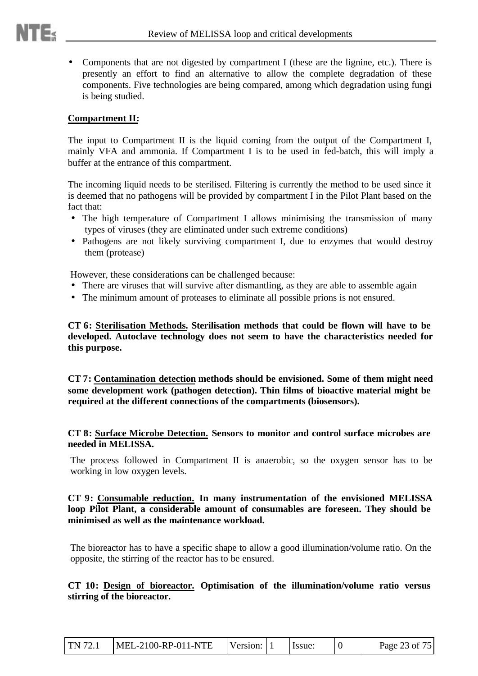• Components that are not digested by compartment I (these are the lignine, etc.). There is presently an effort to find an alternative to allow the complete degradation of these components. Five technologies are being compared, among which degradation using fungi is being studied.

#### **Compartment II:**

The input to Compartment II is the liquid coming from the output of the Compartment I, mainly VFA and ammonia. If Compartment I is to be used in fed-batch, this will imply a buffer at the entrance of this compartment.

The incoming liquid needs to be sterilised. Filtering is currently the method to be used since it is deemed that no pathogens will be provided by compartment I in the Pilot Plant based on the fact that:

- The high temperature of Compartment I allows minimising the transmission of many types of viruses (they are eliminated under such extreme conditions)
- Pathogens are not likely surviving compartment I, due to enzymes that would destroy them (protease)

However, these considerations can be challenged because:

- There are viruses that will survive after dismantling, as they are able to assemble again
- The minimum amount of proteases to eliminate all possible prions is not ensured.

**CT 6: Sterilisation Methods. Sterilisation methods that could be flown will have to be developed. Autoclave technology does not seem to have the characteristics needed for this purpose.**

**CT 7: Contamination detection methods should be envisioned. Some of them might need some development work (pathogen detection). Thin films of bioactive material might be required at the different connections of the compartments (biosensors).**

#### **CT 8: Surface Microbe Detection. Sensors to monitor and control surface microbes are needed in MELISSA.**

The process followed in Compartment II is anaerobic, so the oxygen sensor has to be working in low oxygen levels.

#### **CT 9: Consumable reduction. In many instrumentation of the envisioned MELISSA loop Pilot Plant, a considerable amount of consumables are foreseen. They should be minimised as well as the maintenance workload.**

The bioreactor has to have a specific shape to allow a good illumination/volume ratio. On the opposite, the stirring of the reactor has to be ensured.

#### **CT 10: Design of bioreactor. Optimisation of the illumination/volume ratio versus stirring of the bioreactor.**

| TN 72.1 | $MEL-2100-RP-011-NTE$ | Version: 1 |  | Hssue: |  | Page 23 of 75 |
|---------|-----------------------|------------|--|--------|--|---------------|
|---------|-----------------------|------------|--|--------|--|---------------|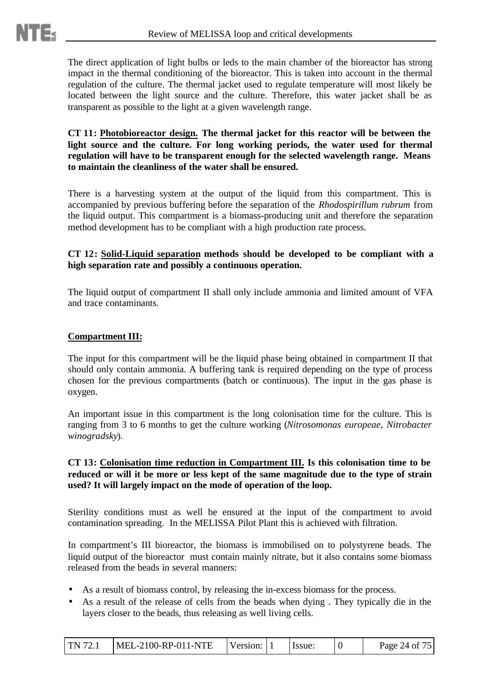The direct application of light bulbs or leds to the main chamber of the bioreactor has strong impact in the thermal conditioning of the bioreactor. This is taken into account in the thermal regulation of the culture. The thermal jacket used to regulate temperature will most likely be located between the light source and the culture. Therefore, this water jacket shall be as transparent as possible to the light at a given wavelength range.

#### **CT 11: Photobioreactor design. The thermal jacket for this reactor will be between the light source and the culture. For long working periods, the water used for thermal regulation will have to be transparent enough for the selected wavelength range. Means to maintain the cleanliness of the water shall be ensured.**

There is a harvesting system at the output of the liquid from this compartment. This is accompanied by previous buffering before the separation of the *Rhodospirillum rubrum* from the liquid output. This compartment is a biomass-producing unit and therefore the separation method development has to be compliant with a high production rate process.

#### **CT 12: Solid-Liquid separation methods should be developed to be compliant with a high separation rate and possibly a continuous operation.**

The liquid output of compartment II shall only include ammonia and limited amount of VFA and trace contaminants.

#### **Compartment III:**

The input for this compartment will be the liquid phase being obtained in compartment II that should only contain ammonia. A buffering tank is required depending on the type of process chosen for the previous compartments (batch or continuous). The input in the gas phase is oxygen.

An important issue in this compartment is the long colonisation time for the culture. This is ranging from 3 to 6 months to get the culture working (*Nitrosomonas europeae, Nitrobacter winogradsky*).

#### **CT 13: Colonisation time reduction in Compartment III. Is this colonisation time to be reduced or will it be more or less kept of the same magnitude due to the type of strain used? It will largely impact on the mode of operation of the loop.**

Sterility conditions must as well be ensured at the input of the compartment to avoid contamination spreading. In the MELISSA Pilot Plant this is achieved with filtration.

In compartment's III bioreactor, the biomass is immobilised on to polystyrene beads. The liquid output of the bioreactor must contain mainly nitrate, but it also contains some biomass released from the beads in several manners:

- As a result of biomass control, by releasing the in-excess biomass for the process.
- As a result of the release of cells from the beads when dying . They typically die in the layers closer to the beads, thus releasing as well living cells.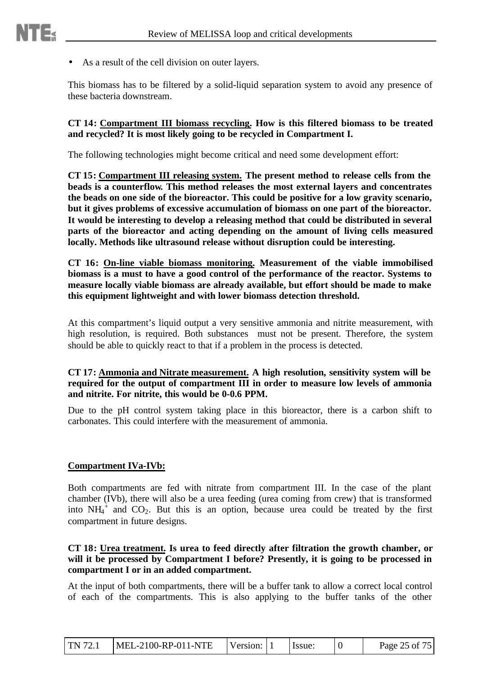• As a result of the cell division on outer layers.

This biomass has to be filtered by a solid-liquid separation system to avoid any presence of these bacteria downstream.

#### **CT 14: Compartment III biomass recycling. How is this filtered biomass to be treated and recycled? It is most likely going to be recycled in Compartment I.**

The following technologies might become critical and need some development effort:

**CT 15: Compartment III releasing system. The present method to release cells from the beads is a counterflow. This method releases the most external layers and concentrates the beads on one side of the bioreactor. This could be positive for a low gravity scenario, but it gives problems of excessive accumulation of biomass on one part of the bioreactor. It would be interesting to develop a releasing method that could be distributed in several parts of the bioreactor and acting depending on the amount of living cells measured locally. Methods like ultrasound release without disruption could be interesting.**

**CT 16: On-line viable biomass monitoring. Measurement of the viable immobilised biomass is a must to have a good control of the performance of the reactor. Systems to measure locally viable biomass are already available, but effort should be made to make this equipment lightweight and with lower biomass detection threshold.**

At this compartment's liquid output a very sensitive ammonia and nitrite measurement, with high resolution, is required. Both substances must not be present. Therefore, the system should be able to quickly react to that if a problem in the process is detected.

#### **CT 17: Ammonia and Nitrate measurement. A high resolution, sensitivity system will be required for the output of compartment III in order to measure low levels of ammonia and nitrite. For nitrite, this would be 0-0.6 PPM.**

Due to the pH control system taking place in this bioreactor, there is a carbon shift to carbonates. This could interfere with the measurement of ammonia.

#### **Compartment IVa-IVb:**

Both compartments are fed with nitrate from compartment III. In the case of the plant chamber (IVb), there will also be a urea feeding (urea coming from crew) that is transformed into  $NH_4^+$  and  $CO_2$ . But this is an option, because urea could be treated by the first compartment in future designs.

#### **CT 18: Urea treatment. Is urea to feed directly after filtration the growth chamber, or** will it be processed by Compartment I before? Presently, it is going to be processed in **compartment I or in an added compartment.**

At the input of both compartments, there will be a buffer tank to allow a correct local control of each of the compartments. This is also applying to the buffer tanks of the other

| I TN 72.1 | $MEL-2100-RP-011-NTE$ | <b>Version:</b> $11$ |  | <b>Issue:</b> |  | Page 25 of 75 |
|-----------|-----------------------|----------------------|--|---------------|--|---------------|
|-----------|-----------------------|----------------------|--|---------------|--|---------------|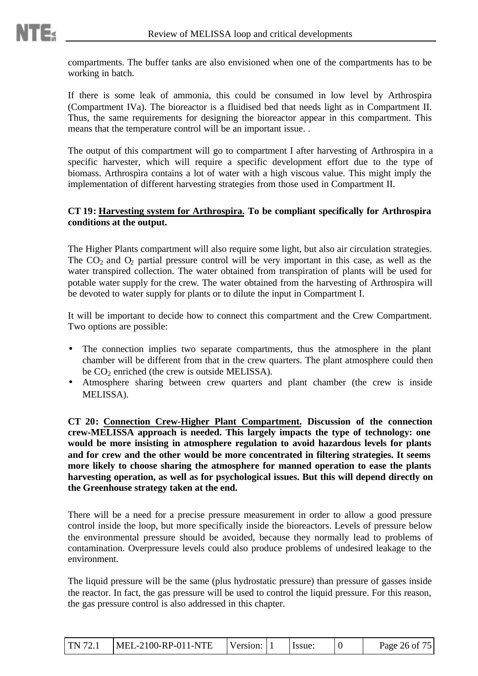compartments. The buffer tanks are also envisioned when one of the compartments has to be working in batch.

If there is some leak of ammonia, this could be consumed in low level by Arthrospira (Compartment IVa). The bioreactor is a fluidised bed that needs light as in Compartment II. Thus, the same requirements for designing the bioreactor appear in this compartment. This means that the temperature control will be an important issue. .

The output of this compartment will go to compartment I after harvesting of Arthrospira in a specific harvester, which will require a specific development effort due to the type of biomass. Arthrospìra contains a lot of water with a high viscous value. This might imply the implementation of different harvesting strategies from those used in Compartment II.

#### **CT 19: Harvesting system for Arthrospira. To be compliant specifically for Arthrospira conditions at the output.**

The Higher Plants compartment will also require some light, but also air circulation strategies. The  $CO<sub>2</sub>$  and  $O<sub>2</sub>$  partial pressure control will be very important in this case, as well as the water transpired collection. The water obtained from transpiration of plants will be used for potable water supply for the crew. The water obtained from the harvesting of Arthrospira will be devoted to water supply for plants or to dilute the input in Compartment I.

It will be important to decide how to connect this compartment and the Crew Compartment. Two options are possible:

- The connection implies two separate compartments, thus the atmosphere in the plant chamber will be different from that in the crew quarters. The plant atmosphere could then be  $CO<sub>2</sub>$  enriched (the crew is outside MELISSA).
- Atmosphere sharing between crew quarters and plant chamber (the crew is inside MELISSA).

**CT 20: Connection Crew-Higher Plant Compartment. Discussion of the connection crew-MELISSA approach is needed. This largely impacts the type of technology: one would be more insisting in atmosphere regulation to avoid hazardous levels for plants and for crew and the other would be more concentrated in filtering strategies. It seems more likely to choose sharing the atmosphere for manned operation to ease the plants harvesting operation, as well as for psychological issues. But this will depend directly on the Greenhouse strategy taken at the end.**

There will be a need for a precise pressure measurement in order to allow a good pressure control inside the loop, but more specifically inside the bioreactors. Levels of pressure below the environmental pressure should be avoided, because they normally lead to problems of contamination. Overpressure levels could also produce problems of undesired leakage to the environment.

The liquid pressure will be the same (plus hydrostatic pressure) than pressure of gasses inside the reactor. In fact, the gas pressure will be used to control the liquid pressure. For this reason, the gas pressure control is also addressed in this chapter.

| I TN 72.1 | $MEL-2100-RP-011-NTE$ | Version: 1 |  | lssue: |  | Page 26 of 75 |
|-----------|-----------------------|------------|--|--------|--|---------------|
|-----------|-----------------------|------------|--|--------|--|---------------|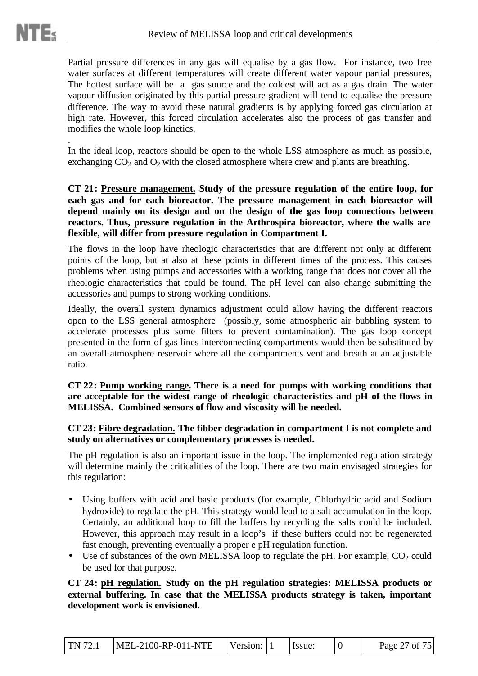Partial pressure differences in any gas will equalise by a gas flow. For instance, two free water surfaces at different temperatures will create different water vapour partial pressures, The hottest surface will be a gas source and the coldest will act as a gas drain. The water vapour diffusion originated by this partial pressure gradient will tend to equalise the pressure difference. The way to avoid these natural gradients is by applying forced gas circulation at high rate. However, this forced circulation accelerates also the process of gas transfer and modifies the whole loop kinetics.

. In the ideal loop, reactors should be open to the whole LSS atmosphere as much as possible, exchanging  $CO_2$  and  $O_2$  with the closed atmosphere where crew and plants are breathing.

**CT 21: Pressure management. Study of the pressure regulation of the entire loop, for each gas and for each bioreactor. The pressure management in each bioreactor will depend mainly on its design and on the design of the gas loop connections between reactors. Thus, pressure regulation in the Arthrospira bioreactor, where the walls are flexible, will differ from pressure regulation in Compartment I.**

The flows in the loop have rheologic characteristics that are different not only at different points of the loop, but at also at these points in different times of the process. This causes problems when using pumps and accessories with a working range that does not cover all the rheologic characteristics that could be found. The pH level can also change submitting the accessories and pumps to strong working conditions.

Ideally, the overall system dynamics adjustment could allow having the different reactors open to the LSS general atmosphere (possibly, some atmospheric air bubbling system to accelerate processes plus some filters to prevent contamination). The gas loop concept presented in the form of gas lines interconnecting compartments would then be substituted by an overall atmosphere reservoir where all the compartments vent and breath at an adjustable ratio.

**CT 22: Pump working range. There is a need for pumps with working conditions that are acceptable for the widest range of rheologic characteristics and pH of the flows in MELISSA. Combined sensors of flow and viscosity will be needed.**

#### **CT 23: Fibre degradation. The fibber degradation in compartment I is not complete and study on alternatives or complementary processes is needed.**

The pH regulation is also an important issue in the loop. The implemented regulation strategy will determine mainly the criticalities of the loop. There are two main envisaged strategies for this regulation:

- Using buffers with acid and basic products (for example, Chlorhydric acid and Sodium hydroxide) to regulate the pH. This strategy would lead to a salt accumulation in the loop. Certainly, an additional loop to fill the buffers by recycling the salts could be included. However, this approach may result in a loop's if these buffers could not be regenerated fast enough, preventing eventually a proper e pH regulation function.
- Use of substances of the own MELISSA loop to regulate the pH. For example,  $CO<sub>2</sub>$  could be used for that purpose.

**CT 24: pH regulation. Study on the pH regulation strategies: MELISSA products or external buffering. In case that the MELISSA products strategy is taken, important development work is envisioned.**

| TN 72.1 | MEL-2100-RP-011-NTE | Version: $ 1$ |  | Issue: |  | Page 27 of 75 |
|---------|---------------------|---------------|--|--------|--|---------------|
|---------|---------------------|---------------|--|--------|--|---------------|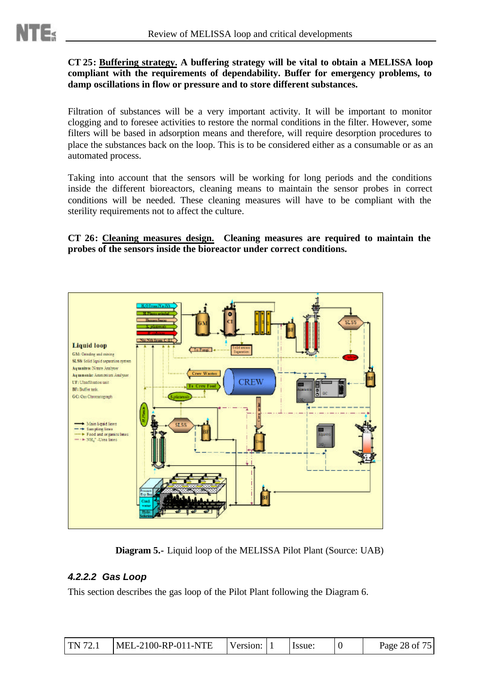#### **CT 25: Buffering strategy. A buffering strategy will be vital to obtain a MELISSA loop compliant with the requirements of dependability. Buffer for emergency problems, to damp oscillations in flow or pressure and to store different substances.**

Filtration of substances will be a very important activity. It will be important to monitor clogging and to foresee activities to restore the normal conditions in the filter. However, some filters will be based in adsorption means and therefore, will require desorption procedures to place the substances back on the loop. This is to be considered either as a consumable or as an automated process.

Taking into account that the sensors will be working for long periods and the conditions inside the different bioreactors, cleaning means to maintain the sensor probes in correct conditions will be needed. These cleaning measures will have to be compliant with the sterility requirements not to affect the culture.

**CT 26: Cleaning measures design. Cleaning measures are required to maintain the probes of the sensors inside the bioreactor under correct conditions.**



**Diagram 5.-** Liquid loop of the MELISSA Pilot Plant (Source: UAB)

#### *4.2.2.2 Gas Loop*

This section describes the gas loop of the Pilot Plant following the Diagram 6.

| $MEL-2100-RP-011-NTE$<br>$\text{TN } 72.1$ | Version: 1 | Issue: | Page 28 of 75 |
|--------------------------------------------|------------|--------|---------------|
|--------------------------------------------|------------|--------|---------------|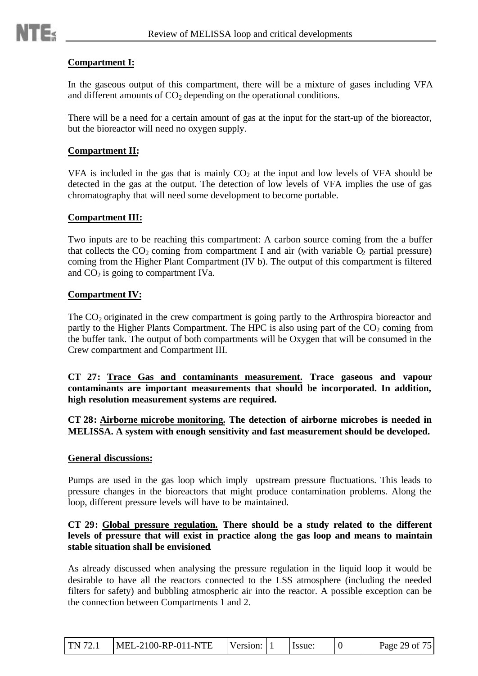

#### **Compartment I:**

In the gaseous output of this compartment, there will be a mixture of gases including VFA and different amounts of  $CO<sub>2</sub>$  depending on the operational conditions.

There will be a need for a certain amount of gas at the input for the start-up of the bioreactor, but the bioreactor will need no oxygen supply.

#### **Compartment II:**

VFA is included in the gas that is mainly  $CO<sub>2</sub>$  at the input and low levels of VFA should be detected in the gas at the output. The detection of low levels of VFA implies the use of gas chromatography that will need some development to become portable.

#### **Compartment III:**

Two inputs are to be reaching this compartment: A carbon source coming from the a buffer that collects the  $CO_2$  coming from compartment I and air (with variable  $O_2$  partial pressure) coming from the Higher Plant Compartment (IV b). The output of this compartment is filtered and  $CO<sub>2</sub>$  is going to compartment IVa.

#### **Compartment IV:**

The CO<sub>2</sub> originated in the crew compartment is going partly to the Arthrospira bioreactor and partly to the Higher Plants Compartment. The HPC is also using part of the  $CO<sub>2</sub>$  coming from the buffer tank. The output of both compartments will be Oxygen that will be consumed in the Crew compartment and Compartment III.

**CT 27: Trace Gas and contaminants measurement. Trace gaseous and vapour contaminants are important measurements that should be incorporated. In addition, high resolution measurement systems are required.**

**CT 28: Airborne microbe monitoring. The detection of airborne microbes is needed in MELISSA. A system with enough sensitivity and fast measurement should be developed.**

#### **General discussions:**

Pumps are used in the gas loop which imply upstream pressure fluctuations. This leads to pressure changes in the bioreactors that might produce contamination problems. Along the loop, different pressure levels will have to be maintained.

#### **CT 29: Global pressure regulation. There should be a study related to the different levels of pressure that will exist in practice along the gas loop and means to maintain stable situation shall be envisioned**.

As already discussed when analysing the pressure regulation in the liquid loop it would be desirable to have all the reactors connected to the LSS atmosphere (including the needed filters for safety) and bubbling atmospheric air into the reactor. A possible exception can be the connection between Compartments 1 and 2.

| <b>TN 72.1</b> | MEL-2100-RP-011-NTE | Version: |  | Issue: |  | Page 29 of 75 |
|----------------|---------------------|----------|--|--------|--|---------------|
|----------------|---------------------|----------|--|--------|--|---------------|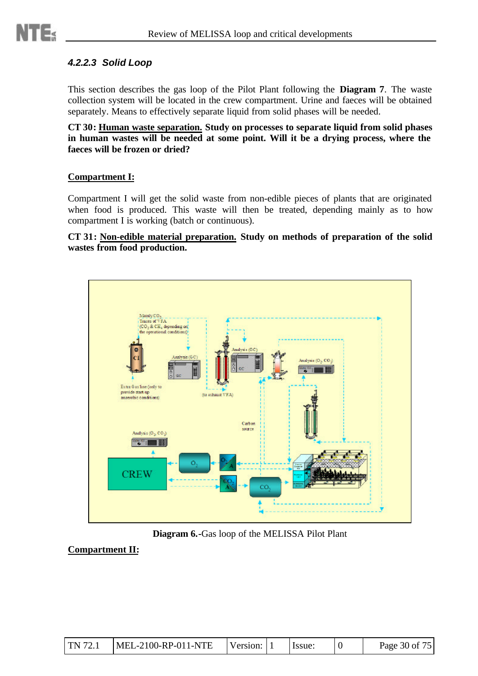

#### *4.2.2.3 Solid Loop*

This section describes the gas loop of the Pilot Plant following the **Diagram 7**. The waste collection system will be located in the crew compartment. Urine and faeces will be obtained separately. Means to effectively separate liquid from solid phases will be needed.

**CT 30: Human waste separation. Study on processes to separate liquid from solid phases in human wastes will be needed at some point. Will it be a drying process, where the faeces will be frozen or dried?**

#### **Compartment I:**

Compartment I will get the solid waste from non-edible pieces of plants that are originated when food is produced. This waste will then be treated, depending mainly as to how compartment I is working (batch or continuous).

**CT 31: Non-edible material preparation. Study on methods of preparation of the solid wastes from food production.**



**Diagram 6.-**Gas loop of the MELISSA Pilot Plant

**Compartment II:**

| TN 72.1 | $MEL-2100-RP-011-NTE$ | Version: $ 1$ |  | Issue: |  | Page 30 of 75 |
|---------|-----------------------|---------------|--|--------|--|---------------|
|---------|-----------------------|---------------|--|--------|--|---------------|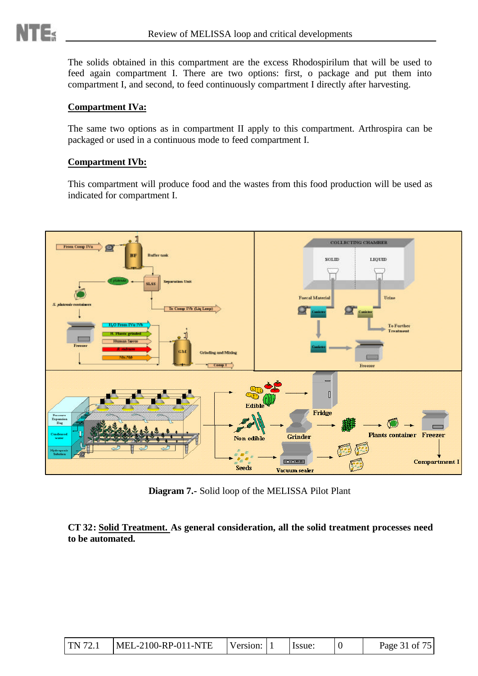The solids obtained in this compartment are the excess Rhodospirilum that will be used to feed again compartment I. There are two options: first, o package and put them into compartment I, and second, to feed continuously compartment I directly after harvesting.

#### **Compartment IVa:**

The same two options as in compartment II apply to this compartment. Arthrospira can be packaged or used in a continuous mode to feed compartment I.

#### **Compartment IVb:**

This compartment will produce food and the wastes from this food production will be used as indicated for compartment I.



**Diagram 7.-** Solid loop of the MELISSA Pilot Plant

**CT 32: Solid Treatment. As general consideration, all the solid treatment processes need to be automated.**

| MEL-2100-RP-011-NTE<br>TN 72.1 | Version: 1 |  | Issue: |  | Page 31 of 75 |
|--------------------------------|------------|--|--------|--|---------------|
|--------------------------------|------------|--|--------|--|---------------|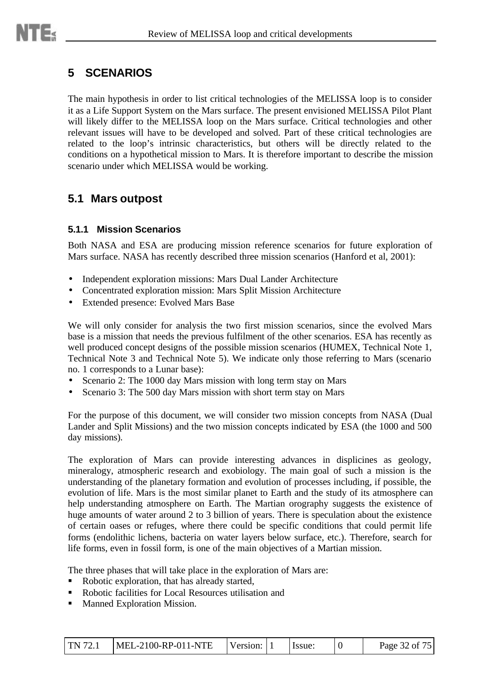## **5 SCENARIOS**

The main hypothesis in order to list critical technologies of the MELISSA loop is to consider it as a Life Support System on the Mars surface. The present envisioned MELISSA Pilot Plant will likely differ to the MELISSA loop on the Mars surface. Critical technologies and other relevant issues will have to be developed and solved. Part of these critical technologies are related to the loop's intrinsic characteristics, but others will be directly related to the conditions on a hypothetical mission to Mars. It is therefore important to describe the mission scenario under which MELISSA would be working.

## **5.1 Mars outpost**

#### **5.1.1 Mission Scenarios**

Both NASA and ESA are producing mission reference scenarios for future exploration of Mars surface. NASA has recently described three mission scenarios (Hanford et al, 2001):

- Independent exploration missions: Mars Dual Lander Architecture
- Concentrated exploration mission: Mars Split Mission Architecture
- Extended presence: Evolved Mars Base

We will only consider for analysis the two first mission scenarios, since the evolved Mars base is a mission that needs the previous fulfilment of the other scenarios. ESA has recently as well produced concept designs of the possible mission scenarios (HUMEX, Technical Note 1, Technical Note 3 and Technical Note 5). We indicate only those referring to Mars (scenario no. 1 corresponds to a Lunar base):

- Scenario 2: The 1000 day Mars mission with long term stay on Mars
- Scenario 3: The 500 day Mars mission with short term stay on Mars

For the purpose of this document, we will consider two mission concepts from NASA (Dual Lander and Split Missions) and the two mission concepts indicated by ESA (the 1000 and 500 day missions).

The exploration of Mars can provide interesting advances in displicines as geology, mineralogy, atmospheric research and exobiology. The main goal of such a mission is the understanding of the planetary formation and evolution of processes including, if possible, the evolution of life. Mars is the most similar planet to Earth and the study of its atmosphere can help understanding atmosphere on Earth. The Martian orography suggests the existence of huge amounts of water around 2 to 3 billion of years. There is speculation about the existence of certain oases or refuges, where there could be specific conditions that could permit life forms (endolithic lichens, bacteria on water layers below surface, etc.). Therefore, search for life forms, even in fossil form, is one of the main objectives of a Martian mission.

The three phases that will take place in the exploration of Mars are:

- Robotic exploration, that has already started,
- ß Robotic facilities for Local Resources utilisation and
- ß Manned Exploration Mission.

| TN 72.1 | $MEL-2100-RP-011-NTE$ | Version: 1 |  | Issue: |  | Page 32 of 75 |
|---------|-----------------------|------------|--|--------|--|---------------|
|---------|-----------------------|------------|--|--------|--|---------------|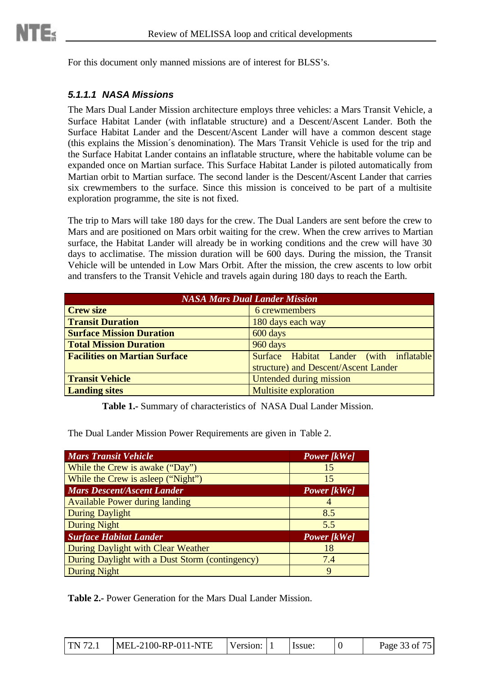For this document only manned missions are of interest for BLSS's.

#### *5.1.1.1 NASA Missions*

The Mars Dual Lander Mission architecture employs three vehicles: a Mars Transit Vehicle, a Surface Habitat Lander (with inflatable structure) and a Descent/Ascent Lander. Both the Surface Habitat Lander and the Descent/Ascent Lander will have a common descent stage (this explains the Mission´s denomination). The Mars Transit Vehicle is used for the trip and the Surface Habitat Lander contains an inflatable structure, where the habitable volume can be expanded once on Martian surface. This Surface Habitat Lander is piloted automatically from Martian orbit to Martian surface. The second lander is the Descent/Ascent Lander that carries six crewmembers to the surface. Since this mission is conceived to be part of a multisite exploration programme, the site is not fixed.

The trip to Mars will take 180 days for the crew. The Dual Landers are sent before the crew to Mars and are positioned on Mars orbit waiting for the crew. When the crew arrives to Martian surface, the Habitat Lander will already be in working conditions and the crew will have 30 days to acclimatise. The mission duration will be 600 days. During the mission, the Transit Vehicle will be untended in Low Mars Orbit. After the mission, the crew ascents to low orbit and transfers to the Transit Vehicle and travels again during 180 days to reach the Earth.

| <b>NASA Mars Dual Lander Mission</b> |                                         |  |  |  |  |  |  |
|--------------------------------------|-----------------------------------------|--|--|--|--|--|--|
| <b>Crew size</b>                     | 6 crewmembers                           |  |  |  |  |  |  |
| <b>Transit Duration</b>              | 180 days each way                       |  |  |  |  |  |  |
| <b>Surface Mission Duration</b>      | 600 days                                |  |  |  |  |  |  |
| <b>Total Mission Duration</b>        | 960 days                                |  |  |  |  |  |  |
| <b>Facilities on Martian Surface</b> | Surface Habitat Lander (with inflatable |  |  |  |  |  |  |
|                                      | structure) and Descent/Ascent Lander    |  |  |  |  |  |  |
| <b>Transit Vehicle</b>               | <b>Untended during mission</b>          |  |  |  |  |  |  |
| <b>Landing sites</b>                 | <b>Multisite exploration</b>            |  |  |  |  |  |  |

**Table 1.-** Summary of characteristics of NASA Dual Lander Mission.

The Dual Lander Mission Power Requirements are given in Table 2.

| <b>Mars Transit Vehicle</b>                     | <b>Power</b> [kWe] |
|-------------------------------------------------|--------------------|
| While the Crew is awake ("Day")                 | 15                 |
| While the Crew is asleep ("Night")              | 15                 |
| <b>Mars Descent/Ascent Lander</b>               | <b>Power</b> [kWe] |
| <b>Available Power during landing</b>           |                    |
| <b>During Daylight</b>                          | 8.5                |
| <b>During Night</b>                             | 5.5                |
| <b>Surface Habitat Lander</b>                   | <b>Power</b> [kWe] |
| During Daylight with Clear Weather              | 18                 |
| During Daylight with a Dust Storm (contingency) | 7.4                |
| <b>During Night</b>                             | 9                  |

**Table 2.-** Power Generation for the Mars Dual Lander Mission.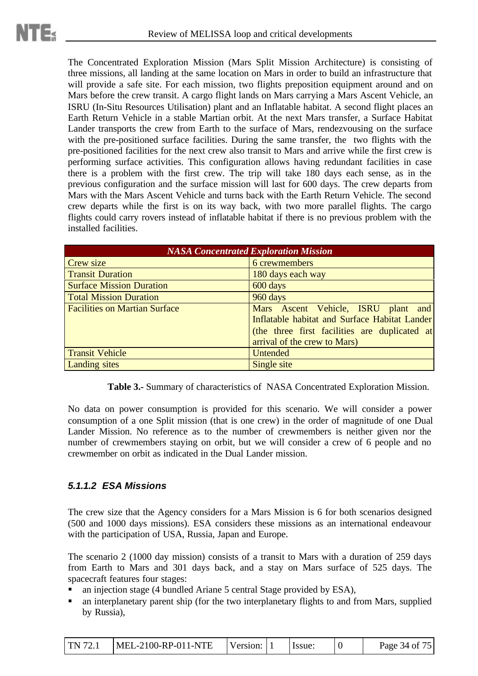The Concentrated Exploration Mission (Mars Split Mission Architecture) is consisting of three missions, all landing at the same location on Mars in order to build an infrastructure that will provide a safe site. For each mission, two flights preposition equipment around and on Mars before the crew transit. A cargo flight lands on Mars carrying a Mars Ascent Vehicle, an ISRU (In-Situ Resources Utilisation) plant and an Inflatable habitat. A second flight places an Earth Return Vehicle in a stable Martian orbit. At the next Mars transfer, a Surface Habitat Lander transports the crew from Earth to the surface of Mars, rendezvousing on the surface with the pre-positioned surface facilities. During the same transfer, the two flights with the pre-positioned facilities for the next crew also transit to Mars and arrive while the first crew is performing surface activities. This configuration allows having redundant facilities in case there is a problem with the first crew. The trip will take 180 days each sense, as in the previous configuration and the surface mission will last for 600 days. The crew departs from Mars with the Mars Ascent Vehicle and turns back with the Earth Return Vehicle. The second crew departs while the first is on its way back, with two more parallel flights. The cargo flights could carry rovers instead of inflatable habitat if there is no previous problem with the installed facilities.

| <b>NASA Concentrated Exploration Mission</b> |                                                                                                                                                                       |  |  |  |  |  |
|----------------------------------------------|-----------------------------------------------------------------------------------------------------------------------------------------------------------------------|--|--|--|--|--|
| Crew size                                    | 6 crewmembers                                                                                                                                                         |  |  |  |  |  |
| <b>Transit Duration</b>                      | 180 days each way                                                                                                                                                     |  |  |  |  |  |
| <b>Surface Mission Duration</b>              | 600 days                                                                                                                                                              |  |  |  |  |  |
| <b>Total Mission Duration</b>                | 960 days                                                                                                                                                              |  |  |  |  |  |
| <b>Facilities on Martian Surface</b>         | Mars Ascent Vehicle, ISRU plant and<br>Inflatable habitat and Surface Habitat Lander<br>(the three first facilities are duplicated at<br>arrival of the crew to Mars) |  |  |  |  |  |
| <b>Transit Vehicle</b>                       | <b>Untended</b>                                                                                                                                                       |  |  |  |  |  |
| <b>Landing sites</b>                         | Single site                                                                                                                                                           |  |  |  |  |  |

**Table 3.-** Summary of characteristics of NASA Concentrated Exploration Mission.

No data on power consumption is provided for this scenario. We will consider a power consumption of a one Split mission (that is one crew) in the order of magnitude of one Dual Lander Mission. No reference as to the number of crewmembers is neither given nor the number of crewmembers staying on orbit, but we will consider a crew of 6 people and no crewmember on orbit as indicated in the Dual Lander mission.

#### *5.1.1.2 ESA Missions*

The crew size that the Agency considers for a Mars Mission is 6 for both scenarios designed (500 and 1000 days missions). ESA considers these missions as an international endeavour with the participation of USA, Russia, Japan and Europe.

The scenario 2 (1000 day mission) consists of a transit to Mars with a duration of 259 days from Earth to Mars and 301 days back, and a stay on Mars surface of 525 days. The spacecraft features four stages:

- an injection stage (4 bundled Ariane 5 central Stage provided by ESA),
- an interplanetary parent ship (for the two interplanetary flights to and from Mars, supplied by Russia),

| $\text{TN } 72.1$ | MEL-2100-RP-011-NTE | Version: 1 |  | Hssue: |  | Page 34 of 75 |
|-------------------|---------------------|------------|--|--------|--|---------------|
|-------------------|---------------------|------------|--|--------|--|---------------|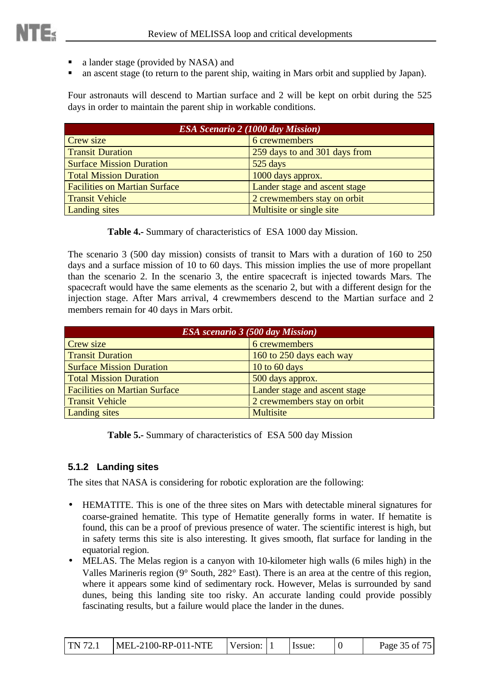- ß a lander stage (provided by NASA) and
- ß an ascent stage (to return to the parent ship, waiting in Mars orbit and supplied by Japan).

Four astronauts will descend to Martian surface and 2 will be kept on orbit during the 525 days in order to maintain the parent ship in workable conditions.

| <b>ESA Scenario 2 (1000 day Mission)</b> |                               |  |  |  |  |
|------------------------------------------|-------------------------------|--|--|--|--|
| Crew size                                | 6 crewmembers                 |  |  |  |  |
| <b>Transit Duration</b>                  | 259 days to and 301 days from |  |  |  |  |
| <b>Surface Mission Duration</b>          | 525 days                      |  |  |  |  |
| <b>Total Mission Duration</b>            | 1000 days approx.             |  |  |  |  |
| <b>Facilities on Martian Surface</b>     | Lander stage and ascent stage |  |  |  |  |
| <b>Transit Vehicle</b>                   | 2 crewmembers stay on orbit   |  |  |  |  |
| Landing sites                            | Multisite or single site      |  |  |  |  |

**Table 4.-** Summary of characteristics of ESA 1000 day Mission.

The scenario 3 (500 day mission) consists of transit to Mars with a duration of 160 to 250 days and a surface mission of 10 to 60 days. This mission implies the use of more propellant than the scenario 2. In the scenario 3, the entire spacecraft is injected towards Mars. The spacecraft would have the same elements as the scenario 2, but with a different design for the injection stage. After Mars arrival, 4 crewmembers descend to the Martian surface and 2 members remain for 40 days in Mars orbit.

| <b>ESA</b> scenario 3 (500 day Mission) |                               |  |  |  |  |
|-----------------------------------------|-------------------------------|--|--|--|--|
| Crew size                               | 6 crewmembers                 |  |  |  |  |
| <b>Transit Duration</b>                 | 160 to 250 days each way      |  |  |  |  |
| <b>Surface Mission Duration</b>         | 10 to 60 days                 |  |  |  |  |
| <b>Total Mission Duration</b>           | 500 days approx.              |  |  |  |  |
| <b>Facilities on Martian Surface</b>    | Lander stage and ascent stage |  |  |  |  |
| <b>Transit Vehicle</b>                  | 2 crewmembers stay on orbit   |  |  |  |  |
| <b>Landing sites</b>                    | <b>Multisite</b>              |  |  |  |  |

**Table 5.-** Summary of characteristics of ESA 500 day Mission

#### **5.1.2 Landing sites**

The sites that NASA is considering for robotic exploration are the following:

- HEMATITE. This is one of the three sites on Mars with detectable mineral signatures for coarse-grained hematite. This type of Hematite generally forms in water. If hematite is found, this can be a proof of previous presence of water. The scientific interest is high, but in safety terms this site is also interesting. It gives smooth, flat surface for landing in the equatorial region.
- MELAS. The Melas region is a canyon with 10-kilometer high walls (6 miles high) in the Valles Marineris region (9° South, 282° East). There is an area at the centre of this region, where it appears some kind of sedimentary rock. However, Melas is surrounded by sand dunes, being this landing site too risky. An accurate landing could provide possibly fascinating results, but a failure would place the lander in the dunes.

| $\Gamma$ N 72.1 | $MEL-2100-RP-011-NTE$ | Version: |  | Issue: |  | Page 35 of 75 |
|-----------------|-----------------------|----------|--|--------|--|---------------|
|-----------------|-----------------------|----------|--|--------|--|---------------|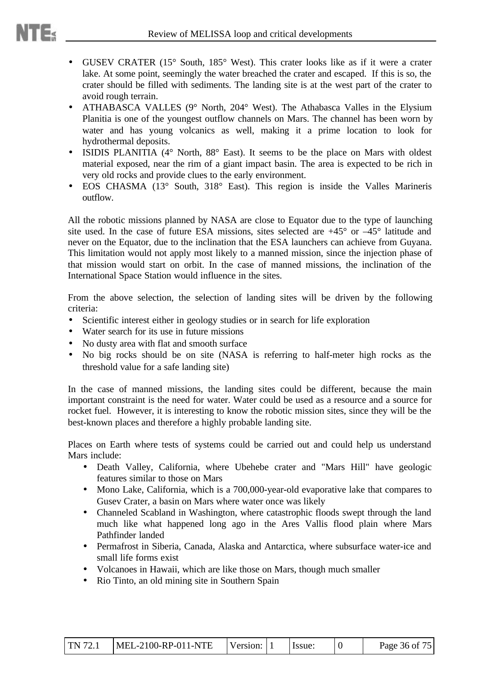- GUSEV CRATER (15° South, 185° West). This crater looks like as if it were a crater lake. At some point, seemingly the water breached the crater and escaped. If this is so, the crater should be filled with sediments. The landing site is at the west part of the crater to avoid rough terrain.
- ATHABASCA VALLES (9° North, 204° West). The Athabasca Valles in the Elysium Planitia is one of the youngest outflow channels on Mars. The channel has been worn by water and has young volcanics as well, making it a prime location to look for hydrothermal deposits.
- ISIDIS PLANITIA (4° North, 88° East). It seems to be the place on Mars with oldest material exposed, near the rim of a giant impact basin. The area is expected to be rich in very old rocks and provide clues to the early environment.
- EOS CHASMA (13° South, 318° East). This region is inside the Valles Marineris outflow.

All the robotic missions planned by NASA are close to Equator due to the type of launching site used. In the case of future ESA missions, sites selected are  $+45^{\circ}$  or  $-45^{\circ}$  latitude and never on the Equator, due to the inclination that the ESA launchers can achieve from Guyana. This limitation would not apply most likely to a manned mission, since the injection phase of that mission would start on orbit. In the case of manned missions, the inclination of the International Space Station would influence in the sites.

From the above selection, the selection of landing sites will be driven by the following criteria:

- Scientific interest either in geology studies or in search for life exploration
- Water search for its use in future missions
- No dusty area with flat and smooth surface
- No big rocks should be on site (NASA is referring to half-meter high rocks as the threshold value for a safe landing site)

In the case of manned missions, the landing sites could be different, because the main important constraint is the need for water. Water could be used as a resource and a source for rocket fuel. However, it is interesting to know the robotic mission sites, since they will be the best-known places and therefore a highly probable landing site.

Places on Earth where tests of systems could be carried out and could help us understand Mars include:

- Death Valley, California, where Ubehebe crater and "Mars Hill" have geologic features similar to those on Mars
- Mono Lake, California, which is a 700,000-year-old evaporative lake that compares to Gusev Crater, a basin on Mars where water once was likely
- Channeled Scabland in Washington, where catastrophic floods swept through the land much like what happened long ago in the Ares Vallis flood plain where Mars Pathfinder landed
- Permafrost in Siberia, Canada, Alaska and Antarctica, where subsurface water-ice and small life forms exist
- Volcanoes in Hawaii, which are like those on Mars, though much smaller
- Rio Tinto, an old mining site in Southern Spain

|  | TN 72.1 MEL-2100-RP-011-NTE | Version: 1 |  | I Issue: |  | Page 36 of 75 |
|--|-----------------------------|------------|--|----------|--|---------------|
|--|-----------------------------|------------|--|----------|--|---------------|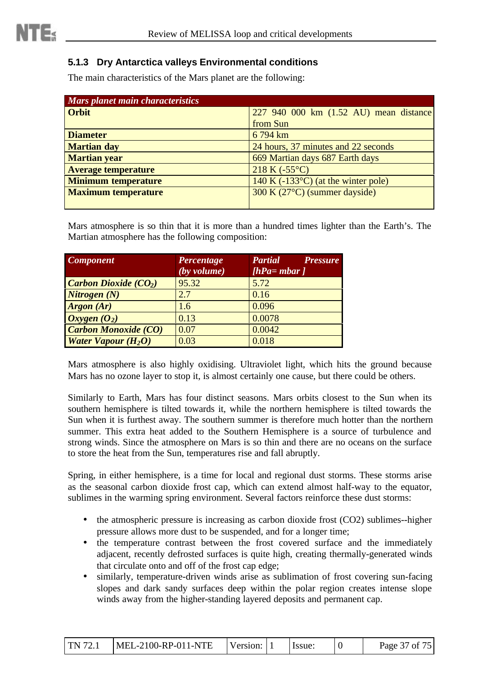## **5.1.3 Dry Antarctica valleys Environmental conditions**

The main characteristics of the Mars planet are the following:

| Mars planet main characteristics |                                            |
|----------------------------------|--------------------------------------------|
| <b>Orbit</b>                     | 227 940 000 km (1.52 AU) mean distance     |
|                                  | from Sun                                   |
| <b>Diameter</b>                  | 6 794 km                                   |
| <b>Martian day</b>               | 24 hours, 37 minutes and 22 seconds        |
| <b>Martian year</b>              | 669 Martian days 687 Earth days            |
| <b>Average temperature</b>       | $218 K (-55°C)$                            |
| <b>Minimum temperature</b>       | $140 K (-133°C)$ (at the winter pole)      |
| <b>Maximum temperature</b>       | 300 K (27 <sup>o</sup> C) (summer dayside) |
|                                  |                                            |

Mars atmosphere is so thin that it is more than a hundred times lighter than the Earth's. The Martian atmosphere has the following composition:

| <b>Component</b>                       | Percentage<br>(by volume) | <b>Partial</b><br><b>Pressure</b><br>$[hPa=mbar]$ |
|----------------------------------------|---------------------------|---------------------------------------------------|
| <b>Carbon Dioxide (CO<sub>2</sub>)</b> | 95.32                     | 5.72                                              |
| Nitrogen(N)                            | 2.7                       | 0.16                                              |
| <b>Argon</b> (Ar)                      | 1.6                       | 0.096                                             |
| Oxygen (O <sub>2</sub> )               | 0.13                      | 0.0078                                            |
| <b>Carbon Monoxide (CO)</b>            | 0.07                      | 0.0042                                            |
| <b>Water Vapour (H<sub>2</sub>O)</b>   | 0.03                      | 0.018                                             |

Mars atmosphere is also highly oxidising. Ultraviolet light, which hits the ground because Mars has no ozone layer to stop it, is almost certainly one cause, but there could be others.

Similarly to Earth, Mars has four distinct seasons. Mars orbits closest to the Sun when its southern hemisphere is tilted towards it, while the northern hemisphere is tilted towards the Sun when it is furthest away. The southern summer is therefore much hotter than the northern summer. This extra heat added to the Southern Hemisphere is a source of turbulence and strong winds. Since the atmosphere on Mars is so thin and there are no oceans on the surface to store the heat from the Sun, temperatures rise and fall abruptly.

Spring, in either hemisphere, is a time for local and regional dust storms. These storms arise as the seasonal carbon dioxide frost cap, which can extend almost half-way to the equator, sublimes in the warming spring environment. Several factors reinforce these dust storms:

- the atmospheric pressure is increasing as carbon dioxide frost (CO2) sublimes--higher pressure allows more dust to be suspended, and for a longer time;
- the temperature contrast between the frost covered surface and the immediately adjacent, recently defrosted surfaces is quite high, creating thermally-generated winds that circulate onto and off of the frost cap edge;
- similarly, temperature-driven winds arise as sublimation of frost covering sun-facing slopes and dark sandy surfaces deep within the polar region creates intense slope winds away from the higher-standing layered deposits and permanent cap.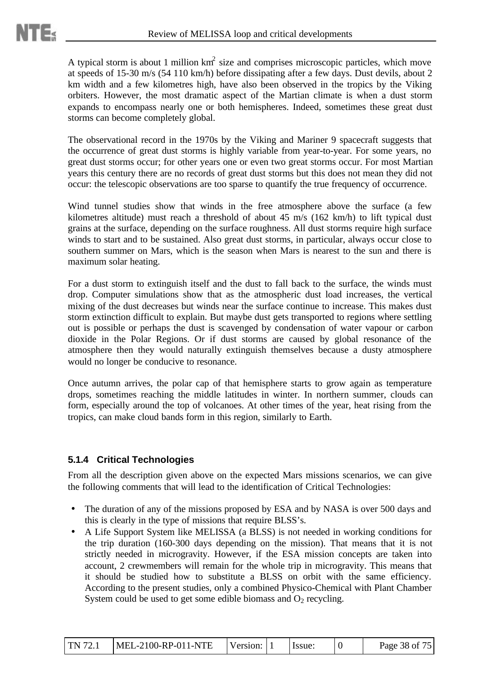A typical storm is about 1 million  $km^2$  size and comprises microscopic particles, which move at speeds of 15-30 m/s (54 110 km/h) before dissipating after a few days. Dust devils, about 2 km width and a few kilometres high, have also been observed in the tropics by the Viking orbiters. However, the most dramatic aspect of the Martian climate is when a dust storm expands to encompass nearly one or both hemispheres. Indeed, sometimes these great dust storms can become completely global.

The observational record in the 1970s by the Viking and Mariner 9 spacecraft suggests that the occurrence of great dust storms is highly variable from year-to-year. For some years, no great dust storms occur; for other years one or even two great storms occur. For most Martian years this century there are no records of great dust storms but this does not mean they did not occur: the telescopic observations are too sparse to quantify the true frequency of occurrence.

Wind tunnel studies show that winds in the free atmosphere above the surface (a few kilometres altitude) must reach a threshold of about 45 m/s (162 km/h) to lift typical dust grains at the surface, depending on the surface roughness. All dust storms require high surface winds to start and to be sustained. Also great dust storms, in particular, always occur close to southern summer on Mars, which is the season when Mars is nearest to the sun and there is maximum solar heating.

For a dust storm to extinguish itself and the dust to fall back to the surface, the winds must drop. Computer simulations show that as the atmospheric dust load increases, the vertical mixing of the dust decreases but winds near the surface continue to increase. This makes dust storm extinction difficult to explain. But maybe dust gets transported to regions where settling out is possible or perhaps the dust is scavenged by condensation of water vapour or carbon dioxide in the Polar Regions. Or if dust storms are caused by global resonance of the atmosphere then they would naturally extinguish themselves because a dusty atmosphere would no longer be conducive to resonance.

Once autumn arrives, the polar cap of that hemisphere starts to grow again as temperature drops, sometimes reaching the middle latitudes in winter. In northern summer, clouds can form, especially around the top of volcanoes. At other times of the year, heat rising from the tropics, can make cloud bands form in this region, similarly to Earth.

### **5.1.4 Critical Technologies**

From all the description given above on the expected Mars missions scenarios, we can give the following comments that will lead to the identification of Critical Technologies:

- The duration of any of the missions proposed by ESA and by NASA is over 500 days and this is clearly in the type of missions that require BLSS's.
- A Life Support System like MELISSA (a BLSS) is not needed in working conditions for the trip duration (160-300 days depending on the mission). That means that it is not strictly needed in microgravity. However, if the ESA mission concepts are taken into account, 2 crewmembers will remain for the whole trip in microgravity. This means that it should be studied how to substitute a BLSS on orbit with the same efficiency. According to the present studies, only a combined Physico-Chemical with Plant Chamber System could be used to get some edible biomass and  $O_2$  recycling.

| TN 72.1 | $MEL-2100-RP-011-NTE$ | Version: 1 |  | Issue: |  | Page 38 of 75 |
|---------|-----------------------|------------|--|--------|--|---------------|
|---------|-----------------------|------------|--|--------|--|---------------|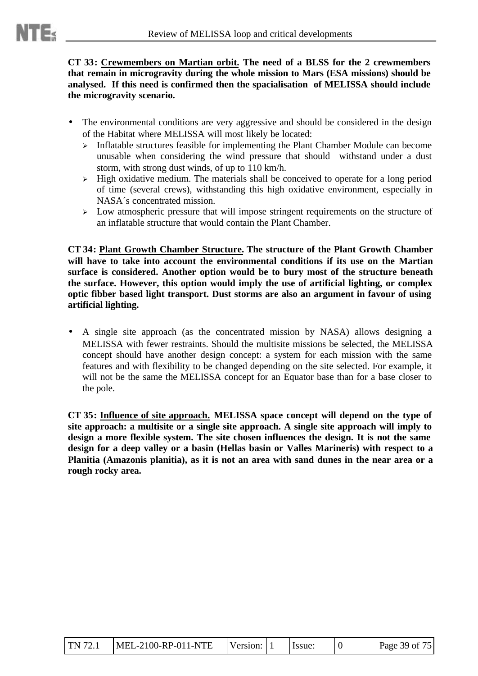**CT 33: Crewmembers on Martian orbit. The need of a BLSS for the 2 crewmembers that remain in microgravity during the whole mission to Mars (ESA missions) should be analysed. If this need is confirmed then the spacialisation of MELISSA should include the microgravity scenario.**

- The environmental conditions are very aggressive and should be considered in the design of the Habitat where MELISSA will most likely be located:
	- $\triangleright$  Inflatable structures feasible for implementing the Plant Chamber Module can become unusable when considering the wind pressure that should withstand under a dust storm, with strong dust winds, of up to 110 km/h.
	- > High oxidative medium. The materials shall be conceived to operate for a long period of time (several crews), withstanding this high oxidative environment, especially in NASA´s concentrated mission.
	- > Low atmospheric pressure that will impose stringent requirements on the structure of an inflatable structure that would contain the Plant Chamber.

**CT 34: Plant Growth Chamber Structure. The structure of the Plant Growth Chamber will have to take into account the environmental conditions if its use on the Martian surface is considered. Another option would be to bury most of the structure beneath the surface. However, this option would imply the use of artificial lighting, or complex optic fibber based light transport. Dust storms are also an argument in favour of using artificial lighting.**

• A single site approach (as the concentrated mission by NASA) allows designing a MELISSA with fewer restraints. Should the multisite missions be selected, the MELISSA concept should have another design concept: a system for each mission with the same features and with flexibility to be changed depending on the site selected. For example, it will not be the same the MELISSA concept for an Equator base than for a base closer to the pole.

**CT 35: Influence of site approach. MELISSA space concept will depend on the type of site approach: a multisite or a single site approach. A single site approach will imply to design a more flexible system. The site chosen influences the design. It is not the same design for a deep valley or a basin (Hellas basin or Valles Marineris) with respect to a Planitia (Amazonis planitia), as it is not an area with sand dunes in the near area or a rough rocky area.**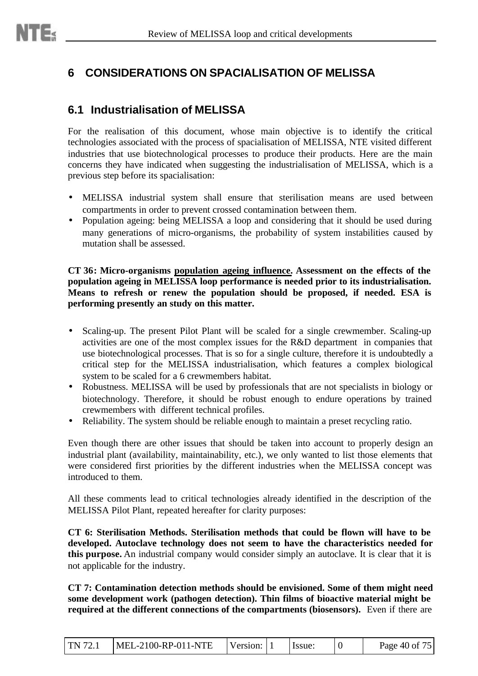# **6 CONSIDERATIONS ON SPACIALISATION OF MELISSA**

## **6.1 Industrialisation of MELISSA**

For the realisation of this document, whose main objective is to identify the critical technologies associated with the process of spacialisation of MELISSA, NTE visited different industries that use biotechnological processes to produce their products. Here are the main concerns they have indicated when suggesting the industrialisation of MELISSA, which is a previous step before its spacialisation:

- MELISSA industrial system shall ensure that sterilisation means are used between compartments in order to prevent crossed contamination between them.
- Population ageing: being MELISSA a loop and considering that it should be used during many generations of micro-organisms, the probability of system instabilities caused by mutation shall be assessed.

**CT 36: Micro-organisms population ageing influence. Assessment on the effects of the population ageing in MELISSA loop performance is needed prior to its industrialisation. Means to refresh or renew the population should be proposed, if needed. ESA is performing presently an study on this matter.**

- Scaling-up. The present Pilot Plant will be scaled for a single crewmember. Scaling-up activities are one of the most complex issues for the R&D department in companies that use biotechnological processes. That is so for a single culture, therefore it is undoubtedly a critical step for the MELISSA industrialisation, which features a complex biological system to be scaled for a 6 crewmembers habitat.
- Robustness. MELISSA will be used by professionals that are not specialists in biology or biotechnology. Therefore, it should be robust enough to endure operations by trained crewmembers with different technical profiles.
- Reliability. The system should be reliable enough to maintain a preset recycling ratio.

Even though there are other issues that should be taken into account to properly design an industrial plant (availability, maintainability, etc.), we only wanted to list those elements that were considered first priorities by the different industries when the MELISSA concept was introduced to them.

All these comments lead to critical technologies already identified in the description of the MELISSA Pilot Plant, repeated hereafter for clarity purposes:

**CT 6: Sterilisation Methods. Sterilisation methods that could be flown will have to be developed. Autoclave technology does not seem to have the characteristics needed for this purpose.** An industrial company would consider simply an autoclave. It is clear that it is not applicable for the industry.

**CT 7: Contamination detection methods should be envisioned. Some of them might need some development work (pathogen detection). Thin films of bioactive material might be required at the different connections of the compartments (biosensors).** Even if there are

| TN 72.1 | MEL-2100-RP-011-NTE | Version: |  | Issue: |  | Page 40 of 75 |
|---------|---------------------|----------|--|--------|--|---------------|
|---------|---------------------|----------|--|--------|--|---------------|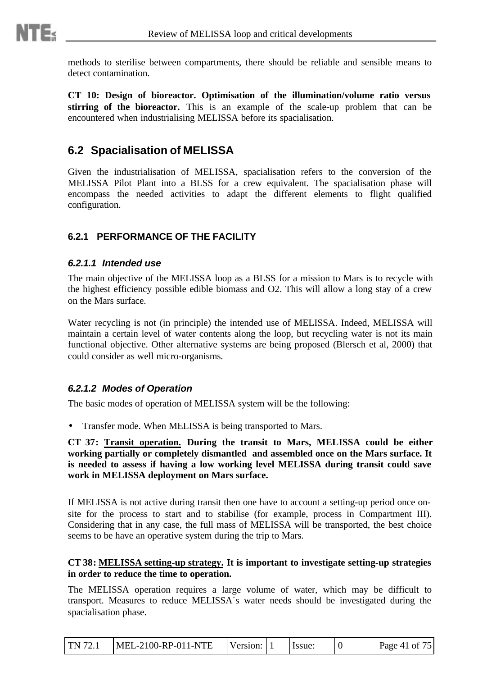

methods to sterilise between compartments, there should be reliable and sensible means to detect contamination.

**CT 10: Design of bioreactor. Optimisation of the illumination/volume ratio versus stirring of the bioreactor.** This is an example of the scale-up problem that can be encountered when industrialising MELISSA before its spacialisation.

# **6.2 Spacialisation of MELISSA**

Given the industrialisation of MELISSA, spacialisation refers to the conversion of the MELISSA Pilot Plant into a BLSS for a crew equivalent. The spacialisation phase will encompass the needed activities to adapt the different elements to flight qualified configuration.

### **6.2.1 PERFORMANCE OF THE FACILITY**

#### *6.2.1.1 Intended use*

The main objective of the MELISSA loop as a BLSS for a mission to Mars is to recycle with the highest efficiency possible edible biomass and O2. This will allow a long stay of a crew on the Mars surface.

Water recycling is not (in principle) the intended use of MELISSA. Indeed, MELISSA will maintain a certain level of water contents along the loop, but recycling water is not its main functional objective. Other alternative systems are being proposed (Blersch et al, 2000) that could consider as well micro-organisms.

#### *6.2.1.2 Modes of Operation*

The basic modes of operation of MELISSA system will be the following:

• Transfer mode. When MELISSA is being transported to Mars.

**CT 37: Transit operation. During the transit to Mars, MELISSA could be either working partially or completely dismantled and assembled once on the Mars surface. It is needed to assess if having a low working level MELISSA during transit could save work in MELISSA deployment on Mars surface.**

If MELISSA is not active during transit then one have to account a setting-up period once onsite for the process to start and to stabilise (for example, process in Compartment III). Considering that in any case, the full mass of MELISSA will be transported, the best choice seems to be have an operative system during the trip to Mars.

#### **CT 38: MELISSA setting-up strategy. It is important to investigate setting-up strategies in order to reduce the time to operation.**

The MELISSA operation requires a large volume of water, which may be difficult to transport. Measures to reduce MELISSA´s water needs should be investigated during the spacialisation phase.

| <b>TN</b> 72.1 | $MEL-2100-RP-011-NTE$ | Version: 1 |  | Issue: |  | Page 41 of 75 |
|----------------|-----------------------|------------|--|--------|--|---------------|
|----------------|-----------------------|------------|--|--------|--|---------------|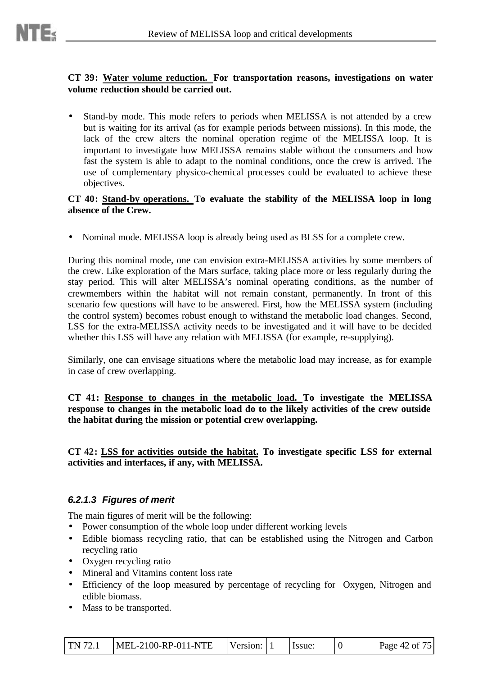#### **CT 39: Water volume reduction. For transportation reasons, investigations on water volume reduction should be carried out.**

• Stand-by mode. This mode refers to periods when MELISSA is not attended by a crew but is waiting for its arrival (as for example periods between missions). In this mode, the lack of the crew alters the nominal operation regime of the MELISSA loop. It is important to investigate how MELISSA remains stable without the consumers and how fast the system is able to adapt to the nominal conditions, once the crew is arrived. The use of complementary physico-chemical processes could be evaluated to achieve these objectives.

#### **CT 40: Stand-by operations. To evaluate the stability of the MELISSA loop in long absence of the Crew.**

• Nominal mode. MELISSA loop is already being used as BLSS for a complete crew.

During this nominal mode, one can envision extra-MELISSA activities by some members of the crew. Like exploration of the Mars surface, taking place more or less regularly during the stay period. This will alter MELISSA's nominal operating conditions, as the number of crewmembers within the habitat will not remain constant, permanently. In front of this scenario few questions will have to be answered. First, how the MELISSA system (including the control system) becomes robust enough to withstand the metabolic load changes. Second, LSS for the extra-MELISSA activity needs to be investigated and it will have to be decided whether this LSS will have any relation with MELISSA (for example, re-supplying).

Similarly, one can envisage situations where the metabolic load may increase, as for example in case of crew overlapping.

**CT 41: Response to changes in the metabolic load. To investigate the MELISSA response to changes in the metabolic load do to the likely activities of the crew outside the habitat during the mission or potential crew overlapping.**

**CT 42: LSS for activities outside the habitat. To investigate specific LSS for external activities and interfaces, if any, with MELISSA.**

### *6.2.1.3 Figures of merit*

The main figures of merit will be the following:

- Power consumption of the whole loop under different working levels
- Edible biomass recycling ratio, that can be established using the Nitrogen and Carbon recycling ratio
- Oxygen recycling ratio
- Mineral and Vitamins content loss rate
- Efficiency of the loop measured by percentage of recycling for Oxygen, Nitrogen and edible biomass.
- Mass to be transported.

| TN 72.1 | $MEL-2100-RP-011-NTE$ | Version: 1 |  | Issue: |  | Page 42 of 75 |
|---------|-----------------------|------------|--|--------|--|---------------|
|---------|-----------------------|------------|--|--------|--|---------------|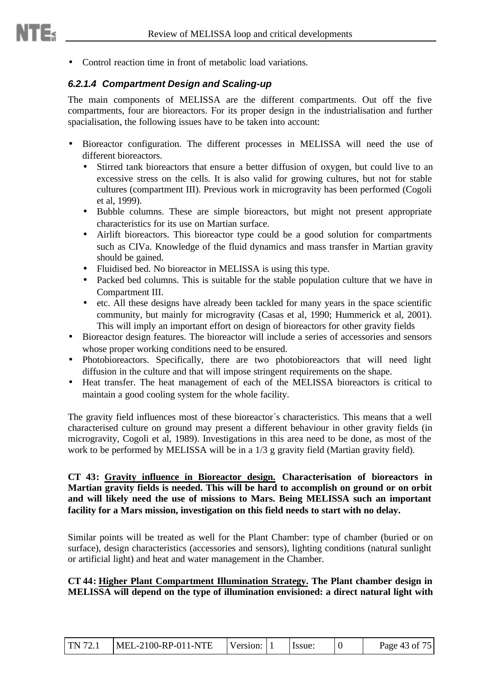• Control reaction time in front of metabolic load variations.

### *6.2.1.4 Compartment Design and Scaling-up*

The main components of MELISSA are the different compartments. Out off the five compartments, four are bioreactors. For its proper design in the industrialisation and further spacialisation, the following issues have to be taken into account:

- Bioreactor configuration. The different processes in MELISSA will need the use of different bioreactors.
	- Stirred tank bioreactors that ensure a better diffusion of oxygen, but could live to an excessive stress on the cells. It is also valid for growing cultures, but not for stable cultures (compartment III). Previous work in microgravity has been performed (Cogoli et al, 1999).
	- Bubble columns. These are simple bioreactors, but might not present appropriate characteristics for its use on Martian surface.
	- Airlift bioreactors. This bioreactor type could be a good solution for compartments such as CIVa. Knowledge of the fluid dynamics and mass transfer in Martian gravity should be gained.
	- Fluidised bed. No bioreactor in MELISSA is using this type.
	- Packed bed columns. This is suitable for the stable population culture that we have in Compartment III.
	- etc. All these designs have already been tackled for many years in the space scientific community, but mainly for microgravity (Casas et al, 1990; Hummerick et al, 2001). This will imply an important effort on design of bioreactors for other gravity fields
- Bioreactor design features. The bioreactor will include a series of accessories and sensors whose proper working conditions need to be ensured.
- Photobioreactors. Specifically, there are two photobioreactors that will need light diffusion in the culture and that will impose stringent requirements on the shape.
- Heat transfer. The heat management of each of the MELISSA bioreactors is critical to maintain a good cooling system for the whole facility.

The gravity field influences most of these bioreactor´s characteristics. This means that a well characterised culture on ground may present a different behaviour in other gravity fields (in microgravity, Cogoli et al, 1989). Investigations in this area need to be done, as most of the work to be performed by MELISSA will be in a 1/3 g gravity field (Martian gravity field).

**CT 43: Gravity influence in Bioreactor design. Characterisation of bioreactors in Martian gravity fields is needed. This will be hard to accomplish on ground or on orbit and will likely need the use of missions to Mars. Being MELISSA such an important facility for a Mars mission, investigation on this field needs to start with no delay.**

Similar points will be treated as well for the Plant Chamber: type of chamber (buried or on surface), design characteristics (accessories and sensors), lighting conditions (natural sunlight or artificial light) and heat and water management in the Chamber.

#### **CT 44: Higher Plant Compartment Illumination Strategy. The Plant chamber design in MELISSA will depend on the type of illumination envisioned: a direct natural light with**

| TN 72.1 | $MEL-2100-RP-011-NTE$ | Version: 1 |  | Hssue: |  | Page 43 of 75 |
|---------|-----------------------|------------|--|--------|--|---------------|
|---------|-----------------------|------------|--|--------|--|---------------|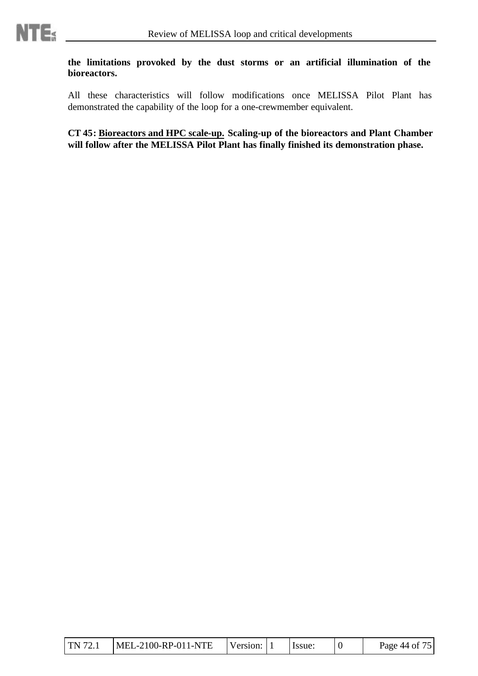

#### **the limitations provoked by the dust storms or an artificial illumination of the bioreactors.**

All these characteristics will follow modifications once MELISSA Pilot Plant has demonstrated the capability of the loop for a one-crewmember equivalent.

**CT 45: Bioreactors and HPC scale-up. Scaling-up of the bioreactors and Plant Chamber will follow after the MELISSA Pilot Plant has finally finished its demonstration phase.**

| TN 72.1 | $MEL-2100-RP-011-NTE$ | Version: 1 |  | i Issue: |  | Page 44 of 75 |
|---------|-----------------------|------------|--|----------|--|---------------|
|---------|-----------------------|------------|--|----------|--|---------------|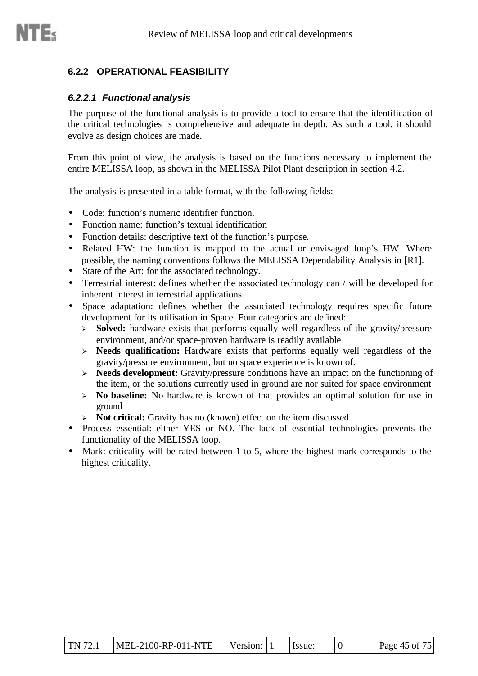

#### *6.2.2.1 Functional analysis*

 $m_{\leq 1}$ 

The purpose of the functional analysis is to provide a tool to ensure that the identification of the critical technologies is comprehensive and adequate in depth. As such a tool, it should evolve as design choices are made.

From this point of view, the analysis is based on the functions necessary to implement the entire MELISSA loop, as shown in the MELISSA Pilot Plant description in section 4.2.

The analysis is presented in a table format, with the following fields:

- Code: function's numeric identifier function.
- Function name: function's textual identification
- Function details: descriptive text of the function's purpose.
- Related HW: the function is mapped to the actual or envisaged loop's HW. Where possible, the naming conventions follows the MELISSA Dependability Analysis in [R1].
- State of the Art: for the associated technology.
- Terrestrial interest: defines whether the associated technology can / will be developed for inherent interest in terrestrial applications.
- Space adaptation: defines whether the associated technology requires specific future development for its utilisation in Space. Four categories are defined:
	- > **Solved:** hardware exists that performs equally well regardless of the gravity/pressure environment, and/or space-proven hardware is readily available
	- ÿ **Needs qualification:** Hardware exists that performs equally well regardless of the gravity/pressure environment, but no space experience is known of.
	- ÿ **Needs development:** Gravity/pressure conditions have an impact on the functioning of the item, or the solutions currently used in ground are nor suited for space environment
	- ÿ **No baseline:** No hardware is known of that provides an optimal solution for use in ground
	- > **Not critical:** Gravity has no (known) effect on the item discussed.
- Process essential: either YES or NO. The lack of essential technologies prevents the functionality of the MELISSA loop.
- Mark: criticality will be rated between 1 to 5, where the highest mark corresponds to the highest criticality.

| $\text{TN } 72.1$ | MEL-2100-RP-011-NTE | Version: |  | lssue: |  | Page 45 of 75 |
|-------------------|---------------------|----------|--|--------|--|---------------|
|-------------------|---------------------|----------|--|--------|--|---------------|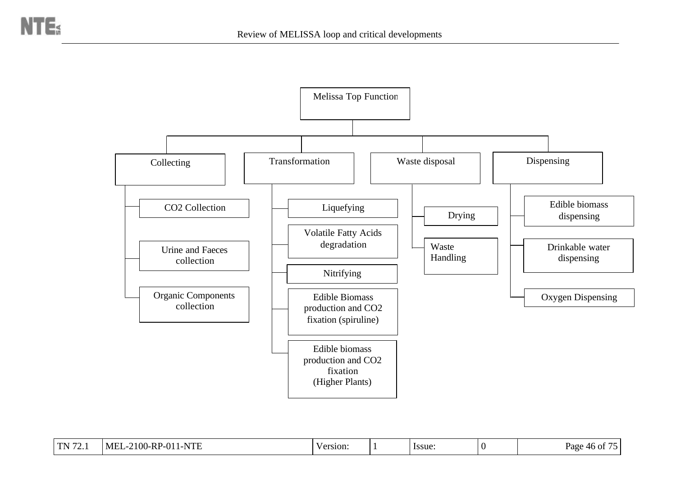

| $\Gamma$ <sup>7<math>\sim</math></sup><br>. | '1-NTE<br>$-2100$ -RP-01 <sup>*</sup><br>MEL- | 'ersion: | Issue: | rage<br>IN OT<br>46 |
|---------------------------------------------|-----------------------------------------------|----------|--------|---------------------|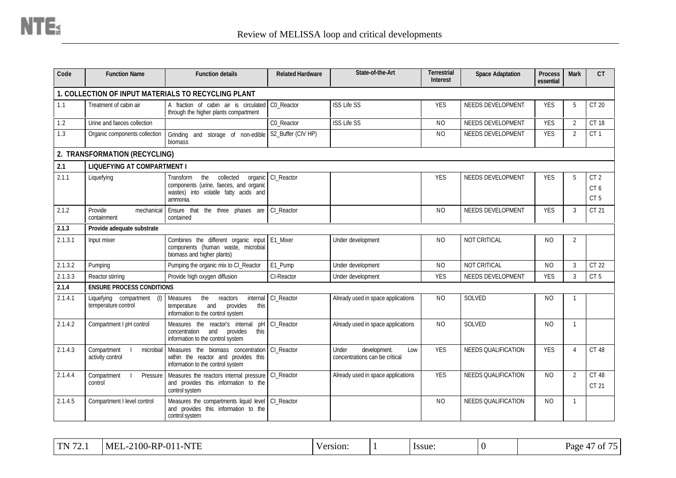| Code    | <b>Function Name</b>                                 | <b>Function details</b>                                                                                                                        | <b>Related Hardware</b> | State-of-the-Art                                               | <b>Terrestrial</b><br><b>Interest</b> | <b>Space Adaptation</b>    | <b>Process</b><br>essential | <b>Mark</b>    | CT                                        |
|---------|------------------------------------------------------|------------------------------------------------------------------------------------------------------------------------------------------------|-------------------------|----------------------------------------------------------------|---------------------------------------|----------------------------|-----------------------------|----------------|-------------------------------------------|
|         |                                                      | 1. COLLECTION OF INPUT MATERIALS TO RECYCLING PLANT                                                                                            |                         |                                                                |                                       |                            |                             |                |                                           |
| 1.1     | Treatment of cabin air                               | A fraction of cabin air is circulated<br>through the higher plants compartment                                                                 | CO_Reactor              | <b>ISS Life SS</b>                                             | <b>YES</b>                            | NEEDS DEVELOPMENT          | <b>YES</b>                  | 5              | CT 20                                     |
| 1.2     | Urine and faeces collection                          |                                                                                                                                                | C0_Reactor              | <b>ISS Life SS</b>                                             | <b>NO</b>                             | NEEDS DEVELOPMENT          | <b>YES</b>                  | $\overline{2}$ | <b>CT 18</b>                              |
| 1.3     | Organic components collection                        | Grinding and storage of non-edible<br>biomass                                                                                                  | S2_Buffer (CIV HP)      |                                                                | <b>NO</b>                             | NEEDS DEVELOPMENT          | <b>YES</b>                  | 2              | CT <sub>1</sub>                           |
|         | 2. TRANSFORMATION (RECYCLING)                        |                                                                                                                                                |                         |                                                                |                                       |                            |                             |                |                                           |
| 2.1     | <b>LIQUEFYING AT COMPARTMENT I</b>                   |                                                                                                                                                |                         |                                                                |                                       |                            |                             |                |                                           |
| 2.1.1   | Liquefying                                           | the<br>collected<br><b>Transform</b><br>organic<br>components (urine, faeces, and organic<br>wastes) into volatile fatty acids and<br>ammonia. | CI Reactor              |                                                                | <b>YES</b>                            | NEEDS DEVELOPMENT          | <b>YES</b>                  | $\overline{5}$ | CT <sub>2</sub><br>CT6<br>CT <sub>5</sub> |
| 2.1.2   | Provide<br>mechanical<br>containment                 | Ensure that the three phases are<br>contained                                                                                                  | CI_Reactor              |                                                                | N <sub>O</sub>                        | NEEDS DEVELOPMENT          | <b>YES</b>                  | 3              | CT 21                                     |
| 2.1.3   | Provide adequate substrate                           |                                                                                                                                                |                         |                                                                |                                       |                            |                             |                |                                           |
| 2.1.3.1 | Input mixer                                          | Combines the different organic input<br>components (human waste, microbial<br>biomass and higher plants)                                       | E1_Mixer                | Under development                                              | <b>NO</b>                             | NOT CRITICAL               | <b>NO</b>                   | 2              |                                           |
| 2.1.3.2 | Pumping                                              | Pumping the organic mix to CI_Reactor                                                                                                          | E1_Pump                 | Under development                                              | <b>NO</b>                             | NOT CRITICAL               | <b>NO</b>                   | 3              | CT 22                                     |
| 2.1.3.3 | Reactor stirring                                     | Provide high oxygen diffusion                                                                                                                  | CI-Reactor              | Under development                                              | <b>YES</b>                            | NEEDS DEVELOPMENT          | <b>YES</b>                  | 3              | CT <sub>5</sub>                           |
| 2.1.4   | <b>ENSURE PROCESS CONDITIONS</b>                     |                                                                                                                                                |                         |                                                                |                                       |                            |                             |                |                                           |
| 2.1.4.1 | Liquefying compartment<br>(1)<br>temperature control | reactors<br>internal<br><b>Measures</b><br>the<br>and<br>provides<br>this<br>temperature<br>information to the control system                  | CI Reactor              | Already used in space applications                             | <b>NO</b>                             | <b>SOLVED</b>              | N <sub>O</sub>              | -1             |                                           |
| 2.1.4.2 | Compartment I pH control                             | Measures the reactor's internal<br>pH<br>provides<br>concentration<br>and<br>this<br>information to the control system                         | CI_Reactor              | Already used in space applications                             | N <sub>O</sub>                        | <b>SOLVED</b>              | <b>NO</b>                   | $\mathbf{1}$   |                                           |
| 2.1.4.3 | Compartment<br>microbial<br>activity control         | Measures the biomass concentration<br>within the reactor and provides this<br>information to the control system                                | CI_Reactor              | Under<br>development.<br>Low<br>concentrations can be critical | <b>YES</b>                            | <b>NEEDS QUALIFICATION</b> | <b>YES</b>                  | $\overline{4}$ | CT 48                                     |
| 2.1.4.4 | Compartment<br>Pressure<br>control                   | Measures the reactors internal pressure<br>and provides this information to the<br>control system                                              | CI_Reactor              | Already used in space applications                             | <b>YES</b>                            | <b>NEEDS QUALIFICATION</b> | <b>NO</b>                   | 2              | <b>CT 48</b><br>CT 21                     |
| 2.1.4.5 | Compartment I level control                          | Measures the compartments liquid level<br>and provides this information to the<br>control system                                               | CI Reactor              |                                                                | NO.                                   | <b>NEEDS QUALIFICATION</b> | N <sub>O</sub>              | -1             |                                           |

| $-2100$ -RP<br>$1$ TN $72$<br><b>MEL</b><br>1-NTE<br>2-01<br>Page<br>v ersion:<br>ssue:<br>$\sim$<br>. |
|--------------------------------------------------------------------------------------------------------|
|--------------------------------------------------------------------------------------------------------|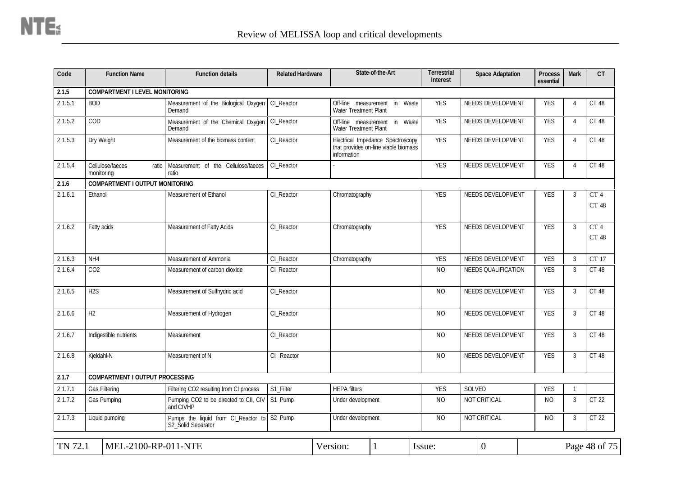| Code    | <b>Function Name</b>                    | <b>Function details</b>                                   | <b>Related Hardware</b> |                                                         | State-of-the-Art                                                          | <b>Terrestrial</b><br><b>Interest</b> | <b>Space Adaptation</b> | <b>Process</b><br>essential | <b>Mark</b>    | CT                       |
|---------|-----------------------------------------|-----------------------------------------------------------|-------------------------|---------------------------------------------------------|---------------------------------------------------------------------------|---------------------------------------|-------------------------|-----------------------------|----------------|--------------------------|
| 2.1.5   | <b>COMPARTMENT I LEVEL MONITORING</b>   |                                                           |                         |                                                         |                                                                           |                                       |                         |                             |                |                          |
| 2.1.5.1 | <b>BOD</b>                              | Measurement of the Biological Oxygen<br>Demand            | CI Reactor              | Off-line measurement<br><b>Water Treatment Plant</b>    | Waste<br>in                                                               | <b>YES</b>                            | NEEDS DEVELOPMENT       | <b>YES</b>                  | 4              | CT 48                    |
| 2.1.5.2 | COD                                     | Measurement of the Chemical Oxygen<br>Demand              | CI_Reactor              | Off-line measurement in<br><b>Water Treatment Plant</b> | Waste                                                                     | <b>YES</b>                            | NEEDS DEVELOPMENT       | <b>YES</b>                  | $\overline{4}$ | CT 48                    |
| 2.1.5.3 | Dry Weight                              | Measurement of the biomass content                        | CI_Reactor              | information                                             | Electrical Impedance Spectroscopy<br>that provides on-line viable biomass | <b>YES</b>                            | NEEDS DEVELOPMENT       | <b>YES</b>                  | $\overline{4}$ | CT 48                    |
| 2.1.5.4 | Cellulose/faeces<br>ratio<br>monitoring | Measurement of the Cellulose/faeces<br>ratio              | CI_Reactor              |                                                         |                                                                           | <b>YES</b>                            | NEEDS DEVELOPMENT       | <b>YES</b>                  | $\overline{4}$ | CT 48                    |
| 2.1.6   | <b>COMPARTMENT I OUTPUT MONITORING</b>  |                                                           |                         |                                                         |                                                                           |                                       |                         |                             |                |                          |
| 2.1.6.1 | Ethanol                                 | Measurement of Ethanol                                    | CI Reactor              | Chromatography                                          |                                                                           | <b>YES</b>                            | NEEDS DEVELOPMENT       | <b>YES</b>                  | 3              | CT <sub>4</sub><br>CT 48 |
| 2.1.6.2 | Fatty acids                             | Measurement of Fatty Acids                                | CI_Reactor              | Chromatography                                          |                                                                           | <b>YES</b>                            | NEEDS DEVELOPMENT       | <b>YES</b>                  | $\mathbf{3}$   | CT <sub>4</sub><br>CT 48 |
| 2.1.6.3 | NH4                                     | Measurement of Ammonia                                    | CI_Reactor              | Chromatography                                          |                                                                           | <b>YES</b>                            | NEEDS DEVELOPMENT       | <b>YES</b>                  | $\mathbf{3}$   | <b>CT 17</b>             |
| 2.1.6.4 | CO <sub>2</sub>                         | Measurement of carbon dioxide                             | CI Reactor              |                                                         |                                                                           | NO.                                   | NEEDS QUALIFICATION     | <b>YES</b>                  | $\mathbf{3}$   | CT 48                    |
| 2.1.6.5 | H <sub>2</sub> S                        | Measurement of Sulfhydric acid                            | CI_Reactor              |                                                         |                                                                           | NO.                                   | NEEDS DEVELOPMENT       | <b>YES</b>                  | $\mathbf{3}$   | CT 48                    |
| 2.1.6.6 | H2                                      | Measurement of Hydrogen                                   | CI_Reactor              |                                                         |                                                                           | <b>NO</b>                             | NEEDS DEVELOPMENT       | <b>YES</b>                  | $\overline{3}$ | CT 48                    |
| 2.1.6.7 | Indigestible nutrients                  | Measurement                                               | CI Reactor              |                                                         |                                                                           | N <sub>O</sub>                        | NEEDS DEVELOPMENT       | <b>YES</b>                  | 3              | CT 48                    |
| 2.1.6.8 | Kjeldahl-N                              | Measurement of N                                          | CI_Reactor              |                                                         |                                                                           | <b>NO</b>                             | NEEDS DEVELOPMENT       | <b>YES</b>                  | 3              | CT 48                    |
| 2.1.7   | <b>COMPARTMENT I OUTPUT PROCESSING</b>  |                                                           |                         |                                                         |                                                                           |                                       |                         |                             |                |                          |
| 2.1.7.1 | Gas Filtering                           | Filtering CO2 resulting from CI process                   | S1_Filter               | <b>HEPA filters</b>                                     |                                                                           | <b>YES</b>                            | SOLVED                  | <b>YES</b>                  | $\overline{1}$ |                          |
| 2.1.7.2 | Gas Pumping                             | Pumping CO2 to be directed to CII, CIV<br>and CIVHP       | S1_Pump                 | Under development                                       |                                                                           | NO.                                   | <b>NOT CRITICAL</b>     | <b>NO</b>                   | 3              | CT 22                    |
| 2.1.7.3 | Liquid pumping                          | Pumps the liquid from CI_Reactor to<br>S2_Solid Separator | S2_Pump                 | Under development                                       |                                                                           | <b>NO</b>                             | NOT CRITICAL            | NO.                         | 3              | CT 22                    |
| TN 72.1 | MEL-2100-RP-011-NTE                     |                                                           |                         | Version:                                                |                                                                           | Issue:                                | $\overline{0}$          |                             |                | Page 48 of 75            |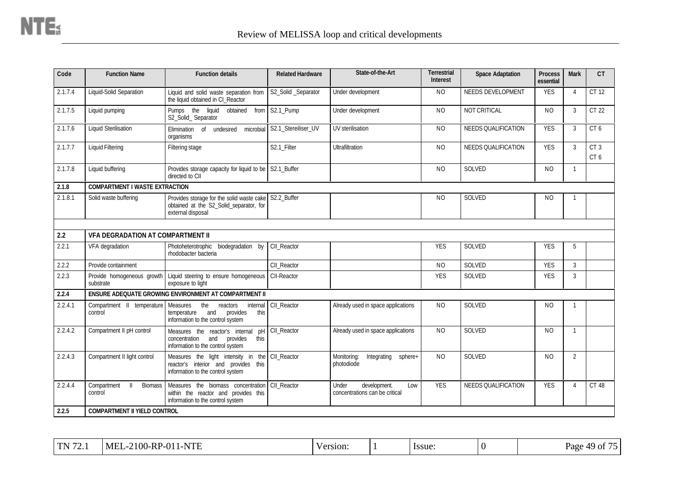| Code    | <b>Function Name</b>                           | <b>Function details</b>                                                                                                | <b>Related Hardware</b> | State-of-the-Art                                               | Terrestrial<br><b>Interest</b> | <b>Space Adaptation</b> | <b>Process</b><br>essential | <b>Mark</b>    | CT                     |
|---------|------------------------------------------------|------------------------------------------------------------------------------------------------------------------------|-------------------------|----------------------------------------------------------------|--------------------------------|-------------------------|-----------------------------|----------------|------------------------|
| 2.1.7.4 | Liquid-Solid Separation                        | Liquid and solid waste separation from<br>the liquid obtained in CI_Reactor                                            | S2_Solid _Separator     | Under development                                              | <b>NO</b>                      | NEEDS DEVELOPMENT       | <b>YES</b>                  | 4              | CT 12                  |
| 2.1.7.5 | Liquid pumping                                 | Pumps the liquid<br>obtained<br>from<br>S2_Solid_ Separator                                                            | S2.1_Pump               | Under development                                              | <b>NO</b>                      | NOT CRITICAL            | <b>NO</b>                   | 3              | CT 22                  |
| 2.1.7.6 | <b>Liquid Sterilisation</b>                    | Elimination of<br>undesired<br>microbial<br>organisms                                                                  | S2.1_Stereiliser_UV     | UV sterilisation                                               | N <sub>O</sub>                 | NEEDS QUALIFICATION     | <b>YES</b>                  | 3              | CT <sub>6</sub>        |
| 2.1.7.7 | <b>Liquid Filtering</b>                        | Filtering stage                                                                                                        | S2.1_Filter             | Ultrafiltration                                                | <b>NO</b>                      | NEEDS QUALIFICATION     | <b>YES</b>                  | 3              | CT <sub>3</sub><br>CT6 |
| 2.1.7.8 | Liquid buffering                               | Provides storage capacity for liquid to be S2.1_Buffer<br>directed to CII                                              |                         |                                                                | <b>NO</b>                      | SOLVED                  | <b>NO</b>                   | $\overline{1}$ |                        |
| 2.1.8   | <b>COMPARTMENT I WASTE EXTRACTION</b>          |                                                                                                                        |                         |                                                                |                                |                         |                             |                |                        |
| 2.1.8.1 | Solid waste buffering                          | Provides storage for the solid waste cake S2.2_Buffer<br>obtained at the S2_Solid_separator, for<br>external disposal  |                         |                                                                | N <sub>O</sub>                 | SOLVED                  | N <sub>O</sub>              | $\mathbf{1}$   |                        |
|         |                                                |                                                                                                                        |                         |                                                                |                                |                         |                             |                |                        |
| 2.2     | <b>VFA DEGRADATION AT COMPARTMENT II</b>       |                                                                                                                        |                         |                                                                |                                |                         |                             |                |                        |
| 2.2.1   | VFA degradation                                | Photoheterotrophic biodegradation by<br>rhodobacter bacteria                                                           | CII Reactor             |                                                                | <b>YES</b>                     | SOLVED                  | <b>YES</b>                  | 5              |                        |
| 2.2.2   | Provide containment                            |                                                                                                                        | CII_Reactor             |                                                                | <b>NO</b>                      | SOLVED                  | <b>YES</b>                  | $\mathbf{3}$   |                        |
| 2.2.3   | Provide homogeneous growth<br>substrate        | Liquid steering to ensure homogeneous<br>exposure to light                                                             | CII-Reactor             |                                                                | <b>YES</b>                     | SOLVED                  | <b>YES</b>                  | 3              |                        |
| 2.2.4   |                                                | ENSURE ADEQUATE GROWING ENVIRONMENT AT COMPARTMENT II                                                                  |                         |                                                                |                                |                         |                             |                |                        |
| 2.2.4.1 | Compartment II temperature Measures<br>control | internal<br>the<br>reactors<br>provides<br>this<br>temperature<br>and<br>information to the control system             | CII_Reactor             | Already used in space applications                             | <b>NO</b>                      | SOLVED                  | NO.                         | 1              |                        |
| 2.2.4.2 | Compartment II pH control                      | Measures the reactor's internal<br>pH<br>concentration<br>provides<br>this<br>and<br>information to the control system | CII_Reactor             | Already used in space applications                             | <b>NO</b>                      | SOLVED                  | <b>NO</b>                   | $\overline{1}$ |                        |
| 2.2.4.3 | Compartment II light control                   | Measures the light intensity in the<br>reactor's interior and provides this<br>information to the control system       | CII Reactor             | Monitoring:<br>Integrating<br>sphere+<br>photodiode            | N <sub>O</sub>                 | SOLVED                  | N <sub>O</sub>              | $\overline{2}$ |                        |
| 2.2.4.4 | Compartment<br><b>Biomass</b><br>control       | Measures the biomass concentration<br>within the reactor and provides this<br>information to the control system        | CII Reactor             | Under<br>development.<br>Low<br>concentrations can be critical | <b>YES</b>                     | NEEDS QUALIFICATION     | <b>YES</b>                  | $\overline{4}$ | <b>CT 48</b>           |
| 2.2.5   | <b>COMPARTMENT II YIELD CONTROL</b>            |                                                                                                                        |                         |                                                                |                                |                         |                             |                |                        |

| $\sqrt{2}$<br>$\mathbf{L}$<br>. | -RP-01<br><b>MEL</b><br>'1-NTE<br>2100 | Version: |  | <i>s</i> sue |  | ΔQ<br>Page<br>O1 |
|---------------------------------|----------------------------------------|----------|--|--------------|--|------------------|
|---------------------------------|----------------------------------------|----------|--|--------------|--|------------------|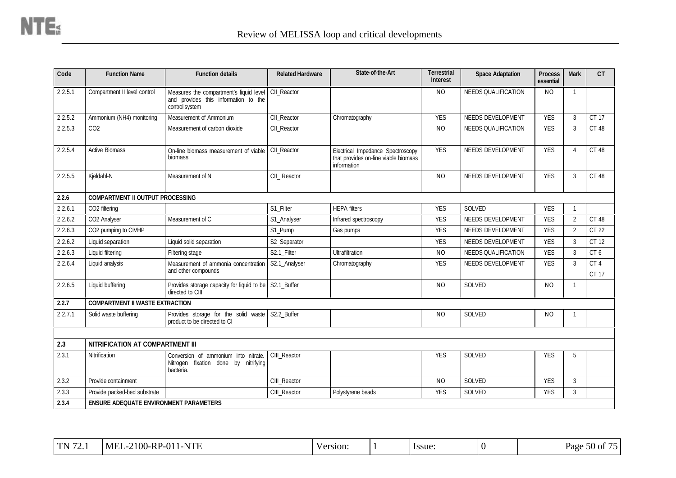| Code    | <b>Function Name</b>                          | <b>Function details</b>                                                                                       | <b>Related Hardware</b> | State-of-the-Art                                                                         | <b>Terrestrial</b><br><b>Interest</b> | <b>Space Adaptation</b>    | <b>Process</b><br>essential | <b>Mark</b>              | <b>CT</b>       |
|---------|-----------------------------------------------|---------------------------------------------------------------------------------------------------------------|-------------------------|------------------------------------------------------------------------------------------|---------------------------------------|----------------------------|-----------------------------|--------------------------|-----------------|
| 2.2.5.1 | Compartment II level control                  | Measures the compartment's liquid level CII_Reactor<br>and provides this information to the<br>control system |                         |                                                                                          | <b>NO</b>                             | <b>NEEDS QUALIFICATION</b> | NO.                         | $\mathbf{1}$             |                 |
| 2.2.5.2 | Ammonium (NH4) monitoring                     | Measurement of Ammonium                                                                                       | CII_Reactor             | Chromatography                                                                           | <b>YES</b>                            | NEEDS DEVELOPMENT          | <b>YES</b>                  | 3                        | CT 17           |
| 2.2.5.3 | CO <sub>2</sub>                               | Measurement of carbon dioxide                                                                                 | CII Reactor             |                                                                                          | <b>NO</b>                             | <b>NEEDS QUALIFICATION</b> | <b>YES</b>                  | 3                        | CT 48           |
| 2.2.5.4 | <b>Active Biomass</b>                         | On-line biomass measurement of viable<br>biomass                                                              | CII_Reactor             | Electrical Impedance Spectroscopy<br>that provides on-line viable biomass<br>information | <b>YES</b>                            | NEEDS DEVELOPMENT          | <b>YES</b>                  | $\overline{\mathcal{A}}$ | <b>CT 48</b>    |
| 2.2.5.5 | Kjeldahl-N                                    | Measurement of N                                                                                              | CII_ Reactor            |                                                                                          | N <sub>O</sub>                        | NEEDS DEVELOPMENT          | <b>YES</b>                  | 3                        | <b>CT 48</b>    |
| 2.2.6   | <b>COMPARTMENT II OUTPUT PROCESSING</b>       |                                                                                                               |                         |                                                                                          |                                       |                            |                             |                          |                 |
| 2.2.6.1 | CO2 filtering                                 |                                                                                                               | S1 Filter               | <b>HEPA</b> filters                                                                      | <b>YES</b>                            | <b>SOLVED</b>              | <b>YES</b>                  | $\mathbf{1}$             |                 |
| 2.2.6.2 | CO2 Analyser                                  | Measurement of C                                                                                              | S1 Analyser             | Infrared spectroscopy                                                                    | <b>YES</b>                            | NEEDS DEVELOPMENT          | <b>YES</b>                  | $\overline{2}$           | <b>CT 48</b>    |
| 2.2.6.3 | CO2 pumping to CIVHP                          |                                                                                                               | S1_Pump                 | Gas pumps                                                                                | <b>YES</b>                            | NEEDS DEVELOPMENT          | <b>YES</b>                  | $\overline{2}$           | CT 22           |
| 2.2.6.2 | Liquid separation                             | Liquid solid separation                                                                                       | S2_Separator            |                                                                                          | <b>YES</b>                            | NEEDS DEVELOPMENT          | <b>YES</b>                  | 3                        | CT 12           |
| 2.2.6.3 | Liquid filtering                              | Filtering stage                                                                                               | S2.1_Filter             | Ultrafiltration                                                                          | <b>NO</b>                             | <b>NEEDS QUALIFICATION</b> | <b>YES</b>                  | 3                        | CT <sub>6</sub> |
| 2.2.6.4 | Liquid analysis                               | Measurement of ammonia concentration<br>and other compounds                                                   | S2.1_Analyser           | Chromatography                                                                           | <b>YES</b>                            | NEEDS DEVELOPMENT          | <b>YES</b>                  | 3                        | CT4<br>CT 17    |
| 2.2.6.5 | Liquid buffering                              | Provides storage capacity for liquid to be S2.1_Buffer<br>directed to CIII                                    |                         |                                                                                          | <b>NO</b>                             | SOLVED                     | <b>NO</b>                   | $\mathbf{1}$             |                 |
| 2.2.7   | <b>COMPARTMENT II WASTE EXTRACTION</b>        |                                                                                                               |                         |                                                                                          |                                       |                            |                             |                          |                 |
| 2.2.7.1 | Solid waste buffering                         | Provides storage for the solid waste<br>product to be directed to CI                                          | S2.2_Buffer             |                                                                                          | N <sub>O</sub>                        | SOLVED                     | NO                          | -1                       |                 |
|         |                                               |                                                                                                               |                         |                                                                                          |                                       |                            |                             |                          |                 |
| 2.3     | NITRIFICATION AT COMPARTMENT III              |                                                                                                               |                         |                                                                                          |                                       |                            |                             |                          |                 |
| 2.3.1   | Nitrification                                 | Conversion of ammonium into nitrate.<br>Nitrogen fixation done by nitrifying<br>bacteria.                     | CIII_Reactor            |                                                                                          | <b>YES</b>                            | SOLVED                     | <b>YES</b>                  | 5                        |                 |
| 2.3.2   | Provide containment                           |                                                                                                               | CIII_Reactor            |                                                                                          | <b>NO</b>                             | SOLVED                     | <b>YES</b>                  | $\overline{3}$           |                 |
| 2.3.3   | Provide packed-bed substrate                  |                                                                                                               | CIII Reactor            | Polystyrene beads                                                                        | <b>YES</b>                            | <b>SOLVED</b>              | <b>YES</b>                  | $\overline{3}$           |                 |
| 2.3.4   | <b>ENSURE ADEQUATE ENVIRONMENT PARAMETERS</b> |                                                                                                               |                         |                                                                                          |                                       |                            |                             |                          |                 |

| $\Gamma$ N 72<br>$\mathbf{H}$ | 2100-RP-011<br>1-NTE<br>MF.<br>7 <u>.</u> | $/$ ersion. | <i>ssue</i> | $\sqrt{ }$ | Page<br>$50$ of |
|-------------------------------|-------------------------------------------|-------------|-------------|------------|-----------------|
|                               |                                           |             |             |            |                 |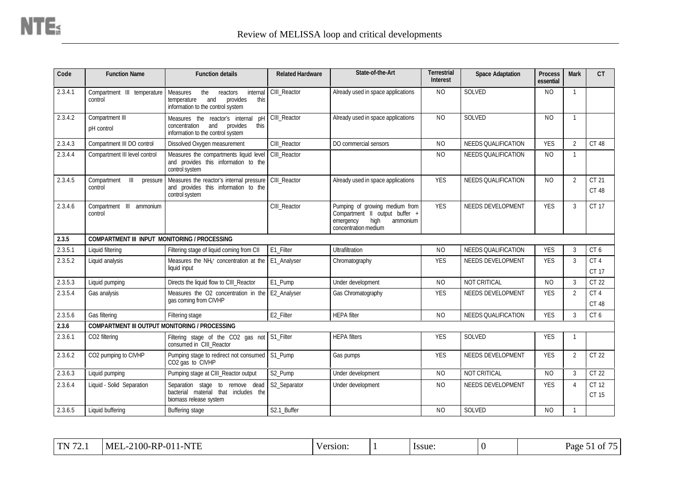| Code    | <b>Function Name</b>                                  | <b>Function details</b>                                                                                                | <b>Related Hardware</b> | State-of-the-Art                                                                                                          | <b>Terrestrial</b><br>Interest | <b>Space Adaptation</b>    | <b>Process</b><br>essential | <b>Mark</b>               | CT                       |
|---------|-------------------------------------------------------|------------------------------------------------------------------------------------------------------------------------|-------------------------|---------------------------------------------------------------------------------------------------------------------------|--------------------------------|----------------------------|-----------------------------|---------------------------|--------------------------|
| 2.3.4.1 | Compartment III temperature<br>control                | internal<br>Measures<br>the<br>reactors<br>provides<br>this<br>temperature<br>and<br>information to the control system | CIII Reactor            | Already used in space applications                                                                                        | <b>NO</b>                      | SOLVED                     | N <sub>O</sub>              | $\mathbf{1}$              |                          |
| 2.3.4.2 | Compartment III<br>pH control                         | Measures the reactor's internal<br>D<br>concentration<br>and<br>provides<br>this<br>information to the control system  | CIII_Reactor            | Already used in space applications                                                                                        | <b>NO</b>                      | SOLVED                     | <b>NO</b>                   | $\mathbf{1}$              |                          |
| 2.3.4.3 | Compartment III DO control                            | Dissolved Oxygen measurement                                                                                           | CIII_Reactor            | DO commercial sensors                                                                                                     | <b>NO</b>                      | <b>NEEDS QUALIFICATION</b> | <b>YES</b>                  | $\overline{2}$            | <b>CT 48</b>             |
| 2.3.4.4 | Compartment III level control                         | Measures the compartments liquid level<br>and provides this information to the<br>control system                       | CIII_Reactor            |                                                                                                                           | <b>NO</b>                      | <b>NEEDS QUALIFICATION</b> | <b>NO</b>                   | $\mathbf{1}$              |                          |
| 2.3.4.5 | Compartment<br>$\mathbb{H}$<br>control                | pressure   Measures the reactor's internal pressure<br>and provides this information to the<br>control system          | CIII_Reactor            | Already used in space applications                                                                                        | <b>YES</b>                     | NEEDS QUALIFICATION        | N <sub>O</sub>              | $\overline{2}$            | CT 21<br>CT 48           |
| 2.3.4.6 | Compartment III ammonium<br>control                   |                                                                                                                        | CIII_Reactor            | Pumping of growing medium from<br>Compartment II output buffer +<br>high<br>emergency<br>ammonium<br>concentration medium | <b>YES</b>                     | NEEDS DEVELOPMENT          | <b>YES</b>                  | 3                         | CT 17                    |
| 2.3.5   | <b>COMPARTMENT III INPUT MONITORING / PROCESSING</b>  |                                                                                                                        |                         |                                                                                                                           |                                |                            |                             |                           |                          |
| 2.3.5.1 | Liquid filtering                                      | Filtering stage of liquid coming from CII                                                                              | E1_Filter               | Ultrafiltration                                                                                                           | <b>NO</b>                      | NEEDS QUALIFICATION        | <b>YES</b>                  | 3                         | CT <sub>6</sub>          |
| 2.3.5.2 | Liquid analysis                                       | Measures the NH <sub>4</sub> + concentration at the<br>liquid input                                                    | E1_Analyser             | Chromatography                                                                                                            | <b>YES</b>                     | NEEDS DEVELOPMENT          | <b>YES</b>                  | 3                         | CT <sub>4</sub><br>CT 17 |
| 2.3.5.3 | Liquid pumping                                        | Directs the liquid flow to CIII_Reactor                                                                                | E1_Pump                 | Under development                                                                                                         | <b>NO</b>                      | NOT CRITICAL               | <b>NO</b>                   | 3                         | CT 22                    |
| 2.3.5.4 | Gas analysis                                          | Measures the O2 concentration in the<br>gas coming from CIVHP                                                          | E2_Analyser             | Gas Chromatography                                                                                                        | <b>YES</b>                     | NEEDS DEVELOPMENT          | <b>YES</b>                  | $\overline{2}$            | CT4<br><b>CT 48</b>      |
| 2.3.5.6 | Gas filtering                                         | Filtering stage                                                                                                        | E2_Filter               | <b>HEPA</b> filter                                                                                                        | <b>NO</b>                      | NEEDS QUALIFICATION        | <b>YES</b>                  | 3                         | CT6                      |
| 2.3.6   | <b>COMPARTMENT III OUTPUT MONITORING / PROCESSING</b> |                                                                                                                        |                         |                                                                                                                           |                                |                            |                             |                           |                          |
| 2.3.6.1 | CO2 filtering                                         | Filtering stage of the CO2 gas not<br>consumed in CIII Reactor                                                         | S1_Filter               | <b>HEPA filters</b>                                                                                                       | <b>YES</b>                     | SOLVED                     | <b>YES</b>                  | $\mathbf{1}$              |                          |
| 2.3.6.2 | CO2 pumping to CIVHP                                  | Pumping stage to redirect not consumed<br>CO2 gas to CIVHP                                                             | S1_Pump                 | Gas pumps                                                                                                                 | <b>YES</b>                     | NEEDS DEVELOPMENT          | <b>YES</b>                  | $\overline{2}$            | CT 22                    |
| 2.3.6.3 | Liquid pumping                                        | Pumping stage at CIII_Reactor output                                                                                   | S2_Pump                 | Under development                                                                                                         | <b>NO</b>                      | NOT CRITICAL               | <b>NO</b>                   | 3                         | CT 22                    |
| 2.3.6.4 | Liquid - Solid Separation                             | Separation stage to remove dead<br>bacterial material that includes the<br>biomass release system                      | S2_Separator            | Under development                                                                                                         | <b>NO</b>                      | NEEDS DEVELOPMENT          | <b>YES</b>                  | $\boldsymbol{\varLambda}$ | CT 12<br>CT 15           |
| 2.3.6.5 | Liquid buffering                                      | Buffering stage                                                                                                        | S2.1_Buffer             |                                                                                                                           | <b>NO</b>                      | SOLVED                     | N <sub>O</sub>              | $\mathbf{1}$              |                          |

| <b>DD</b><br><b>MEL</b><br>$-2100 - R1$<br>TTT<br>I TNI<br>-01<br>-N<br>. <u>.</u> . | 'ersion: |  | <i><u><b>Issue</b></u></i> |  | $ -$<br>Page<br>1 O1<br>ັ |
|--------------------------------------------------------------------------------------|----------|--|----------------------------|--|---------------------------|
|--------------------------------------------------------------------------------------|----------|--|----------------------------|--|---------------------------|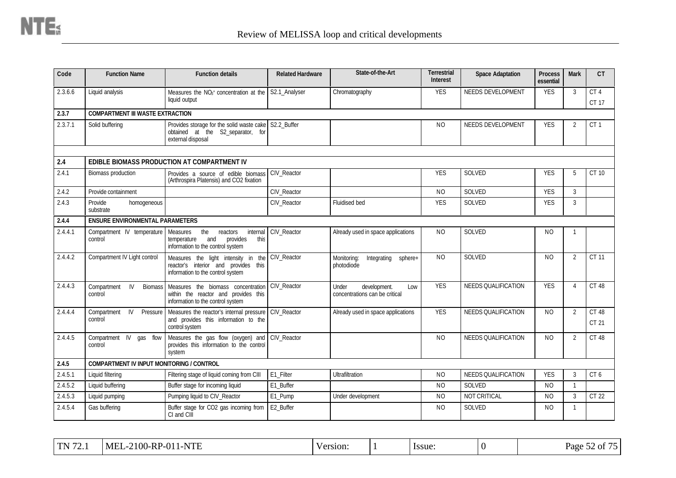| Code    | <b>Function Name</b>                             | <b>Function details</b>                                                                                                | <b>Related Hardware</b> | State-of-the-Art                                               | <b>Terrestrial</b><br><b>Interest</b> | <b>Space Adaptation</b>    | <b>Process</b><br>essential | <b>Mark</b>    | CT                    |
|---------|--------------------------------------------------|------------------------------------------------------------------------------------------------------------------------|-------------------------|----------------------------------------------------------------|---------------------------------------|----------------------------|-----------------------------|----------------|-----------------------|
| 2.3.6.6 | Liquid analysis                                  | Measures the NO <sub>3<sup>+</sup></sub> concentration at the<br>liquid output                                         | S2.1_Analyser           | Chromatography                                                 | <b>YES</b>                            | NEEDS DEVELOPMENT          | <b>YES</b>                  | 3              | CT4<br>CT 17          |
| 2.3.7   | <b>COMPARTMENT III WASTE EXTRACTION</b>          |                                                                                                                        |                         |                                                                |                                       |                            |                             |                |                       |
| 2.3.7.1 | Solid buffering                                  | Provides storage for the solid waste cake S2.2_Buffer<br>obtained at the S2_separator, for<br>external disposal        |                         |                                                                | <b>NO</b>                             | NEEDS DEVELOPMENT          | <b>YES</b>                  | 2              | CT <sub>1</sub>       |
| 2.4     |                                                  | EDIBLE BIOMASS PRODUCTION AT COMPARTMENT IV                                                                            |                         |                                                                |                                       |                            |                             |                |                       |
| 2.4.1   | Biomass production                               | Provides a source of edible biomass                                                                                    | CIV_Reactor             |                                                                | <b>YES</b>                            | SOLVED                     | <b>YES</b>                  | 5              | CT 10                 |
|         |                                                  | (Arthrospira Platensis) and CO2 fixation                                                                               |                         |                                                                |                                       |                            |                             |                |                       |
| 2.4.2   | Provide containment                              |                                                                                                                        | CIV_Reactor             |                                                                | <b>NO</b>                             | SOLVED                     | <b>YES</b>                  | 3              |                       |
| 2.4.3   | Provide<br>homogeneous<br>substrate              |                                                                                                                        | CIV Reactor             | Fluidised bed                                                  | <b>YES</b>                            | SOLVED                     | <b>YES</b>                  | 3              |                       |
| 2.4.4   | <b>ENSURE ENVIRONMENTAL PARAMETERS</b>           |                                                                                                                        |                         |                                                                |                                       |                            |                             |                |                       |
| 2.4.4.1 | Compartment IV temperature<br>control            | the<br>internal<br>Measures<br>reactors<br>provides<br>temperature<br>and<br>this<br>information to the control system | CIV_Reactor             | Already used in space applications                             | <b>NO</b>                             | SOLVED                     | NO.                         | -1             |                       |
| 2.4.4.2 | Compartment IV Light control                     | Measures the light intensity in the<br>reactor's interior and provides this<br>information to the control system       | CIV_Reactor             | Monitoring:<br>Integrating<br>sphere+<br>photodiode            | N <sub>O</sub>                        | SOLVED                     | <b>NO</b>                   | $\overline{2}$ | <b>CT 11</b>          |
| 2.4.4.3 | Compartment<br>IV.<br><b>Biomass</b><br>control  | Measures the biomass concentration<br>within the reactor and provides this<br>information to the control system        | <b>CIV</b> Reactor      | Under<br>development.<br>Low<br>concentrations can be critical | <b>YES</b>                            | <b>NEEDS QUALIFICATION</b> | <b>YES</b>                  | $\overline{4}$ | CT 48                 |
| 2.4.4.4 | IV<br>Pressure<br>Compartment<br>control         | Measures the reactor's internal pressure<br>and provides this information to the<br>control system                     | CIV_Reactor             | Already used in space applications                             | <b>YES</b>                            | <b>NEEDS QUALIFICATION</b> | <b>NO</b>                   | $\overline{2}$ | <b>CT 48</b><br>CT 21 |
| 2.4.4.5 | Compartment IV gas flow<br>control               | Measures the gas flow (oxygen) and<br>provides this information to the control<br>system                               | CIV_Reactor             |                                                                | N <sub>O</sub>                        | <b>NEEDS QUALIFICATION</b> | N <sub>O</sub>              | $\overline{2}$ | CT 48                 |
| 2.4.5   | <b>COMPARTMENT IV INPUT MONITORING / CONTROL</b> |                                                                                                                        |                         |                                                                |                                       |                            |                             |                |                       |
| 2.4.5.1 | Liquid filtering                                 | Filtering stage of liquid coming from CIII                                                                             | E1_Filter               | Ultrafiltration                                                | <b>NO</b>                             | NEEDS QUALIFICATION        | <b>YES</b>                  | 3              | CT <sub>6</sub>       |
| 2.4.5.2 | Liquid buffering                                 | Buffer stage for incoming liquid                                                                                       | E1 Buffer               |                                                                | <b>NO</b>                             | SOLVED                     | <b>NO</b>                   | -1             |                       |
| 2.4.5.3 | Liquid pumping                                   | Pumping liquid to CIV_Reactor                                                                                          | E1_Pump                 | Under development                                              | <b>NO</b>                             | NOT CRITICAL               | <b>NO</b>                   | 3              | CT 22                 |
| 2.4.5.4 | Gas buffering                                    | Buffer stage for CO2 gas incoming from<br>CI and CIII                                                                  | E2_Buffer               |                                                                | N <sub>O</sub>                        | SOLVED                     | N <sub>O</sub>              | $\mathbf{1}$   |                       |

| $-$<br>$T_{\rm N}$ | <b>TITT</b><br>:100<br>$M_{\rm F}$<br>N<br>υv.<br><u> ти</u><br>$\mathbf{v}$<br>1 L J L | 'ersion. | lssue | Page<br>ОT |
|--------------------|-----------------------------------------------------------------------------------------|----------|-------|------------|
|                    |                                                                                         |          |       |            |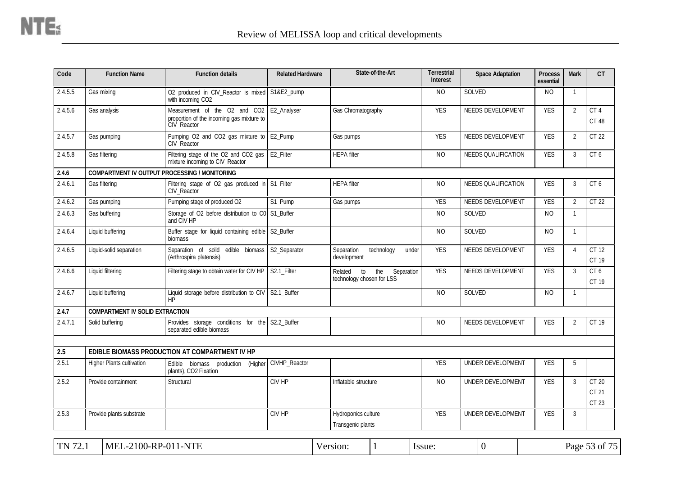| Code    | <b>Function Name</b>                   | <b>Function details</b>                                                                   | <b>Related Hardware</b> |                                            | State-of-the-Art    | <b>Terrestrial</b><br><b>Interest</b> | <b>Space Adaptation</b>  | <b>Process</b><br>essential | <b>Mark</b>    | <b>CT</b>               |
|---------|----------------------------------------|-------------------------------------------------------------------------------------------|-------------------------|--------------------------------------------|---------------------|---------------------------------------|--------------------------|-----------------------------|----------------|-------------------------|
| 2.4.5.5 | Gas mixing                             | O2 produced in CIV_Reactor is mixed<br>with incoming CO2                                  | S1&E2_pump              |                                            |                     | <b>NO</b>                             | SOLVED                   | <b>NO</b>                   | $\overline{1}$ |                         |
| 2.4.5.6 | Gas analysis                           | Measurement of the O2 and CO2<br>proportion of the incoming gas mixture to<br>CIV_Reactor | E2_Analyser             | Gas Chromatography                         |                     | <b>YES</b>                            | NEEDS DEVELOPMENT        | <b>YES</b>                  | $\overline{2}$ | CT4<br>CT 48            |
| 2.4.5.7 | Gas pumping                            | Pumping O2 and CO2 gas mixture to<br>CIV Reactor                                          | E2_Pump                 | Gas pumps                                  |                     | <b>YES</b>                            | NEEDS DEVELOPMENT        | <b>YES</b>                  | $\overline{2}$ | CT 22                   |
| 2.4.5.8 | Gas filtering                          | Filtering stage of the O2 and CO2 gas<br>mixture incoming to CIV_Reactor                  | E2_Filter               | <b>HEPA</b> filter                         |                     | <b>NO</b>                             | NEEDS QUALIFICATION      | <b>YES</b>                  | $\mathfrak{Z}$ | CT 6                    |
| 2.4.6   |                                        | <b>COMPARTMENT IV OUTPUT PROCESSING / MONITORING</b>                                      |                         |                                            |                     |                                       |                          |                             |                |                         |
| 2.4.6.1 | Gas filtering                          | Filtering stage of O2 gas produced in<br>CIV_Reactor                                      | S1 Filter               | <b>HEPA</b> filter                         |                     | N <sub>O</sub>                        | NEEDS QUALIFICATION      | <b>YES</b>                  | 3              | CT <sub>6</sub>         |
| 2.4.6.2 | Gas pumping                            | Pumping stage of produced O2                                                              | S1_Pump                 | Gas pumps                                  |                     | <b>YES</b>                            | NEEDS DEVELOPMENT        | <b>YES</b>                  | $\overline{2}$ | CT 22                   |
| 2.4.6.3 | Gas buffering                          | Storage of O2 before distribution to C0<br>and CIV HP                                     | S1_Buffer               |                                            |                     | NO.                                   | SOLVED                   | NO.                         | $\mathbf{1}$   |                         |
| 2.4.6.4 | Liquid buffering                       | Buffer stage for liquid containing edible<br>biomass                                      | S2_Buffer               |                                            |                     | NO.                                   | SOLVED                   | NO.                         | $\overline{1}$ |                         |
| 2.4.6.5 | Liquid-solid separation                | Separation of solid edible biomass<br>(Arthrospira platensis)                             | S2_Separator            | Separation<br>development                  | technology<br>under | <b>YES</b>                            | NEEDS DEVELOPMENT        | <b>YES</b>                  | $\overline{4}$ | CT 12<br>CT 19          |
| 2.4.6.6 | Liquid filtering                       | Filtering stage to obtain water for CIV HP                                                | S2.1_Filter             | Related<br>to<br>technology chosen for LSS | the<br>Separation   | <b>YES</b>                            | NEEDS DEVELOPMENT        | <b>YES</b>                  | $\mathbf{3}$   | CT 6<br>CT 19           |
| 2.4.6.7 | Liquid buffering                       | Liquid storage before distribution to CIV<br>HP                                           | S2.1_Buffer             |                                            |                     | N <sub>O</sub>                        | SOLVED                   | NO.                         | $\overline{1}$ |                         |
| 2.4.7   | <b>COMPARTMENT IV SOLID EXTRACTION</b> |                                                                                           |                         |                                            |                     |                                       |                          |                             |                |                         |
| 2.4.7.1 | Solid buffering                        | Provides storage conditions for the S2.2_Buffer<br>separated edible biomass               |                         |                                            |                     | NO.                                   | NEEDS DEVELOPMENT        | <b>YES</b>                  | $\overline{2}$ | CT 19                   |
| 2.5     |                                        | EDIBLE BIOMASS PRODUCTION AT COMPARTMENT IV HP                                            |                         |                                            |                     |                                       |                          |                             |                |                         |
| 2.5.1   | <b>Higher Plants cultivation</b>       | biomass production<br>Edible<br>(Higher<br>plants), CO2 Fixation                          | CIVHP_Reactor           |                                            |                     | <b>YES</b>                            | UNDER DEVELOPMENT        | <b>YES</b>                  | 5              |                         |
| 2.5.2   | Provide containment                    | Structural                                                                                | CIV HP                  | Inflatable structure                       |                     | N <sub>O</sub>                        | UNDER DEVELOPMENT        | <b>YES</b>                  | 3              | CT 20<br>CT 21<br>CT 23 |
| 2.5.3   | Provide plants substrate               |                                                                                           | CIV HP                  | Hydroponics culture<br>Transgenic plants   |                     | <b>YES</b>                            | <b>UNDER DEVELOPMENT</b> | <b>YES</b>                  | 3              |                         |
| TN 72.1 | MEL-2100-RP-011-NTE                    |                                                                                           |                         | Version:                                   |                     | Issue:                                | $\overline{0}$           |                             |                | Page 53 of 75           |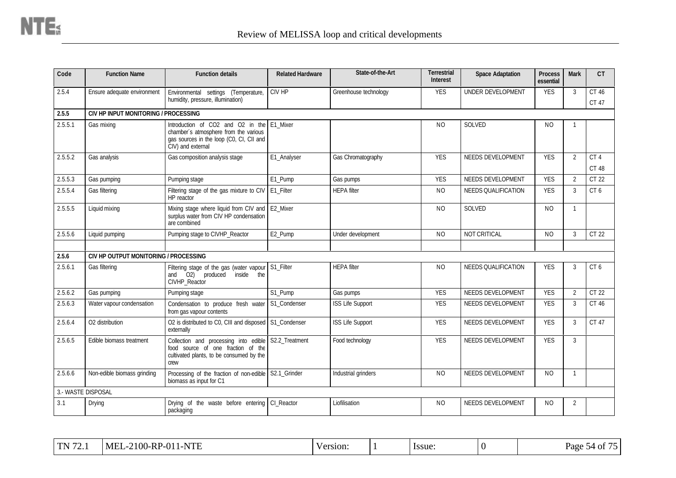| Code    | <b>Function Name</b>                  | <b>Function details</b>                                                                                                                              | <b>Related Hardware</b> | State-of-the-Art        | <b>Terrestrial</b><br><b>Interest</b> | <b>Space Adaptation</b>    | <b>Process</b><br>essential | <b>Mark</b>    | <b>CT</b>                |
|---------|---------------------------------------|------------------------------------------------------------------------------------------------------------------------------------------------------|-------------------------|-------------------------|---------------------------------------|----------------------------|-----------------------------|----------------|--------------------------|
| 2.5.4   | Ensure adequate environment           | Environmental settings (Temperature,<br>humidity, pressure, illumination)                                                                            | CIV HP                  | Greenhouse technology   | <b>YES</b>                            | UNDER DEVELOPMENT          | <b>YES</b>                  | 3              | CT 46<br>CT 47           |
| 2.5.5   | CIV HP INPUT MONITORING / PROCESSING  |                                                                                                                                                      |                         |                         |                                       |                            |                             |                |                          |
| 2.5.5.1 | Gas mixing                            | Introduction of CO2 and O2 in the E1 Mixer<br>chamber's atmosphere from the various<br>gas sources in the loop (C0, CI, CII and<br>CIV) and external |                         |                         | <b>NO</b>                             | SOLVED                     | N <sub>O</sub>              |                |                          |
| 2.5.5.2 | Gas analysis                          | Gas composition analysis stage                                                                                                                       | E1 Analyser             | Gas Chromatography      | <b>YES</b>                            | NEEDS DEVELOPMENT          | <b>YES</b>                  | $\overline{2}$ | CT <sub>4</sub><br>CT 48 |
| 2.5.5.3 | Gas pumping                           | Pumping stage                                                                                                                                        | E1_Pump                 | Gas pumps               | <b>YES</b>                            | NEEDS DEVELOPMENT          | <b>YES</b>                  | $\overline{2}$ | CT 22                    |
| 2.5.5.4 | Gas filtering                         | Filtering stage of the gas mixture to CIV<br>HP reactor                                                                                              | E1_Filter               | <b>HEPA</b> filter      | <b>NO</b>                             | NEEDS QUALIFICATION        | <b>YES</b>                  | 3              | CT <sub>6</sub>          |
| 2.5.5.5 | Liquid mixing                         | Mixing stage where liquid from CIV and<br>surplus water from CIV HP condensation<br>are combined                                                     | E2_Mixer                |                         | <b>NO</b>                             | SOLVED                     | <b>NO</b>                   | $\mathbf{1}$   |                          |
| 2.5.5.6 | Liquid pumping                        | Pumping stage to CIVHP_Reactor                                                                                                                       | E2_Pump                 | Under development       | <b>NO</b>                             | NOT CRITICAL               | N <sub>O</sub>              | 3              | CT 22                    |
|         |                                       |                                                                                                                                                      |                         |                         |                                       |                            |                             |                |                          |
| 2.5.6   | CIV HP OUTPUT MONITORING / PROCESSING |                                                                                                                                                      |                         |                         |                                       |                            |                             |                |                          |
| 2.5.6.1 | Gas filtering                         | Filtering stage of the gas (water vapour<br>O(2)<br>produced<br>inside<br>and<br>the<br>CIVHP_Reactor                                                | S1_Filter               | <b>HEPA</b> filter      | NO                                    | <b>NEEDS QUALIFICATION</b> | <b>YES</b>                  | 3              | CT6                      |
| 2.5.6.2 | Gas pumping                           | Pumping stage                                                                                                                                        | S1_Pump                 | Gas pumps               | <b>YES</b>                            | NEEDS DEVELOPMENT          | <b>YES</b>                  | 2              | CT 22                    |
| 2.5.6.3 | Water vapour condensation             | Condensation to produce fresh water<br>from gas vapour contents                                                                                      | S1 Condenser            | <b>ISS Life Support</b> | <b>YES</b>                            | NEEDS DEVELOPMENT          | <b>YES</b>                  | 3              | CT 46                    |
| 2.5.6.4 | O2 distribution                       | O2 is distributed to C0, CIII and disposed<br>externally                                                                                             | S1_Condenser            | ISS Life Support        | <b>YES</b>                            | NEEDS DEVELOPMENT          | <b>YES</b>                  | 3              | CT 47                    |
| 2.5.6.5 | Edible biomass treatment              | Collection and processing into edible<br>food source of one fraction of the<br>cultivated plants, to be consumed by the<br>crew                      | S2.2_Treatment          | Food technology         | <b>YES</b>                            | NEEDS DEVELOPMENT          | <b>YES</b>                  | 3              |                          |
| 2.5.6.6 | Non-edible biomass grinding           | Processing of the fraction of non-edible<br>biomass as input for C1                                                                                  | S2.1_Grinder            | Industrial grinders     | <b>NO</b>                             | NEEDS DEVELOPMENT          | <b>NO</b>                   | $\mathbf{1}$   |                          |
|         | 3.- WASTE DISPOSAL                    |                                                                                                                                                      |                         |                         |                                       |                            |                             |                |                          |
| 3.1     | Drying                                | Drying of the waste before entering CI_Reactor<br>packaging                                                                                          |                         | Liofilisation           | NO.                                   | NEEDS DEVELOPMENT          | <b>NO</b>                   | $\overline{2}$ |                          |

| $-2100$ -RP-01<br>$\Gamma$ N $\Gamma$<br>1-NTE<br><b>FILL</b><br>- MEL<br>- 1<br>. | Version: |  | lssue: |  | $-$<br>Page 5<br>10 F( |
|------------------------------------------------------------------------------------|----------|--|--------|--|------------------------|
|------------------------------------------------------------------------------------|----------|--|--------|--|------------------------|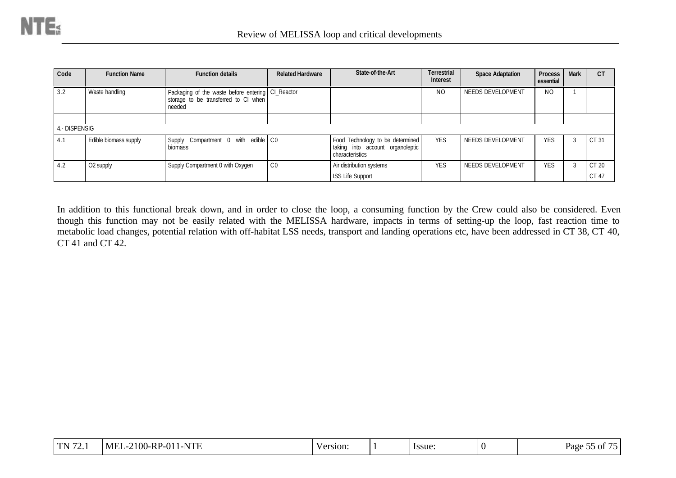| Code          | <b>Function Name</b>  | <b>Function details</b>                                                                             | <b>Related Hardware</b> | State-of-the-Art                                                                        | <b>Terrestrial</b><br><b>Interest</b> | <b>Space Adaptation</b> | <b>Process</b><br>essential | <b>Mark</b> | C <sub>T</sub> |
|---------------|-----------------------|-----------------------------------------------------------------------------------------------------|-------------------------|-----------------------------------------------------------------------------------------|---------------------------------------|-------------------------|-----------------------------|-------------|----------------|
| 3.2           | Waste handling        | Packaging of the waste before entering CI_Reactor<br>storage to be transferred to CI when<br>needed |                         |                                                                                         | N <sub>O</sub>                        | NEEDS DEVELOPMENT       | N <sub>O</sub>              |             |                |
|               |                       |                                                                                                     |                         |                                                                                         |                                       |                         |                             |             |                |
| 4.- DISPENSIG |                       |                                                                                                     |                         |                                                                                         |                                       |                         |                             |             |                |
| 4.1           | Edible biomass supply | Supply Compartment 0 with edible CO<br>biomass                                                      |                         | Food Technology to be determined<br>taking into account organoleptic<br>characteristics | <b>YES</b>                            | NEEDS DEVELOPMENT       | <b>YES</b>                  |             | CT 31          |
| 4.2           | O2 supply             | Supply Compartment 0 with Oxygen                                                                    | CO                      | Air distribution systems                                                                | <b>YES</b>                            | NEEDS DEVELOPMENT       | <b>YES</b>                  |             | CT 20          |
|               |                       |                                                                                                     |                         | <b>ISS Life Support</b>                                                                 |                                       |                         |                             |             | CT 47          |

In addition to this functional break down, and in order to close the loop, a consuming function by the Crew could also be considered. Even though this function may not be easily related with the MELISSA hardware, impacts in terms of setting-up the loop, fast reaction time to metabolic load changes, potential relation with off-habitat LSS needs, transport and landing operations etc, have been addressed in CT 38, CT 40, CT 41 and CT 42.

| $\Gamma$ N $\overline{72}$ 1<br>$-2100$ -RP-01 <sup>1</sup><br><b>NTE</b><br>MEL-<br>1-N<br>lssue:<br>Version:<br><b>III</b><br>. |  | $ -$<br>- -<br>Page<br>- OI<br>. |
|-----------------------------------------------------------------------------------------------------------------------------------|--|----------------------------------|
|-----------------------------------------------------------------------------------------------------------------------------------|--|----------------------------------|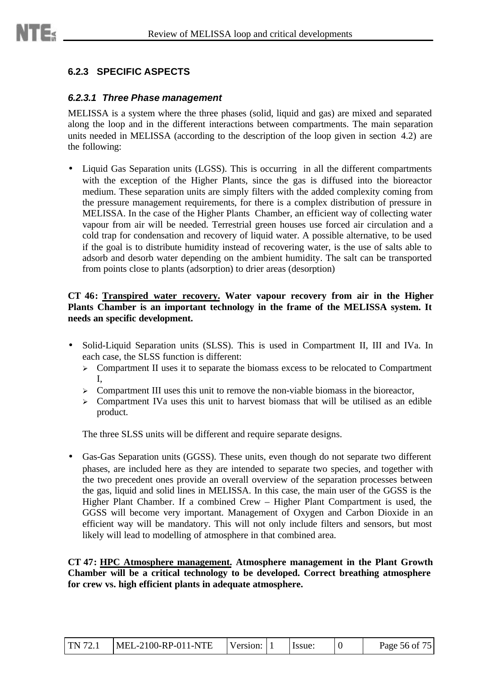## **6.2.3 SPECIFIC ASPECTS**

#### *6.2.3.1 Three Phase management*

MELISSA is a system where the three phases (solid, liquid and gas) are mixed and separated along the loop and in the different interactions between compartments. The main separation units needed in MELISSA (according to the description of the loop given in section 4.2) are the following:

• Liquid Gas Separation units (LGSS). This is occurring in all the different compartments with the exception of the Higher Plants, since the gas is diffused into the bioreactor medium. These separation units are simply filters with the added complexity coming from the pressure management requirements, for there is a complex distribution of pressure in MELISSA. In the case of the Higher Plants Chamber, an efficient way of collecting water vapour from air will be needed. Terrestrial green houses use forced air circulation and a cold trap for condensation and recovery of liquid water. A possible alternative, to be used if the goal is to distribute humidity instead of recovering water, is the use of salts able to adsorb and desorb water depending on the ambient humidity. The salt can be transported from points close to plants (adsorption) to drier areas (desorption)

#### **CT 46: Transpired water recovery. Water vapour recovery from air in the Higher Plants Chamber is an important technology in the frame of the MELISSA system. It needs an specific development.**

- Solid-Liquid Separation units (SLSS). This is used in Compartment II, III and IVa. In each case, the SLSS function is different:
	- $\triangleright$  Compartment II uses it to separate the biomass excess to be relocated to Compartment I,
	- $\geq$  Compartment III uses this unit to remove the non-viable biomass in the bioreactor,
	- $\triangleright$  Compartment IVa uses this unit to harvest biomass that will be utilised as an edible product.

The three SLSS units will be different and require separate designs.

• Gas-Gas Separation units (GGSS). These units, even though do not separate two different phases, are included here as they are intended to separate two species, and together with the two precedent ones provide an overall overview of the separation processes between the gas, liquid and solid lines in MELISSA. In this case, the main user of the GGSS is the Higher Plant Chamber. If a combined Crew – Higher Plant Compartment is used, the GGSS will become very important. Management of Oxygen and Carbon Dioxide in an efficient way will be mandatory. This will not only include filters and sensors, but most likely will lead to modelling of atmosphere in that combined area.

**CT 47: HPC Atmosphere management. Atmosphere management in the Plant Growth Chamber will be a critical technology to be developed. Correct breathing atmosphere for crew vs. high efficient plants in adequate atmosphere.**

| TN 72.1 | $MEL-2100-RP-011-NTE$ | Version: 1 |  | Hssue: |  | Page 56 of 75 |
|---------|-----------------------|------------|--|--------|--|---------------|
|---------|-----------------------|------------|--|--------|--|---------------|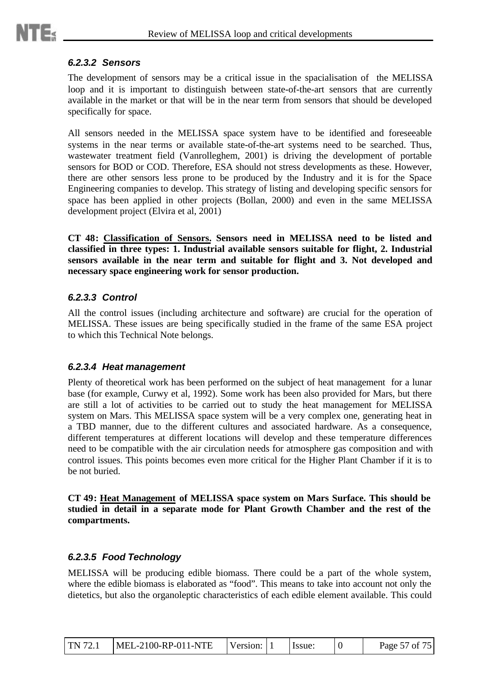#### *6.2.3.2 Sensors*

The development of sensors may be a critical issue in the spacialisation of the MELISSA loop and it is important to distinguish between state-of-the-art sensors that are currently available in the market or that will be in the near term from sensors that should be developed specifically for space.

All sensors needed in the MELISSA space system have to be identified and foreseeable systems in the near terms or available state-of-the-art systems need to be searched. Thus, wastewater treatment field (Vanrolleghem, 2001) is driving the development of portable sensors for BOD or COD. Therefore, ESA should not stress developments as these. However, there are other sensors less prone to be produced by the Industry and it is for the Space Engineering companies to develop. This strategy of listing and developing specific sensors for space has been applied in other projects (Bollan, 2000) and even in the same MELISSA development project (Elvira et al, 2001)

**CT 48: Classification of Sensors. Sensors need in MELISSA need to be listed and classified in three types: 1. Industrial available sensors suitable for flight, 2. Industrial sensors available in the near term and suitable for flight and 3. Not developed and necessary space engineering work for sensor production.**

### *6.2.3.3 Control*

All the control issues (including architecture and software) are crucial for the operation of MELISSA. These issues are being specifically studied in the frame of the same ESA project to which this Technical Note belongs.

### *6.2.3.4 Heat management*

Plenty of theoretical work has been performed on the subject of heat management for a lunar base (for example, Curwy et al, 1992). Some work has been also provided for Mars, but there are still a lot of activities to be carried out to study the heat management for MELISSA system on Mars. This MELISSA space system will be a very complex one, generating heat in a TBD manner, due to the different cultures and associated hardware. As a consequence, different temperatures at different locations will develop and these temperature differences need to be compatible with the air circulation needs for atmosphere gas composition and with control issues. This points becomes even more critical for the Higher Plant Chamber if it is to be not buried.

**CT 49: Heat Management of MELISSA space system on Mars Surface. This should be studied in detail in a separate mode for Plant Growth Chamber and the rest of the compartments.**

### *6.2.3.5 Food Technology*

MELISSA will be producing edible biomass. There could be a part of the whole system, where the edible biomass is elaborated as "food". This means to take into account not only the dietetics, but also the organoleptic characteristics of each edible element available. This could

| <b>TN 72.1</b> | MEL-2100-RP-011-NTE | Version: |  | Issue: |  | Page 57 of 75 |
|----------------|---------------------|----------|--|--------|--|---------------|
|----------------|---------------------|----------|--|--------|--|---------------|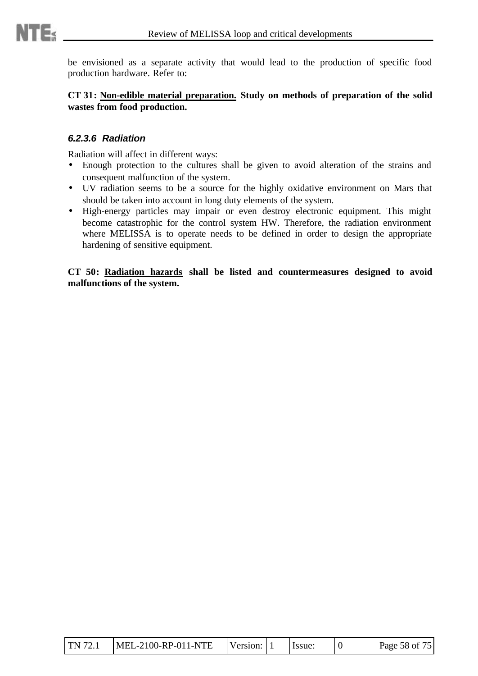be envisioned as a separate activity that would lead to the production of specific food production hardware. Refer to:

**CT 31: Non-edible material preparation. Study on methods of preparation of the solid wastes from food production.**

### *6.2.3.6 Radiation*

Radiation will affect in different ways:

- Enough protection to the cultures shall be given to avoid alteration of the strains and consequent malfunction of the system.
- UV radiation seems to be a source for the highly oxidative environment on Mars that should be taken into account in long duty elements of the system.
- High-energy particles may impair or even destroy electronic equipment. This might become catastrophic for the control system HW. Therefore, the radiation environment where MELISSA is to operate needs to be defined in order to design the appropriate hardening of sensitive equipment.

**CT 50: Radiation hazards shall be listed and countermeasures designed to avoid malfunctions of the system.**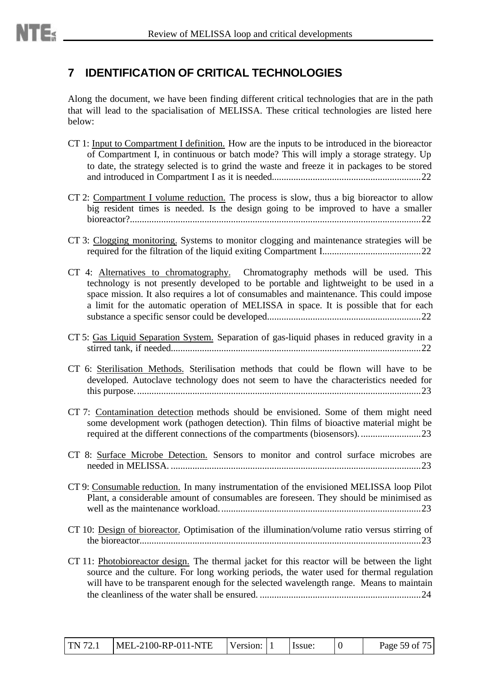# **7 IDENTIFICATION OF CRITICAL TECHNOLOGIES**

Along the document, we have been finding different critical technologies that are in the path that will lead to the spacialisation of MELISSA. These critical technologies are listed here below:

- CT 1: Input to Compartment I definition. How are the inputs to be introduced in the bioreactor of Compartment I, in continuous or batch mode? This will imply a storage strategy. Up to date, the strategy selected is to grind the waste and freeze it in packages to be stored and introduced in Compartment I as it is needed..............................................................22
- CT 2: Compartment I volume reduction. The process is slow, thus a big bioreactor to allow big resident times is needed. Is the design going to be improved to have a smaller bioreactor?.........................................................................................................................22
- CT 3: Clogging monitoring. Systems to monitor clogging and maintenance strategies will be required for the filtration of the liquid exiting Compartment I.........................................22
- CT 4: Alternatives to chromatography. Chromatography methods will be used. This technology is not presently developed to be portable and lightweight to be used in a space mission. It also requires a lot of consumables and maintenance. This could impose a limit for the automatic operation of MELISSA in space. It is possible that for each substance a specific sensor could be developed................................................................22
- CT 5: Gas Liquid Separation System. Separation of gas-liquid phases in reduced gravity in a stirred tank, if needed........................................................................................................22
- CT 6: Sterilisation Methods. Sterilisation methods that could be flown will have to be developed. Autoclave technology does not seem to have the characteristics needed for this purpose.......................................................................................................................23
- CT 7: Contamination detection methods should be envisioned. Some of them might need some development work (pathogen detection). Thin films of bioactive material might be required at the different connections of the compartments (biosensors)..........................23
- CT 8: Surface Microbe Detection. Sensors to monitor and control surface microbes are needed in MELISSA. ........................................................................................................23
- CT 9: Consumable reduction. In many instrumentation of the envisioned MELISSA loop Pilot Plant, a considerable amount of consumables are foreseen. They should be minimised as well as the maintenance workload....................................................................................23
- CT 10: Design of bioreactor. Optimisation of the illumination/volume ratio versus stirring of the bioreactor.....................................................................................................................23
- CT 11: Photobioreactor design. The thermal jacket for this reactor will be between the light source and the culture. For long working periods, the water used for thermal regulation will have to be transparent enough for the selected wavelength range. Means to maintain the cleanliness of the water shall be ensured. ...................................................................24

| TN 72.1 | MEL-2100-RP-011-NTE | Version: |  | Issue: |  | Page 59 of 75 |
|---------|---------------------|----------|--|--------|--|---------------|
|---------|---------------------|----------|--|--------|--|---------------|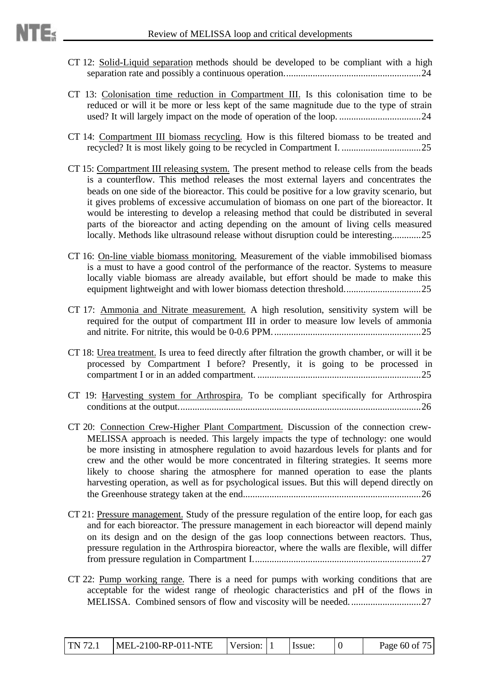- CT 12: Solid-Liquid separation methods should be developed to be compliant with a high separation rate and possibly a continuous operation.........................................................24
- CT 13: Colonisation time reduction in Compartment III. Is this colonisation time to be reduced or will it be more or less kept of the same magnitude due to the type of strain used? It will largely impact on the mode of operation of the loop. ..................................24
- CT 14: Compartment III biomass recycling. How is this filtered biomass to be treated and recycled? It is most likely going to be recycled in Compartment I. .................................25
- CT 15: Compartment III releasing system. The present method to release cells from the beads is a counterflow. This method releases the most external layers and concentrates the beads on one side of the bioreactor. This could be positive for a low gravity scenario, but it gives problems of excessive accumulation of biomass on one part of the bioreactor. It would be interesting to develop a releasing method that could be distributed in several parts of the bioreactor and acting depending on the amount of living cells measured locally. Methods like ultrasound release without disruption could be interesting............25
- CT 16: On-line viable biomass monitoring. Measurement of the viable immobilised biomass is a must to have a good control of the performance of the reactor. Systems to measure locally viable biomass are already available, but effort should be made to make this equipment lightweight and with lower biomass detection threshold................................25
- CT 17: Ammonia and Nitrate measurement. A high resolution, sensitivity system will be required for the output of compartment III in order to measure low levels of ammonia and nitrite. For nitrite, this would be 0-0.6 PPM..............................................................25
- CT 18: Urea treatment. Is urea to feed directly after filtration the growth chamber, or will it be processed by Compartment I before? Presently, it is going to be processed in compartment I or in an added compartment. ....................................................................25
- CT 19: Harvesting system for Arthrospira. To be compliant specifically for Arthrospira conditions at the output.....................................................................................................26
- CT 20: Connection Crew-Higher Plant Compartment. Discussion of the connection crew-MELISSA approach is needed. This largely impacts the type of technology: one would be more insisting in atmosphere regulation to avoid hazardous levels for plants and for crew and the other would be more concentrated in filtering strategies. It seems more likely to choose sharing the atmosphere for manned operation to ease the plants harvesting operation, as well as for psychological issues. But this will depend directly on the Greenhouse strategy taken at the end..........................................................................26
- CT 21: Pressure management. Study of the pressure regulation of the entire loop, for each gas and for each bioreactor. The pressure management in each bioreactor will depend mainly on its design and on the design of the gas loop connections between reactors. Thus, pressure regulation in the Arthrospira bioreactor, where the walls are flexible, will differ from pressure regulation in Compartment I......................................................................27
- CT 22: Pump working range. There is a need for pumps with working conditions that are acceptable for the widest range of rheologic characteristics and pH of the flows in MELISSA. Combined sensors of flow and viscosity will be needed..............................27

| <b>TN</b> 72.1 | MEL-2100-RP-011-NTE | Version: |  | Issue: |  | Page 60 of 75 |
|----------------|---------------------|----------|--|--------|--|---------------|
|----------------|---------------------|----------|--|--------|--|---------------|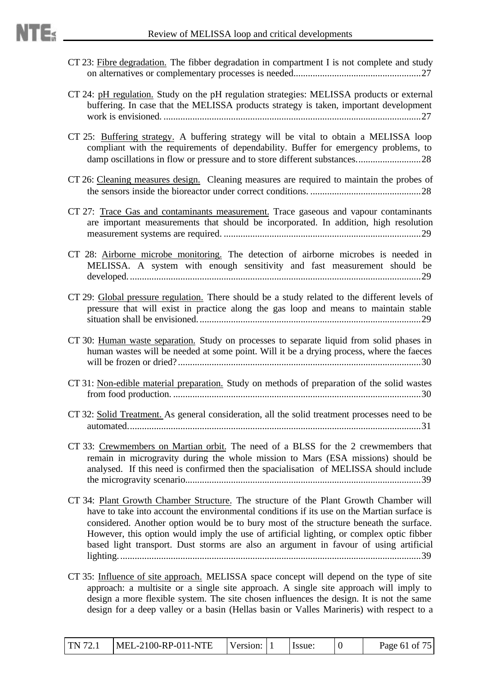- CT 23: Fibre degradation. The fibber degradation in compartment I is not complete and study on alternatives or complementary processes is needed.....................................................27
- CT 24: pH regulation. Study on the pH regulation strategies: MELISSA products or external buffering. In case that the MELISSA products strategy is taken, important development work is envisioned. ...........................................................................................................27
- CT 25: Buffering strategy. A buffering strategy will be vital to obtain a MELISSA loop compliant with the requirements of dependability. Buffer for emergency problems, to damp oscillations in flow or pressure and to store different substances...........................28
- CT 26: Cleaning measures design. Cleaning measures are required to maintain the probes of the sensors inside the bioreactor under correct conditions. ..............................................28
- CT 27: Trace Gas and contaminants measurement. Trace gaseous and vapour contaminants are important measurements that should be incorporated. In addition, high resolution measurement systems are required. ..................................................................................29
- CT 28: Airborne microbe monitoring. The detection of airborne microbes is needed in MELISSA. A system with enough sensitivity and fast measurement should be developed..........................................................................................................................29
- CT 29: Global pressure regulation. There should be a study related to the different levels of pressure that will exist in practice along the gas loop and means to maintain stable situation shall be envisioned.............................................................................................29
- CT 30: Human waste separation. Study on processes to separate liquid from solid phases in human wastes will be needed at some point. Will it be a drying process, where the faeces will be frozen or dried? .....................................................................................................30
- CT 31: Non-edible material preparation. Study on methods of preparation of the solid wastes from food production. .......................................................................................................30
- CT 32: Solid Treatment. As general consideration, all the solid treatment processes need to be automated..........................................................................................................................31
- CT 33: Crewmembers on Martian orbit. The need of a BLSS for the 2 crewmembers that remain in microgravity during the whole mission to Mars (ESA missions) should be analysed. If this need is confirmed then the spacialisation of MELISSA should include the microgravity scenario..................................................................................................39
- CT 34: Plant Growth Chamber Structure. The structure of the Plant Growth Chamber will have to take into account the environmental conditions if its use on the Martian surface is considered. Another option would be to bury most of the structure beneath the surface. However, this option would imply the use of artificial lighting, or complex optic fibber based light transport. Dust storms are also an argument in favour of using artificial lighting..............................................................................................................................39
- CT 35: Influence of site approach. MELISSA space concept will depend on the type of site approach: a multisite or a single site approach. A single site approach will imply to design a more flexible system. The site chosen influences the design. It is not the same design for a deep valley or a basin (Hellas basin or Valles Marineris) with respect to a

| <b>TN 72.1</b> | MEL-2100-RP-011-NTE | Version: |  | Issue: |  | Page 61 of 75 |
|----------------|---------------------|----------|--|--------|--|---------------|
|----------------|---------------------|----------|--|--------|--|---------------|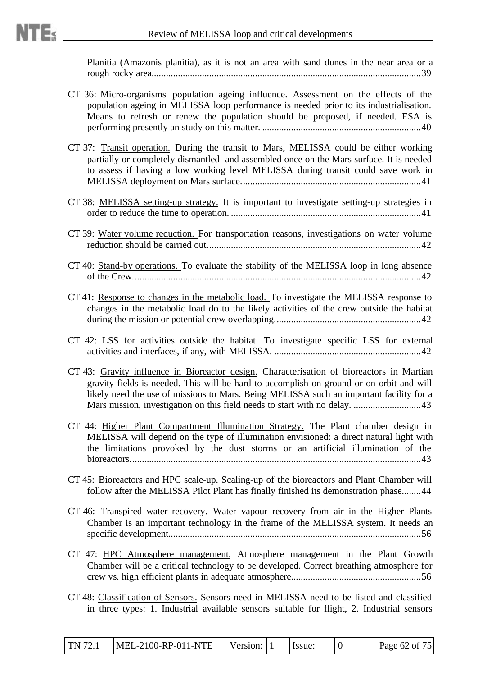Planitia (Amazonis planitia), as it is not an area with sand dunes in the near area or a rough rocky area................................................................................................................39

- CT 36: Micro-organisms population ageing influence. Assessment on the effects of the population ageing in MELISSA loop performance is needed prior to its industrialisation. Means to refresh or renew the population should be proposed, if needed. ESA is performing presently an study on this matter. ..................................................................40
- CT 37: Transit operation. During the transit to Mars, MELISSA could be either working partially or completely dismantled and assembled once on the Mars surface. It is needed to assess if having a low working level MELISSA during transit could save work in MELISSA deployment on Mars surface...........................................................................41
- CT 38: MELISSA setting-up strategy. It is important to investigate setting-up strategies in order to reduce the time to operation. ...............................................................................41
- CT 39: Water volume reduction. For transportation reasons, investigations on water volume reduction should be carried out.........................................................................................42
- CT 40: Stand-by operations. To evaluate the stability of the MELISSA loop in long absence of the Crew........................................................................................................................42
- CT 41: Response to changes in the metabolic load. To investigate the MELISSA response to changes in the metabolic load do to the likely activities of the crew outside the habitat during the mission or potential crew overlapping.............................................................42
- CT 42: LSS for activities outside the habitat. To investigate specific LSS for external activities and interfaces, if any, with MELISSA. .............................................................42
- CT 43: Gravity influence in Bioreactor design. Characterisation of bioreactors in Martian gravity fields is needed. This will be hard to accomplish on ground or on orbit and will likely need the use of missions to Mars. Being MELISSA such an important facility for a Mars mission, investigation on this field needs to start with no delay. ............................43
- CT 44: Higher Plant Compartment Illumination Strategy. The Plant chamber design in MELISSA will depend on the type of illumination envisioned: a direct natural light with the limitations provoked by the dust storms or an artificial illumination of the bioreactors.........................................................................................................................43
- CT 45: Bioreactors and HPC scale-up. Scaling-up of the bioreactors and Plant Chamber will follow after the MELISSA Pilot Plant has finally finished its demonstration phase........44
- CT 46: Transpired water recovery. Water vapour recovery from air in the Higher Plants Chamber is an important technology in the frame of the MELISSA system. It needs an specific development.........................................................................................................56
- CT 47: HPC Atmosphere management. Atmosphere management in the Plant Growth Chamber will be a critical technology to be developed. Correct breathing atmosphere for crew vs. high efficient plants in adequate atmosphere......................................................56
- CT 48: Classification of Sensors. Sensors need in MELISSA need to be listed and classified in three types: 1. Industrial available sensors suitable for flight, 2. Industrial sensors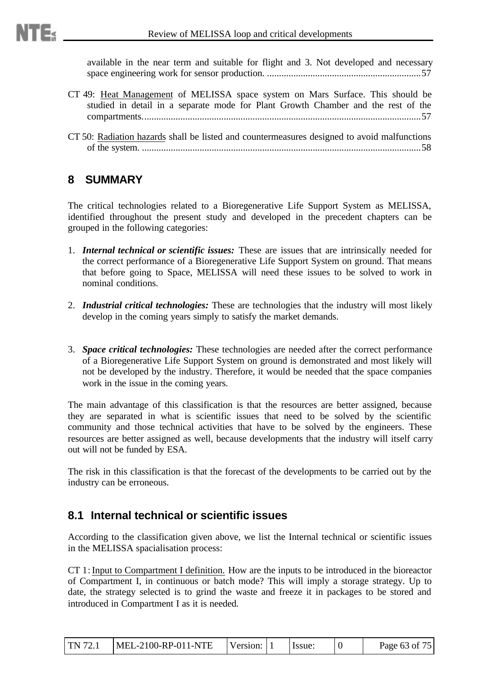available in the near term and suitable for flight and 3. Not developed and necessary space engineering work for sensor production. ................................................................57

- CT 49: Heat Management of MELISSA space system on Mars Surface. This should be studied in detail in a separate mode for Plant Growth Chamber and the rest of the compartments....................................................................................................................57
- CT 50: Radiation hazards shall be listed and countermeasures designed to avoid malfunctions of the system. ....................................................................................................................58

## **8 SUMMARY**

The critical technologies related to a Bioregenerative Life Support System as MELISSA, identified throughout the present study and developed in the precedent chapters can be grouped in the following categories:

- 1. *Internal technical or scientific issues:* These are issues that are intrinsically needed for the correct performance of a Bioregenerative Life Support System on ground. That means that before going to Space, MELISSA will need these issues to be solved to work in nominal conditions.
- 2. *Industrial critical technologies:* These are technologies that the industry will most likely develop in the coming years simply to satisfy the market demands.
- 3. *Space critical technologies:* These technologies are needed after the correct performance of a Bioregenerative Life Support System on ground is demonstrated and most likely will not be developed by the industry. Therefore, it would be needed that the space companies work in the issue in the coming years.

The main advantage of this classification is that the resources are better assigned, because they are separated in what is scientific issues that need to be solved by the scientific community and those technical activities that have to be solved by the engineers. These resources are better assigned as well, because developments that the industry will itself carry out will not be funded by ESA.

The risk in this classification is that the forecast of the developments to be carried out by the industry can be erroneous.

## **8.1 Internal technical or scientific issues**

According to the classification given above, we list the Internal technical or scientific issues in the MELISSA spacialisation process:

CT 1: Input to Compartment I definition. How are the inputs to be introduced in the bioreactor of Compartment I, in continuous or batch mode? This will imply a storage strategy. Up to date, the strategy selected is to grind the waste and freeze it in packages to be stored and introduced in Compartment I as it is needed.

| TN 72.1 | $MEL-2100-RP-011-NTE$ | Version: |  | Issue: |  | Page 63 of 75 |
|---------|-----------------------|----------|--|--------|--|---------------|
|---------|-----------------------|----------|--|--------|--|---------------|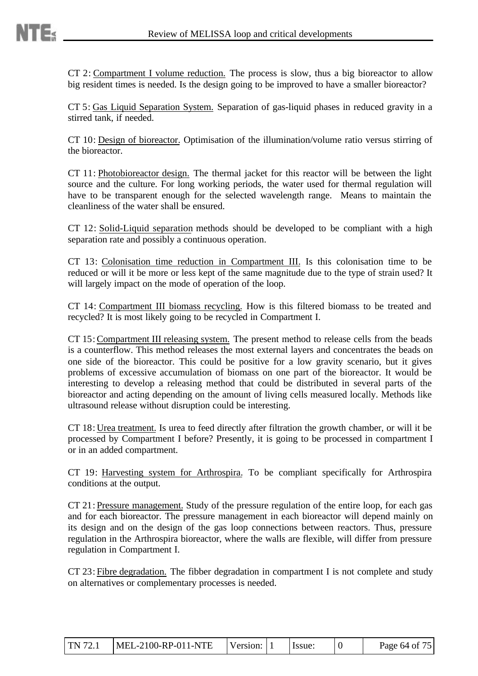CT 2: Compartment I volume reduction. The process is slow, thus a big bioreactor to allow big resident times is needed. Is the design going to be improved to have a smaller bioreactor?

CT 5: Gas Liquid Separation System. Separation of gas-liquid phases in reduced gravity in a stirred tank, if needed.

CT 10: Design of bioreactor. Optimisation of the illumination/volume ratio versus stirring of the bioreactor.

CT 11: Photobioreactor design. The thermal jacket for this reactor will be between the light source and the culture. For long working periods, the water used for thermal regulation will have to be transparent enough for the selected wavelength range. Means to maintain the cleanliness of the water shall be ensured.

CT 12: Solid-Liquid separation methods should be developed to be compliant with a high separation rate and possibly a continuous operation.

CT 13: Colonisation time reduction in Compartment III. Is this colonisation time to be reduced or will it be more or less kept of the same magnitude due to the type of strain used? It will largely impact on the mode of operation of the loop.

CT 14: Compartment III biomass recycling. How is this filtered biomass to be treated and recycled? It is most likely going to be recycled in Compartment I.

CT 15: Compartment III releasing system. The present method to release cells from the beads is a counterflow. This method releases the most external layers and concentrates the beads on one side of the bioreactor. This could be positive for a low gravity scenario, but it gives problems of excessive accumulation of biomass on one part of the bioreactor. It would be interesting to develop a releasing method that could be distributed in several parts of the bioreactor and acting depending on the amount of living cells measured locally. Methods like ultrasound release without disruption could be interesting.

CT 18: Urea treatment. Is urea to feed directly after filtration the growth chamber, or will it be processed by Compartment I before? Presently, it is going to be processed in compartment I or in an added compartment.

CT 19: Harvesting system for Arthrospira. To be compliant specifically for Arthrospira conditions at the output.

CT 21: Pressure management. Study of the pressure regulation of the entire loop, for each gas and for each bioreactor. The pressure management in each bioreactor will depend mainly on its design and on the design of the gas loop connections between reactors. Thus, pressure regulation in the Arthrospira bioreactor, where the walls are flexible, will differ from pressure regulation in Compartment I.

CT 23: Fibre degradation. The fibber degradation in compartment I is not complete and study on alternatives or complementary processes is needed.

| TN 72.1 | $MEL-2100-RP-011-NTE$ | Version: 1 |  | I Issue: |  | Page 64 of 75 |
|---------|-----------------------|------------|--|----------|--|---------------|
|---------|-----------------------|------------|--|----------|--|---------------|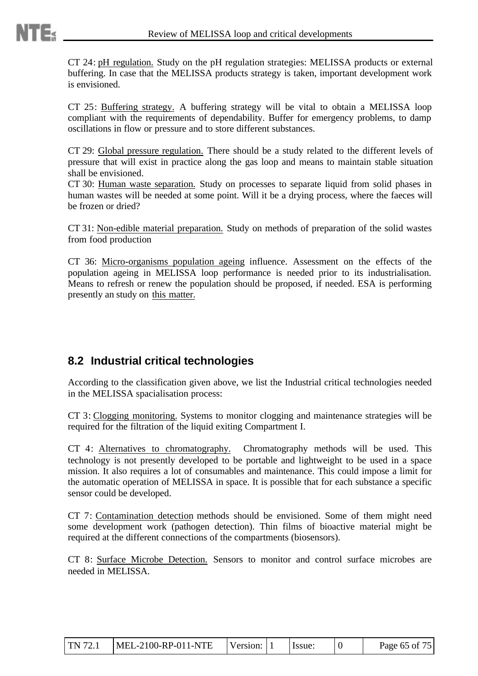CT 24: pH regulation. Study on the pH regulation strategies: MELISSA products or external buffering. In case that the MELISSA products strategy is taken, important development work is envisioned.

CT 25: Buffering strategy. A buffering strategy will be vital to obtain a MELISSA loop compliant with the requirements of dependability. Buffer for emergency problems, to damp oscillations in flow or pressure and to store different substances.

CT 29: Global pressure regulation. There should be a study related to the different levels of pressure that will exist in practice along the gas loop and means to maintain stable situation shall be envisioned.

CT 30: Human waste separation. Study on processes to separate liquid from solid phases in human wastes will be needed at some point. Will it be a drying process, where the faeces will be frozen or dried?

CT 31: Non-edible material preparation. Study on methods of preparation of the solid wastes from food production

CT 36: Micro-organisms population ageing influence. Assessment on the effects of the population ageing in MELISSA loop performance is needed prior to its industrialisation. Means to refresh or renew the population should be proposed, if needed. ESA is performing presently an study on this matter.

# **8.2 Industrial critical technologies**

According to the classification given above, we list the Industrial critical technologies needed in the MELISSA spacialisation process:

CT 3: Clogging monitoring. Systems to monitor clogging and maintenance strategies will be required for the filtration of the liquid exiting Compartment I.

CT 4: Alternatives to chromatography. Chromatography methods will be used. This technology is not presently developed to be portable and lightweight to be used in a space mission. It also requires a lot of consumables and maintenance. This could impose a limit for the automatic operation of MELISSA in space. It is possible that for each substance a specific sensor could be developed.

CT 7: Contamination detection methods should be envisioned. Some of them might need some development work (pathogen detection). Thin films of bioactive material might be required at the different connections of the compartments (biosensors).

CT 8: Surface Microbe Detection. Sensors to monitor and control surface microbes are needed in MELISSA.

| TN 72.1 | $MEL-2100-RP-011-NTE$ | Version: 1 |  | <b>I</b> ssue: |  | Page 65 of 75 |
|---------|-----------------------|------------|--|----------------|--|---------------|
|---------|-----------------------|------------|--|----------------|--|---------------|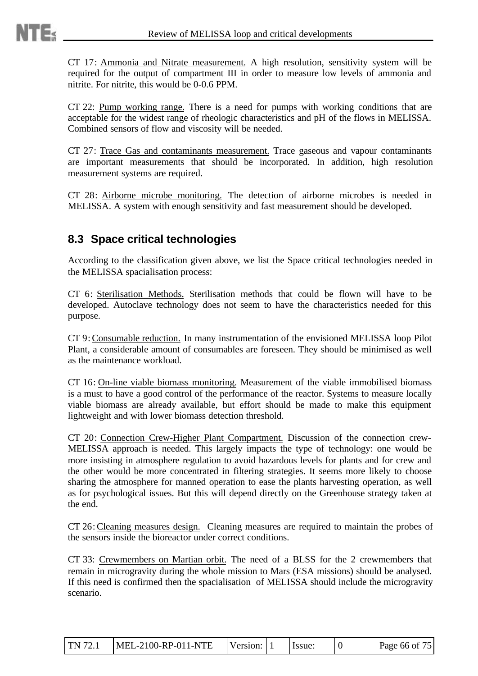CT 17: Ammonia and Nitrate measurement. A high resolution, sensitivity system will be required for the output of compartment III in order to measure low levels of ammonia and nitrite. For nitrite, this would be 0-0.6 PPM.

CT 22: Pump working range. There is a need for pumps with working conditions that are acceptable for the widest range of rheologic characteristics and pH of the flows in MELISSA. Combined sensors of flow and viscosity will be needed.

CT 27: Trace Gas and contaminants measurement. Trace gaseous and vapour contaminants are important measurements that should be incorporated. In addition, high resolution measurement systems are required.

CT 28: Airborne microbe monitoring. The detection of airborne microbes is needed in MELISSA. A system with enough sensitivity and fast measurement should be developed.

## **8.3 Space critical technologies**

According to the classification given above, we list the Space critical technologies needed in the MELISSA spacialisation process:

CT 6: Sterilisation Methods. Sterilisation methods that could be flown will have to be developed. Autoclave technology does not seem to have the characteristics needed for this purpose.

CT 9: Consumable reduction. In many instrumentation of the envisioned MELISSA loop Pilot Plant, a considerable amount of consumables are foreseen. They should be minimised as well as the maintenance workload.

CT 16: On-line viable biomass monitoring. Measurement of the viable immobilised biomass is a must to have a good control of the performance of the reactor. Systems to measure locally viable biomass are already available, but effort should be made to make this equipment lightweight and with lower biomass detection threshold.

CT 20: Connection Crew-Higher Plant Compartment. Discussion of the connection crew-MELISSA approach is needed. This largely impacts the type of technology: one would be more insisting in atmosphere regulation to avoid hazardous levels for plants and for crew and the other would be more concentrated in filtering strategies. It seems more likely to choose sharing the atmosphere for manned operation to ease the plants harvesting operation, as well as for psychological issues. But this will depend directly on the Greenhouse strategy taken at the end.

CT 26: Cleaning measures design. Cleaning measures are required to maintain the probes of the sensors inside the bioreactor under correct conditions.

CT 33: Crewmembers on Martian orbit. The need of a BLSS for the 2 crewmembers that remain in microgravity during the whole mission to Mars (ESA missions) should be analysed. If this need is confirmed then the spacialisation of MELISSA should include the microgravity scenario.

| MEL-2100-RP-011-NTE<br>TN 72.1 | Version: 1 | Hssue: |  | Page 66 of 75 |
|--------------------------------|------------|--------|--|---------------|
|--------------------------------|------------|--------|--|---------------|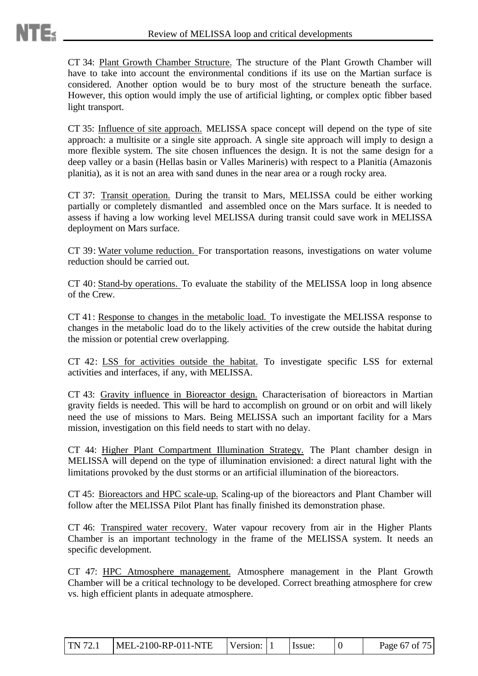CT 34: Plant Growth Chamber Structure. The structure of the Plant Growth Chamber will have to take into account the environmental conditions if its use on the Martian surface is considered. Another option would be to bury most of the structure beneath the surface. However, this option would imply the use of artificial lighting, or complex optic fibber based light transport.

CT 35: Influence of site approach. MELISSA space concept will depend on the type of site approach: a multisite or a single site approach. A single site approach will imply to design a more flexible system. The site chosen influences the design. It is not the same design for a deep valley or a basin (Hellas basin or Valles Marineris) with respect to a Planitia (Amazonis planitia), as it is not an area with sand dunes in the near area or a rough rocky area.

CT 37: Transit operation. During the transit to Mars, MELISSA could be either working partially or completely dismantled and assembled once on the Mars surface. It is needed to assess if having a low working level MELISSA during transit could save work in MELISSA deployment on Mars surface.

CT 39: Water volume reduction. For transportation reasons, investigations on water volume reduction should be carried out.

CT 40: Stand-by operations. To evaluate the stability of the MELISSA loop in long absence of the Crew.

CT 41: Response to changes in the metabolic load. To investigate the MELISSA response to changes in the metabolic load do to the likely activities of the crew outside the habitat during the mission or potential crew overlapping.

CT 42: LSS for activities outside the habitat. To investigate specific LSS for external activities and interfaces, if any, with MELISSA.

CT 43: Gravity influence in Bioreactor design. Characterisation of bioreactors in Martian gravity fields is needed. This will be hard to accomplish on ground or on orbit and will likely need the use of missions to Mars. Being MELISSA such an important facility for a Mars mission, investigation on this field needs to start with no delay.

CT 44: Higher Plant Compartment Illumination Strategy. The Plant chamber design in MELISSA will depend on the type of illumination envisioned: a direct natural light with the limitations provoked by the dust storms or an artificial illumination of the bioreactors.

CT 45: Bioreactors and HPC scale-up. Scaling-up of the bioreactors and Plant Chamber will follow after the MELISSA Pilot Plant has finally finished its demonstration phase.

CT 46: Transpired water recovery. Water vapour recovery from air in the Higher Plants Chamber is an important technology in the frame of the MELISSA system. It needs an specific development.

CT 47: HPC Atmosphere management. Atmosphere management in the Plant Growth Chamber will be a critical technology to be developed. Correct breathing atmosphere for crew vs. high efficient plants in adequate atmosphere.

| TN 72.1 | $MEL-2100-RP-011-NTE$ | Version: $ 1 $ |  | Issue: |  | Page 67 of 75 |
|---------|-----------------------|----------------|--|--------|--|---------------|
|---------|-----------------------|----------------|--|--------|--|---------------|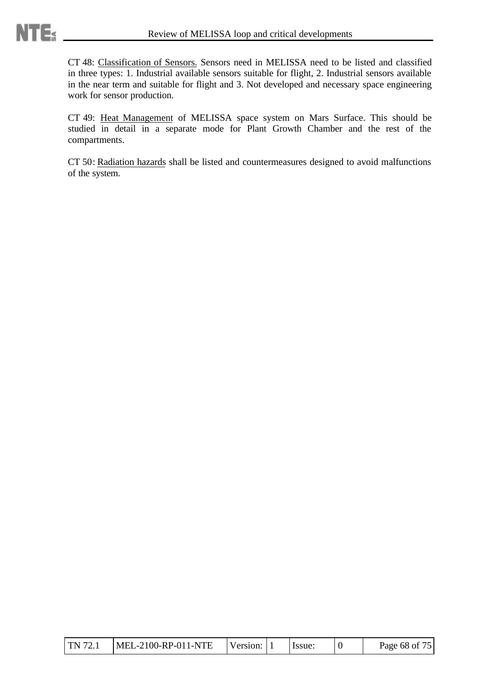CT 48: Classification of Sensors. Sensors need in MELISSA need to be listed and classified in three types: 1. Industrial available sensors suitable for flight, 2. Industrial sensors available in the near term and suitable for flight and 3. Not developed and necessary space engineering work for sensor production.

CT 49: Heat Management of MELISSA space system on Mars Surface. This should be studied in detail in a separate mode for Plant Growth Chamber and the rest of the compartments.

CT 50: Radiation hazards shall be listed and countermeasures designed to avoid malfunctions of the system.

| TN 72.1 | MEL-2100-RP-011-NTE | Version: |  | Issue: |  | Page 68 of 75 |
|---------|---------------------|----------|--|--------|--|---------------|
|---------|---------------------|----------|--|--------|--|---------------|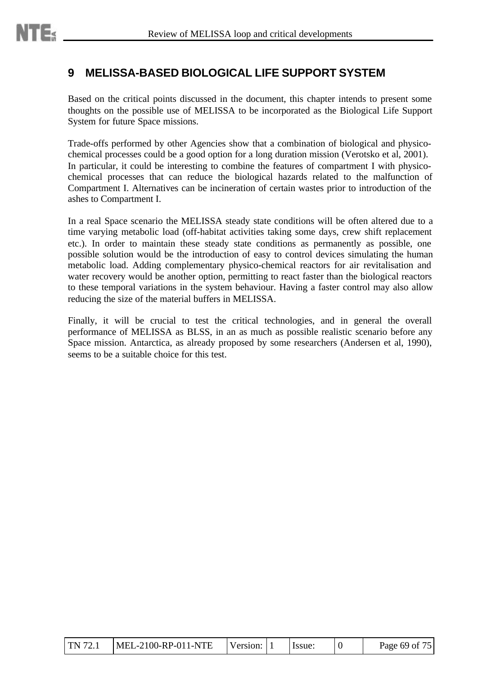# **9 MELISSA-BASED BIOLOGICAL LIFE SUPPORT SYSTEM**

Based on the critical points discussed in the document, this chapter intends to present some thoughts on the possible use of MELISSA to be incorporated as the Biological Life Support System for future Space missions.

Trade-offs performed by other Agencies show that a combination of biological and physicochemical processes could be a good option for a long duration mission (Verotsko et al, 2001). In particular, it could be interesting to combine the features of compartment I with physicochemical processes that can reduce the biological hazards related to the malfunction of Compartment I. Alternatives can be incineration of certain wastes prior to introduction of the ashes to Compartment I.

In a real Space scenario the MELISSA steady state conditions will be often altered due to a time varying metabolic load (off-habitat activities taking some days, crew shift replacement etc.). In order to maintain these steady state conditions as permanently as possible, one possible solution would be the introduction of easy to control devices simulating the human metabolic load. Adding complementary physico-chemical reactors for air revitalisation and water recovery would be another option, permitting to react faster than the biological reactors to these temporal variations in the system behaviour. Having a faster control may also allow reducing the size of the material buffers in MELISSA.

Finally, it will be crucial to test the critical technologies, and in general the overall performance of MELISSA as BLSS, in an as much as possible realistic scenario before any Space mission. Antarctica, as already proposed by some researchers (Andersen et al, 1990), seems to be a suitable choice for this test.

| TN 72.1 | $MEL-2100-RP-011-NTE$ | Version: 1 |  | Issue: |  | Page 69 of 75 |
|---------|-----------------------|------------|--|--------|--|---------------|
|---------|-----------------------|------------|--|--------|--|---------------|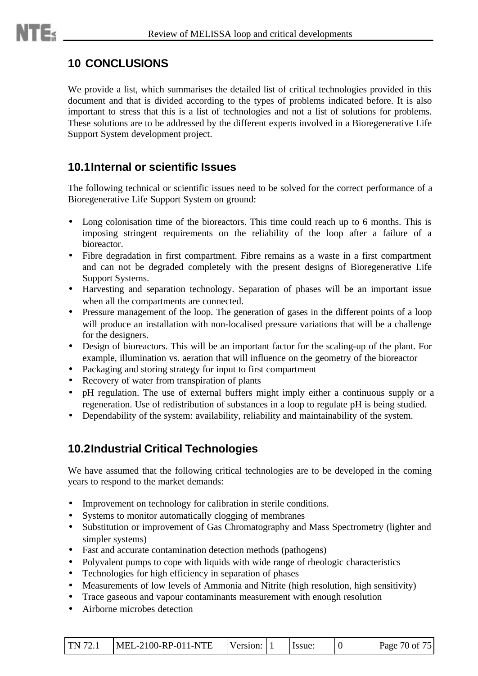# **10 CONCLUSIONS**

We provide a list, which summarises the detailed list of critical technologies provided in this document and that is divided according to the types of problems indicated before. It is also important to stress that this is a list of technologies and not a list of solutions for problems. These solutions are to be addressed by the different experts involved in a Bioregenerative Life Support System development project.

## **10.1Internal or scientific Issues**

The following technical or scientific issues need to be solved for the correct performance of a Bioregenerative Life Support System on ground:

- Long colonisation time of the bioreactors. This time could reach up to 6 months. This is imposing stringent requirements on the reliability of the loop after a failure of a bioreactor.
- Fibre degradation in first compartment. Fibre remains as a waste in a first compartment and can not be degraded completely with the present designs of Bioregenerative Life Support Systems.
- Harvesting and separation technology. Separation of phases will be an important issue when all the compartments are connected.
- Pressure management of the loop. The generation of gases in the different points of a loop will produce an installation with non-localised pressure variations that will be a challenge for the designers.
- Design of bioreactors. This will be an important factor for the scaling-up of the plant. For example, illumination vs. aeration that will influence on the geometry of the bioreactor
- Packaging and storing strategy for input to first compartment
- Recovery of water from transpiration of plants
- pH regulation. The use of external buffers might imply either a continuous supply or a regeneration. Use of redistribution of substances in a loop to regulate pH is being studied.
- Dependability of the system: availability, reliability and maintainability of the system.

# **10.2Industrial Critical Technologies**

We have assumed that the following critical technologies are to be developed in the coming years to respond to the market demands:

- Improvement on technology for calibration in sterile conditions.
- Systems to monitor automatically clogging of membranes
- Substitution or improvement of Gas Chromatography and Mass Spectrometry (lighter and simpler systems)
- Fast and accurate contamination detection methods (pathogens)
- Polyvalent pumps to cope with liquids with wide range of rheologic characteristics
- Technologies for high efficiency in separation of phases
- Measurements of low levels of Ammonia and Nitrite (high resolution, high sensitivity)
- Trace gaseous and vapour contaminants measurement with enough resolution
- Airborne microbes detection

| $\text{TN } 72.1$ | $MEL-2100-RP-011-NTE$ | Version: 11 |  | Hssue: |  | Page 70 of 75 |
|-------------------|-----------------------|-------------|--|--------|--|---------------|
|-------------------|-----------------------|-------------|--|--------|--|---------------|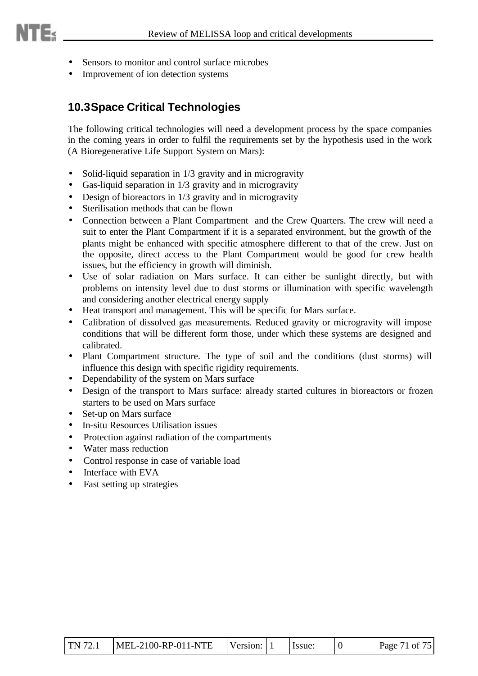- Sensors to monitor and control surface microbes
- Improvement of ion detection systems

## **10.3Space Critical Technologies**

The following critical technologies will need a development process by the space companies in the coming years in order to fulfil the requirements set by the hypothesis used in the work (A Bioregenerative Life Support System on Mars):

- Solid-liquid separation in 1/3 gravity and in microgravity
- Gas-liquid separation in 1/3 gravity and in microgravity
- Design of bioreactors in 1/3 gravity and in microgravity
- Sterilisation methods that can be flown
- Connection between a Plant Compartment and the Crew Quarters. The crew will need a suit to enter the Plant Compartment if it is a separated environment, but the growth of the plants might be enhanced with specific atmosphere different to that of the crew. Just on the opposite, direct access to the Plant Compartment would be good for crew health issues, but the efficiency in growth will diminish.
- Use of solar radiation on Mars surface. It can either be sunlight directly, but with problems on intensity level due to dust storms or illumination with specific wavelength and considering another electrical energy supply
- Heat transport and management. This will be specific for Mars surface.
- Calibration of dissolved gas measurements. Reduced gravity or microgravity will impose conditions that will be different form those, under which these systems are designed and calibrated.
- Plant Compartment structure. The type of soil and the conditions (dust storms) will influence this design with specific rigidity requirements.
- Dependability of the system on Mars surface
- Design of the transport to Mars surface: already started cultures in bioreactors or frozen starters to be used on Mars surface
- Set-up on Mars surface
- In-situ Resources Utilisation issues
- Protection against radiation of the compartments
- Water mass reduction
- Control response in case of variable load
- Interface with EVA
- Fast setting up strategies

| $\text{TN } 72.1$ | $MEL-2100-RP-011-NTE$ Version: 1 |  |  | Issue: |  | Page 71 of 75 |
|-------------------|----------------------------------|--|--|--------|--|---------------|
|-------------------|----------------------------------|--|--|--------|--|---------------|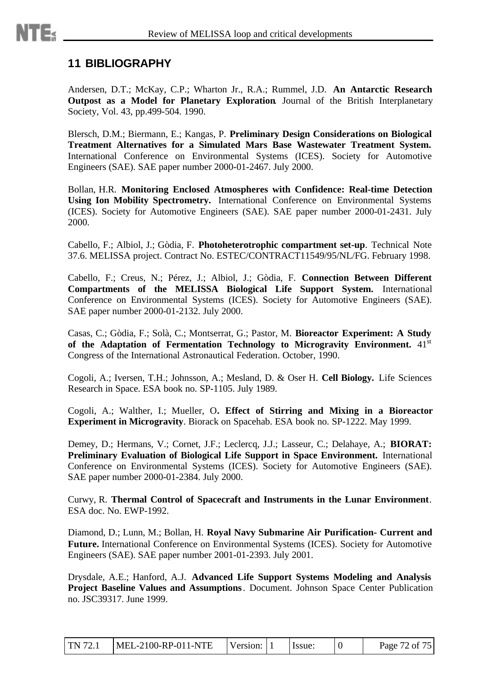# **11 BIBLIOGRAPHY**

Andersen, D.T.; McKay, C.P.; Wharton Jr., R.A.; Rummel, J.D. **An Antarctic Research Outpost as a Model for Planetary Exploration**. Journal of the British Interplanetary Society, Vol. 43, pp.499-504. 1990.

Blersch, D.M.; Biermann, E.; Kangas, P. **Preliminary Design Considerations on Biological Treatment Alternatives for a Simulated Mars Base Wastewater Treatment System.** International Conference on Environmental Systems (ICES). Society for Automotive Engineers (SAE). SAE paper number 2000-01-2467. July 2000.

Bollan, H.R. **Monitoring Enclosed Atmospheres with Confidence: Real-time Detection Using Ion Mobility Spectrometry.** International Conference on Environmental Systems (ICES). Society for Automotive Engineers (SAE). SAE paper number 2000-01-2431. July 2000.

Cabello, F.; Albiol, J.; Gòdia, F. **Photoheterotrophic compartment set-up**. Technical Note 37.6. MELISSA project. Contract No. ESTEC/CONTRACT11549/95/NL/FG. February 1998.

Cabello, F.; Creus, N.; Pérez, J.; Albiol, J.; Gòdia, F. **Connection Between Different Compartments of the MELISSA Biological Life Support System.** International Conference on Environmental Systems (ICES). Society for Automotive Engineers (SAE). SAE paper number 2000-01-2132. July 2000.

Casas, C.; Gòdia, F.; Solà, C.; Montserrat, G.; Pastor, M. **Bioreactor Experiment: A Study** of the Adaptation of Fermentation Technology to Microgravity Environment. 41<sup>st</sup> Congress of the International Astronautical Federation. October, 1990.

Cogoli, A.; Iversen, T.H.; Johnsson, A.; Mesland, D. & Oser H. **Cell Biology.** Life Sciences Research in Space. ESA book no. SP-1105. July 1989.

Cogoli, A.; Walther, I.; Mueller, O**. Effect of Stirring and Mixing in a Bioreactor Experiment in Microgravity**. Biorack on Spacehab. ESA book no. SP-1222. May 1999.

Demey, D.; Hermans, V.; Cornet, J.F.; Leclercq, J.J.; Lasseur, C.; Delahaye, A.; **BIORAT: Preliminary Evaluation of Biological Life Support in Space Environment.** International Conference on Environmental Systems (ICES). Society for Automotive Engineers (SAE). SAE paper number 2000-01-2384. July 2000.

Curwy, R. **Thermal Control of Spacecraft and Instruments in the Lunar Environment**. ESA doc. No. EWP-1992.

Diamond, D.; Lunn, M.; Bollan, H. **Royal Navy Submarine Air Purification- Current and Future.** International Conference on Environmental Systems (ICES). Society for Automotive Engineers (SAE). SAE paper number 2001-01-2393. July 2001.

Drysdale, A.E.; Hanford, A.J. **Advanced Life Support Systems Modeling and Analysis Project Baseline Values and Assumptions**. Document. Johnson Space Center Publication no. JSC39317. June 1999.

|  | TN 72.1   MEL-2100-RP-011-NTE | Version: 1 |  | I Issue: |  | Page 72 of 75 |
|--|-------------------------------|------------|--|----------|--|---------------|
|--|-------------------------------|------------|--|----------|--|---------------|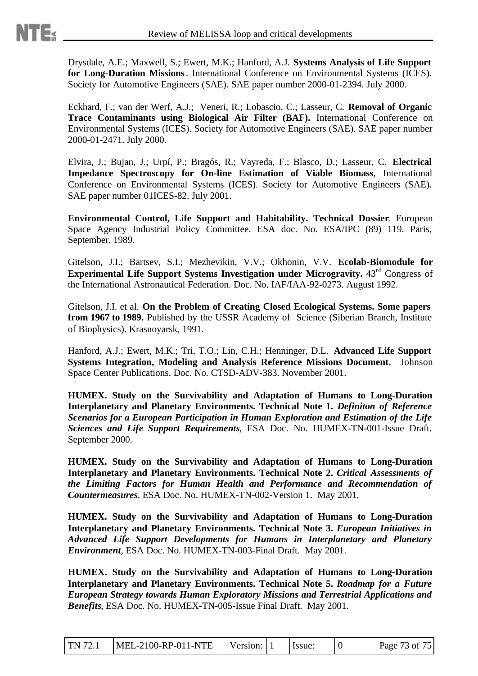Drysdale, A.E.; Maxwell, S.; Ewert, M.K.; Hanford, A.J. **Systems Analysis of Life Support for Long-Duration Missions**. International Conference on Environmental Systems (ICES). Society for Automotive Engineers (SAE). SAE paper number 2000-01-2394. July 2000.

Eckhard, F.; van der Werf, A.J.; Veneri, R.; Lobascio, C.; Lasseur, C. **Removal of Organic Trace Contaminants using Biological Air Filter (BAF).** International Conference on Environmental Systems (ICES). Society for Automotive Engineers (SAE). SAE paper number 2000-01-2471. July 2000.

Elvira, J.; Bujan, J.; Urpí, P.; Bragós, R.; Vayreda, F.; Blasco, D.; Lasseur, C. **Electrical Impedance Spectroscopy for On-line Estimation of Viable Biomass**, International Conference on Environmental Systems (ICES). Society for Automotive Engineers (SAE). SAE paper number 01ICES-82. July 2001.

**Environmental Control, Life Support and Habitability. Technical Dossier**. European Space Agency Industrial Policy Committee. ESA doc. No. ESA/IPC (89) 119. Paris, September, 1989.

Gitelson, J.I.; Bartsev, S.I.; Mezhevikin, V.V.; Okhonin, V.V. **Ecolab-Biomodule for Experimental Life Support Systems Investigation under Microgravity.** 43<sup>rd</sup> Congress of the International Astronautical Federation. Doc. No. IAF/IAA-92-0273. August 1992.

Gitelson, J.I. et al. **On the Problem of Creating Closed Ecological Systems. Some papers from 1967 to 1989.** Published by the USSR Academy of Science (Siberian Branch, Institute of Biophysics). Krasnoyarsk, 1991.

Hanford, A.J.; Ewert, M.K.; Tri, T.O.; Lin, C.H.; Henninger, D.L. **Advanced Life Support Systems Integration, Modeling and Analysis Reference Missions Document.** Johnson Space Center Publications. Doc. No. CTSD-ADV-383. November 2001.

**HUMEX. Study on the Survivability and Adaptation of Humans to Long-Duration Interplanetary and Planetary Environments. Technical Note 1.** *Definiton of Reference Scenarios for a European Participation in Human Exploration and Estimation of the Life Sciences and Life Support Requirements*, ESA Doc. No. HUMEX-TN-001-Issue Draft. September 2000.

**HUMEX. Study on the Survivability and Adaptation of Humans to Long-Duration Interplanetary and Planetary Environments. Technical Note 2.** *Critical Assessments of the Limiting Factors for Human Health and Performance and Recommendation of Countermeasures*, ESA Doc. No. HUMEX-TN-002-Version 1. May 2001.

**HUMEX. Study on the Survivability and Adaptation of Humans to Long-Duration Interplanetary and Planetary Environments. Technical Note 3.** *European Initiatives in Advanced Life Support Developments for Humans in Interplanetary and Planetary Environment*, ESA Doc. No. HUMEX-TN-003-Final Draft. May 2001.

**HUMEX. Study on the Survivability and Adaptation of Humans to Long-Duration Interplanetary and Planetary Environments. Technical Note 5.** *Roadmap for a Future European Strategy towards Human Exploratory Missions and Terrestrial Applications and Benefits*, ESA Doc. No. HUMEX-TN-005-Issue Final Draft. May 2001.

| TN 72.1 | $MEL-2100-RP-011-NTE$ | Version: 1 |  | Issue: |  | Page 73 of 75 |
|---------|-----------------------|------------|--|--------|--|---------------|
|---------|-----------------------|------------|--|--------|--|---------------|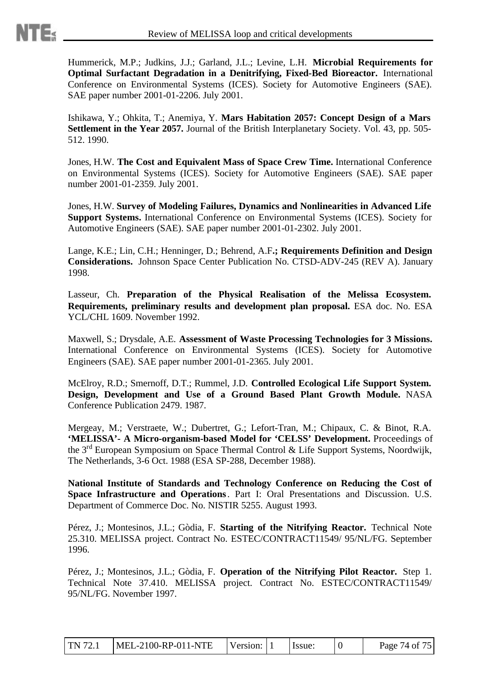Hummerick, M.P.; Judkins, J.J.; Garland, J.L.; Levine, L.H. **Microbial Requirements for Optimal Surfactant Degradation in a Denitrifying, Fixed-Bed Bioreactor.** International Conference on Environmental Systems (ICES). Society for Automotive Engineers (SAE). SAE paper number 2001-01-2206. July 2001.

Ishikawa, Y.; Ohkita, T.; Anemiya, Y. **Mars Habitation 2057: Concept Design of a Mars Settlement in the Year 2057.** Journal of the British Interplanetary Society. Vol. 43, pp. 505- 512. 1990.

Jones, H.W. **The Cost and Equivalent Mass of Space Crew Time.** International Conference on Environmental Systems (ICES). Society for Automotive Engineers (SAE). SAE paper number 2001-01-2359. July 2001.

Jones, H.W. **Survey of Modeling Failures, Dynamics and Nonlinearities in Advanced Life Support Systems.** International Conference on Environmental Systems (ICES). Society for Automotive Engineers (SAE). SAE paper number 2001-01-2302. July 2001.

Lange, K.E.; Lin, C.H.; Henninger, D.; Behrend, A.F**.; Requirements Definition and Design Considerations.** Johnson Space Center Publication No. CTSD-ADV-245 (REV A). January 1998.

Lasseur, Ch. **Preparation of the Physical Realisation of the Melissa Ecosystem. Requirements, preliminary results and development plan proposal.** ESA doc. No. ESA YCL/CHL 1609. November 1992.

Maxwell, S.; Drysdale, A.E. **Assessment of Waste Processing Technologies for 3 Missions.** International Conference on Environmental Systems (ICES). Society for Automotive Engineers (SAE). SAE paper number 2001-01-2365. July 2001.

McElroy, R.D.; Smernoff, D.T.; Rummel, J.D. **Controlled Ecological Life Support System. Design, Development and Use of a Ground Based Plant Growth Module.** NASA Conference Publication 2479. 1987.

Mergeay, M.; Verstraete, W.; Dubertret, G.; Lefort-Tran, M.; Chipaux, C. & Binot, R.A. **'MELISSA'- A Micro-organism-based Model for 'CELSS' Development.** Proceedings of the 3<sup>rd</sup> European Symposium on Space Thermal Control & Life Support Systems, Noordwijk, The Netherlands, 3-6 Oct. 1988 (ESA SP-288, December 1988).

**National Institute of Standards and Technology Conference on Reducing the Cost of Space Infrastructure and Operations**. Part I: Oral Presentations and Discussion. U.S. Department of Commerce Doc. No. NISTIR 5255. August 1993.

Pérez, J.; Montesinos, J.L.; Gòdia, F. **Starting of the Nitrifying Reactor.** Technical Note 25.310. MELISSA project. Contract No. ESTEC/CONTRACT11549/ 95/NL/FG. September 1996.

Pérez, J.; Montesinos, J.L.; Gòdia, F. **Operation of the Nitrifying Pilot Reactor.** Step 1. Technical Note 37.410. MELISSA project. Contract No. ESTEC/CONTRACT11549/ 95/NL/FG. November 1997.

| TN 72.1 | $MEL-2100-RP-011-NTE$ | Version: 1 |  | Issue: |  | Page 74 of 75 |
|---------|-----------------------|------------|--|--------|--|---------------|
|---------|-----------------------|------------|--|--------|--|---------------|